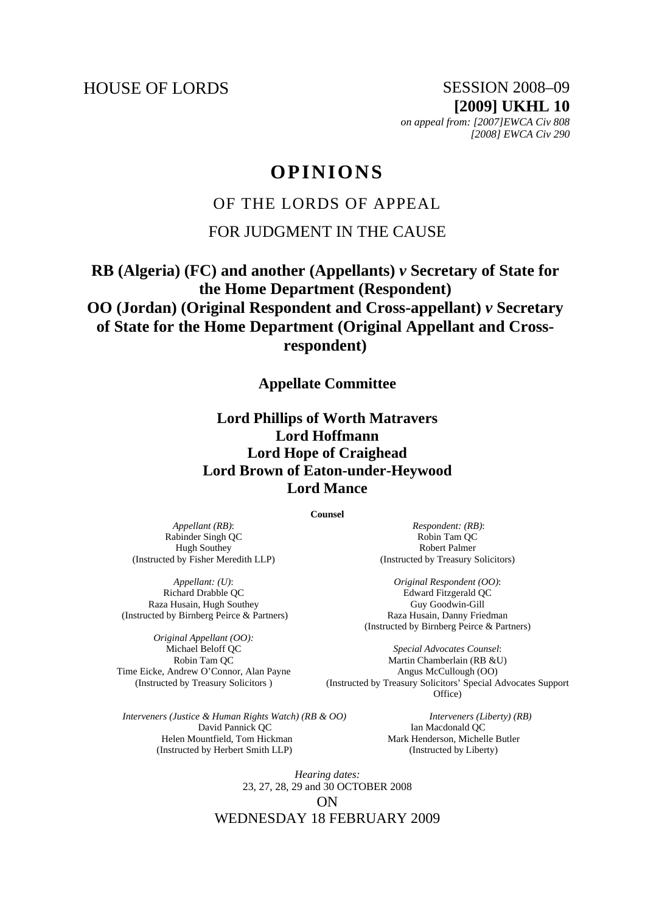HOUSE OF LORDS SESSION 2008–09 **[2009] UKHL 10** *on appeal from: [2007]EWCA Civ 808 [2008] EWCA Civ 290*

# **OPINIONS**

# OF THE LORDS OF APPEAL

FOR JUDGMENT IN THE CAUSE

**RB (Algeria) (FC) and another (Appellants)** *v* **Secretary of State for the Home Department (Respondent) OO (Jordan) (Original Respondent and Cross-appellant)** *v* **Secretary of State for the Home Department (Original Appellant and Crossrespondent)** 

**Appellate Committee** 

**Lord Phillips of Worth Matravers Lord Hoffmann Lord Hope of Craighead Lord Brown of Eaton-under-Heywood Lord Mance** 

**Counsel** 

*Appellant (RB)*: Rabinder Singh QC Hugh Southey (Instructed by Fisher Meredith LLP)

*Appellant: (U)*: Richard Drabble QC Raza Husain, Hugh Southey (Instructed by Birnberg Peirce & Partners)

*Original Appellant (OO):*  Michael Beloff OC Robin Tam QC Time Eicke, Andrew O'Connor, Alan Payne (Instructed by Treasury Solicitors )

 *Respondent: (RB)*: Robin Tam QC Robert Palmer (Instructed by Treasury Solicitors)

*Original Respondent (OO)*: Edward Fitzgerald QC Guy Goodwin-Gill Raza Husain, Danny Friedman (Instructed by Birnberg Peirce & Partners)

*Special Advocates Counsel*: Martin Chamberlain (RB &U) Angus McCullough (OO) (Instructed by Treasury Solicitors' Special Advocates Support Office)

 *Interveners (Justice & Human Rights Watch) (RB & OO) Interveners (Liberty) (RB)*  David Pannick OC **Ian Macdonald OC** Helen Mountfield, Tom Hickman Mark Henderson, Michelle Butler (Instructed by Herbert Smith LLP) (Instructed by Liberty)

*Hearing dates:*  23, 27, 28, 29 and 30 OCTOBER 2008 ON WEDNESDAY 18 FEBRUARY 2009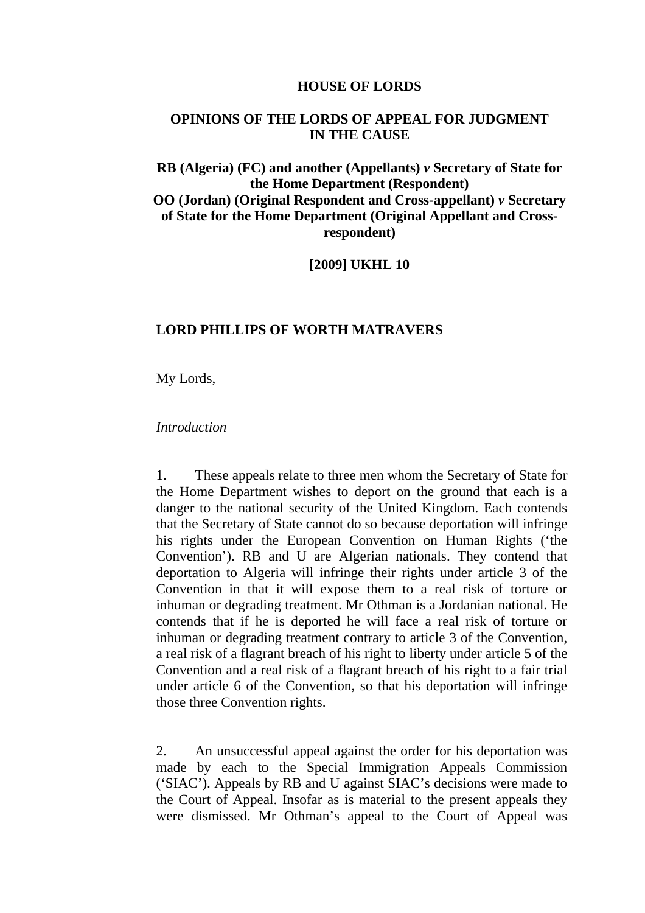#### **HOUSE OF LORDS**

## **OPINIONS OF THE LORDS OF APPEAL FOR JUDGMENT IN THE CAUSE**

## **RB (Algeria) (FC) and another (Appellants)** *v* **Secretary of State for the Home Department (Respondent) OO (Jordan) (Original Respondent and Cross-appellant)** *v* **Secretary of State for the Home Department (Original Appellant and Crossrespondent)**

**[2009] UKHL 10**

#### **LORD PHILLIPS OF WORTH MATRAVERS**

My Lords,

#### *Introduction*

1. These appeals relate to three men whom the Secretary of State for the Home Department wishes to deport on the ground that each is a danger to the national security of the United Kingdom. Each contends that the Secretary of State cannot do so because deportation will infringe his rights under the European Convention on Human Rights ('the Convention'). RB and U are Algerian nationals. They contend that deportation to Algeria will infringe their rights under article 3 of the Convention in that it will expose them to a real risk of torture or inhuman or degrading treatment. Mr Othman is a Jordanian national. He contends that if he is deported he will face a real risk of torture or inhuman or degrading treatment contrary to article 3 of the Convention, a real risk of a flagrant breach of his right to liberty under article 5 of the Convention and a real risk of a flagrant breach of his right to a fair trial under article 6 of the Convention, so that his deportation will infringe those three Convention rights.

2. An unsuccessful appeal against the order for his deportation was made by each to the Special Immigration Appeals Commission ('SIAC'). Appeals by RB and U against SIAC's decisions were made to the Court of Appeal. Insofar as is material to the present appeals they were dismissed. Mr Othman's appeal to the Court of Appeal was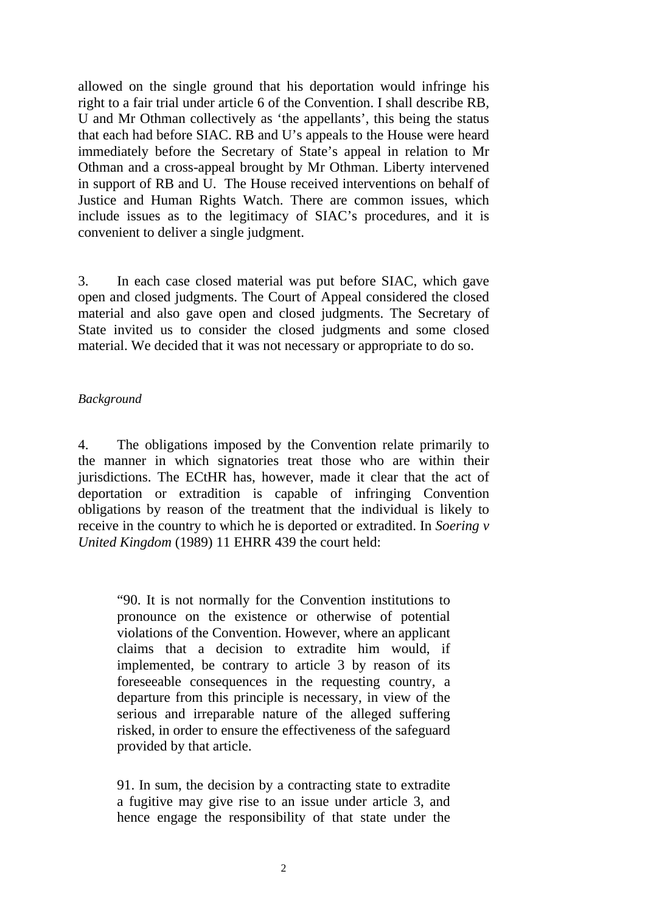allowed on the single ground that his deportation would infringe his right to a fair trial under article 6 of the Convention. I shall describe RB, U and Mr Othman collectively as 'the appellants', this being the status that each had before SIAC. RB and U's appeals to the House were heard immediately before the Secretary of State's appeal in relation to Mr Othman and a cross-appeal brought by Mr Othman. Liberty intervened in support of RB and U. The House received interventions on behalf of Justice and Human Rights Watch. There are common issues, which include issues as to the legitimacy of SIAC's procedures, and it is convenient to deliver a single judgment.

3. In each case closed material was put before SIAC, which gave open and closed judgments. The Court of Appeal considered the closed material and also gave open and closed judgments. The Secretary of State invited us to consider the closed judgments and some closed material. We decided that it was not necessary or appropriate to do so.

#### *Background*

4. The obligations imposed by the Convention relate primarily to the manner in which signatories treat those who are within their jurisdictions. The ECtHR has, however, made it clear that the act of deportation or extradition is capable of infringing Convention obligations by reason of the treatment that the individual is likely to receive in the country to which he is deported or extradited. In *Soering v United Kingdom* (1989) 11 EHRR 439 the court held:

"90. It is not normally for the Convention institutions to pronounce on the existence or otherwise of potential violations of the Convention. However, where an applicant claims that a decision to extradite him would, if implemented, be contrary to article 3 by reason of its foreseeable consequences in the requesting country, a departure from this principle is necessary, in view of the serious and irreparable nature of the alleged suffering risked, in order to ensure the effectiveness of the safeguard provided by that article.

91. In sum, the decision by a contracting state to extradite a fugitive may give rise to an issue under article 3, and hence engage the responsibility of that state under the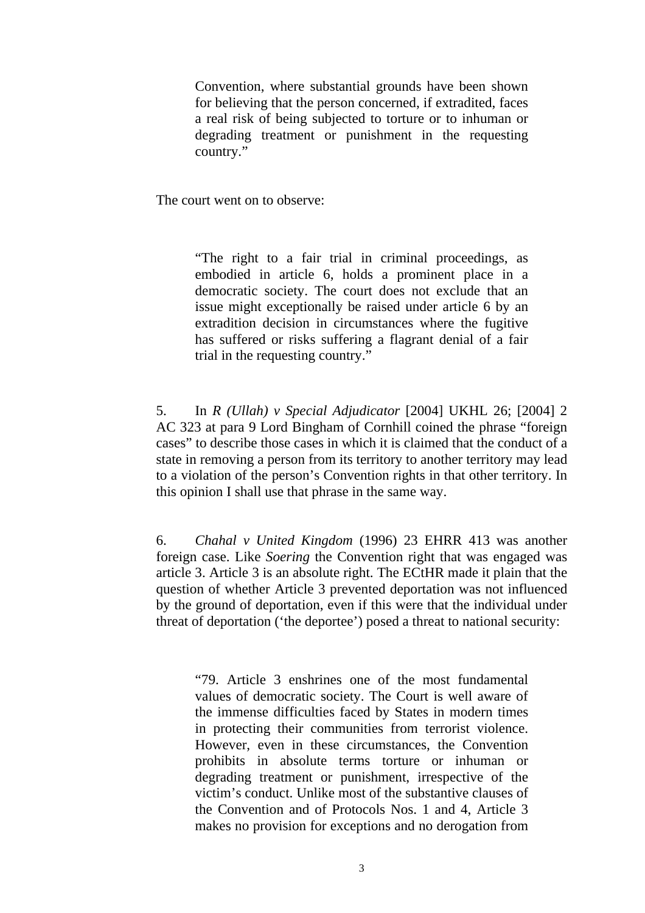Convention, where substantial grounds have been shown for believing that the person concerned, if extradited, faces a real risk of being subjected to torture or to inhuman or degrading treatment or punishment in the requesting country."

The court went on to observe:

"The right to a fair trial in criminal proceedings, as embodied in article 6, holds a prominent place in a democratic society. The court does not exclude that an issue might exceptionally be raised under article 6 by an extradition decision in circumstances where the fugitive has suffered or risks suffering a flagrant denial of a fair trial in the requesting country."

5. In *R (Ullah) v Special Adjudicator* [2004] UKHL 26; [2004] 2 AC 323 at para 9 Lord Bingham of Cornhill coined the phrase "foreign cases" to describe those cases in which it is claimed that the conduct of a state in removing a person from its territory to another territory may lead to a violation of the person's Convention rights in that other territory. In this opinion I shall use that phrase in the same way.

6. *Chahal v United Kingdom* (1996) 23 EHRR 413 was another foreign case. Like *Soering* the Convention right that was engaged was article 3. Article 3 is an absolute right. The ECtHR made it plain that the question of whether Article 3 prevented deportation was not influenced by the ground of deportation, even if this were that the individual under threat of deportation ('the deportee') posed a threat to national security:

"79. Article 3 enshrines one of the most fundamental values of democratic society. The Court is well aware of the immense difficulties faced by States in modern times in protecting their communities from terrorist violence. However, even in these circumstances, the Convention prohibits in absolute terms torture or inhuman or degrading treatment or punishment, irrespective of the victim's conduct. Unlike most of the substantive clauses of the Convention and of Protocols Nos. 1 and 4, Article 3 makes no provision for exceptions and no derogation from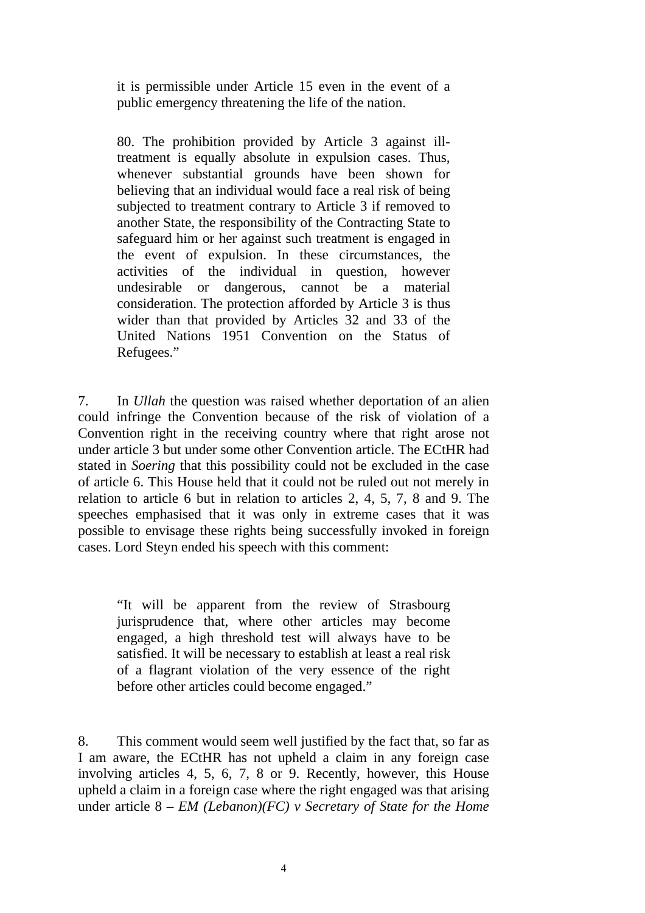it is permissible under Article 15 even in the event of a public emergency threatening the life of the nation.

80. The prohibition provided by Article 3 against illtreatment is equally absolute in expulsion cases. Thus, whenever substantial grounds have been shown for believing that an individual would face a real risk of being subjected to treatment contrary to Article 3 if removed to another State, the responsibility of the Contracting State to safeguard him or her against such treatment is engaged in the event of expulsion. In these circumstances, the activities of the individual in question, however undesirable or dangerous, cannot be a material consideration. The protection afforded by Article 3 is thus wider than that provided by Articles 32 and 33 of the United Nations 1951 Convention on the Status of Refugees."

7. In *Ullah* the question was raised whether deportation of an alien could infringe the Convention because of the risk of violation of a Convention right in the receiving country where that right arose not under article 3 but under some other Convention article. The ECtHR had stated in *Soering* that this possibility could not be excluded in the case of article 6. This House held that it could not be ruled out not merely in relation to article 6 but in relation to articles 2, 4, 5, 7, 8 and 9. The speeches emphasised that it was only in extreme cases that it was possible to envisage these rights being successfully invoked in foreign cases. Lord Steyn ended his speech with this comment:

"It will be apparent from the review of Strasbourg jurisprudence that, where other articles may become engaged, a high threshold test will always have to be satisfied. It will be necessary to establish at least a real risk of a flagrant violation of the very essence of the right before other articles could become engaged."

8. This comment would seem well justified by the fact that, so far as I am aware, the ECtHR has not upheld a claim in any foreign case involving articles 4, 5, 6, 7, 8 or 9. Recently, however, this House upheld a claim in a foreign case where the right engaged was that arising under article 8 – *EM (Lebanon)(FC) v Secretary of State for the Home*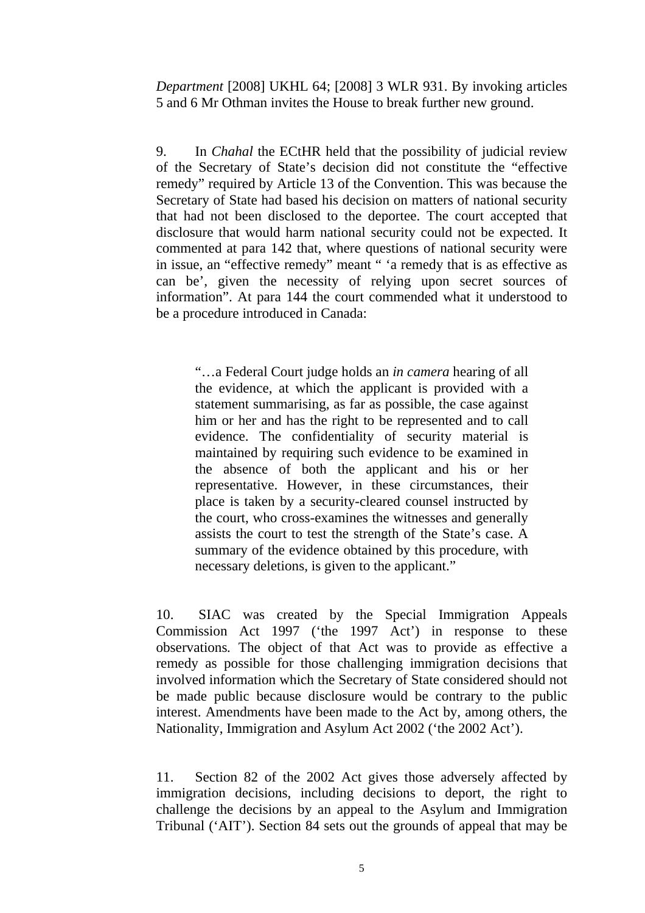*Department* [2008] UKHL 64; [2008] 3 WLR 931. By invoking articles 5 and 6 Mr Othman invites the House to break further new ground.

9. In *Chahal* the ECtHR held that the possibility of judicial review of the Secretary of State's decision did not constitute the "effective remedy" required by Article 13 of the Convention. This was because the Secretary of State had based his decision on matters of national security that had not been disclosed to the deportee. The court accepted that disclosure that would harm national security could not be expected. It commented at para 142 that, where questions of national security were in issue, an "effective remedy" meant " 'a remedy that is as effective as can be', given the necessity of relying upon secret sources of information". At para 144 the court commended what it understood to be a procedure introduced in Canada:

"…a Federal Court judge holds an *in camera* hearing of all the evidence, at which the applicant is provided with a statement summarising, as far as possible, the case against him or her and has the right to be represented and to call evidence. The confidentiality of security material is maintained by requiring such evidence to be examined in the absence of both the applicant and his or her representative. However, in these circumstances, their place is taken by a security-cleared counsel instructed by the court, who cross-examines the witnesses and generally assists the court to test the strength of the State's case. A summary of the evidence obtained by this procedure, with necessary deletions, is given to the applicant."

10. SIAC was created by the Special Immigration Appeals Commission Act 1997 ('the 1997 Act') in response to these observations*.* The object of that Act was to provide as effective a remedy as possible for those challenging immigration decisions that involved information which the Secretary of State considered should not be made public because disclosure would be contrary to the public interest. Amendments have been made to the Act by, among others, the Nationality, Immigration and Asylum Act 2002 ('the 2002 Act').

11. Section 82 of the 2002 Act gives those adversely affected by immigration decisions, including decisions to deport, the right to challenge the decisions by an appeal to the Asylum and Immigration Tribunal ('AIT'). Section 84 sets out the grounds of appeal that may be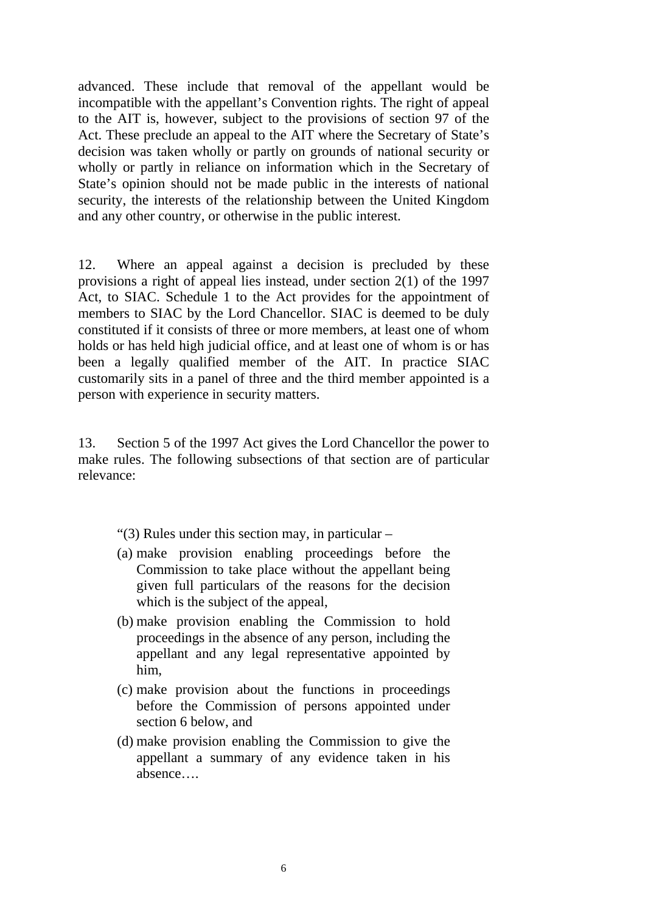advanced. These include that removal of the appellant would be incompatible with the appellant's Convention rights. The right of appeal to the AIT is, however, subject to the provisions of section 97 of the Act. These preclude an appeal to the AIT where the Secretary of State's decision was taken wholly or partly on grounds of national security or wholly or partly in reliance on information which in the Secretary of State's opinion should not be made public in the interests of national security, the interests of the relationship between the United Kingdom and any other country, or otherwise in the public interest.

12. Where an appeal against a decision is precluded by these provisions a right of appeal lies instead, under section 2(1) of the 1997 Act, to SIAC. Schedule 1 to the Act provides for the appointment of members to SIAC by the Lord Chancellor. SIAC is deemed to be duly constituted if it consists of three or more members, at least one of whom holds or has held high judicial office, and at least one of whom is or has been a legally qualified member of the AIT. In practice SIAC customarily sits in a panel of three and the third member appointed is a person with experience in security matters.

13. Section 5 of the 1997 Act gives the Lord Chancellor the power to make rules. The following subsections of that section are of particular relevance:

"(3) Rules under this section may, in particular –

- (a) make provision enabling proceedings before the Commission to take place without the appellant being given full particulars of the reasons for the decision which is the subject of the appeal,
- (b) make provision enabling the Commission to hold proceedings in the absence of any person, including the appellant and any legal representative appointed by him,
- (c) make provision about the functions in proceedings before the Commission of persons appointed under section 6 below, and
- (d) make provision enabling the Commission to give the appellant a summary of any evidence taken in his absence….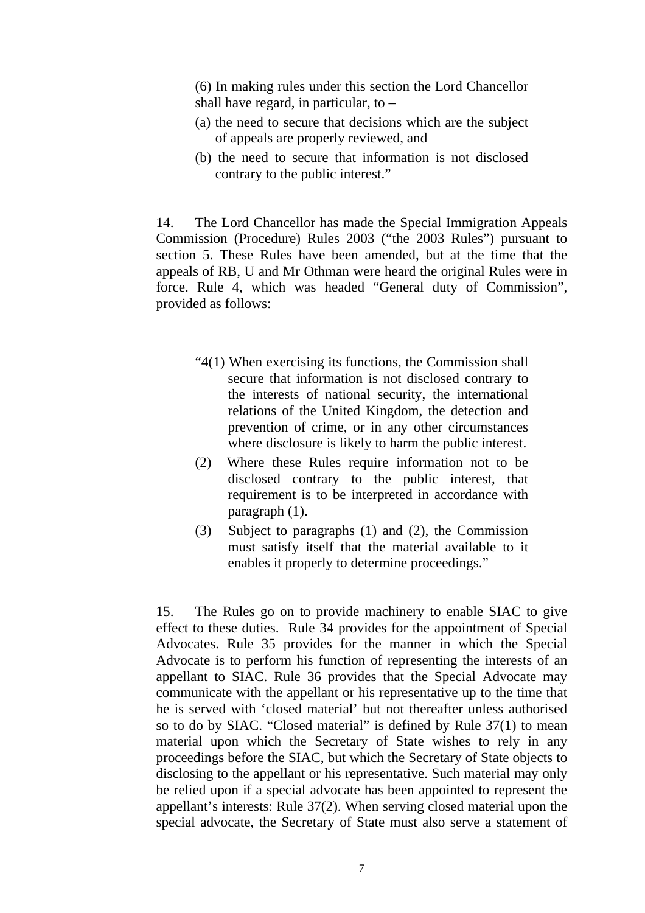(6) In making rules under this section the Lord Chancellor shall have regard, in particular, to –

- (a) the need to secure that decisions which are the subject of appeals are properly reviewed, and
- (b) the need to secure that information is not disclosed contrary to the public interest."

14. The Lord Chancellor has made the Special Immigration Appeals Commission (Procedure) Rules 2003 ("the 2003 Rules") pursuant to section 5. These Rules have been amended, but at the time that the appeals of RB, U and Mr Othman were heard the original Rules were in force. Rule 4, which was headed "General duty of Commission", provided as follows:

- "4(1) When exercising its functions, the Commission shall secure that information is not disclosed contrary to the interests of national security, the international relations of the United Kingdom, the detection and prevention of crime, or in any other circumstances where disclosure is likely to harm the public interest.
- (2) Where these Rules require information not to be disclosed contrary to the public interest, that requirement is to be interpreted in accordance with paragraph (1).
- (3) Subject to paragraphs (1) and (2), the Commission must satisfy itself that the material available to it enables it properly to determine proceedings."

15. The Rules go on to provide machinery to enable SIAC to give effect to these duties. Rule 34 provides for the appointment of Special Advocates. Rule 35 provides for the manner in which the Special Advocate is to perform his function of representing the interests of an appellant to SIAC. Rule 36 provides that the Special Advocate may communicate with the appellant or his representative up to the time that he is served with 'closed material' but not thereafter unless authorised so to do by SIAC. "Closed material" is defined by Rule 37(1) to mean material upon which the Secretary of State wishes to rely in any proceedings before the SIAC, but which the Secretary of State objects to disclosing to the appellant or his representative. Such material may only be relied upon if a special advocate has been appointed to represent the appellant's interests: Rule 37(2). When serving closed material upon the special advocate, the Secretary of State must also serve a statement of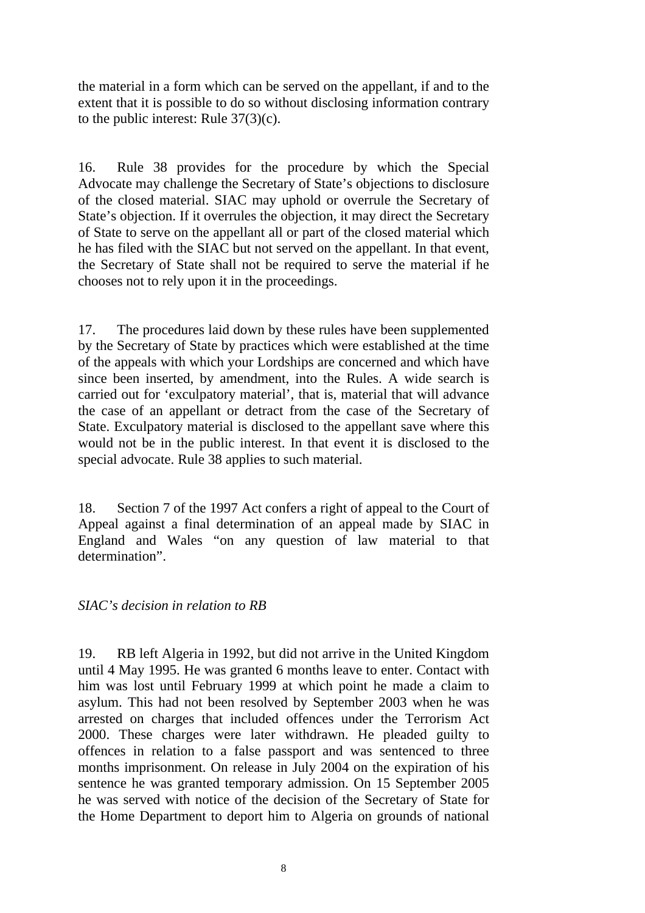the material in a form which can be served on the appellant, if and to the extent that it is possible to do so without disclosing information contrary to the public interest: Rule 37(3)(c).

16. Rule 38 provides for the procedure by which the Special Advocate may challenge the Secretary of State's objections to disclosure of the closed material. SIAC may uphold or overrule the Secretary of State's objection. If it overrules the objection, it may direct the Secretary of State to serve on the appellant all or part of the closed material which he has filed with the SIAC but not served on the appellant. In that event, the Secretary of State shall not be required to serve the material if he chooses not to rely upon it in the proceedings.

17. The procedures laid down by these rules have been supplemented by the Secretary of State by practices which were established at the time of the appeals with which your Lordships are concerned and which have since been inserted, by amendment, into the Rules. A wide search is carried out for 'exculpatory material', that is, material that will advance the case of an appellant or detract from the case of the Secretary of State. Exculpatory material is disclosed to the appellant save where this would not be in the public interest. In that event it is disclosed to the special advocate. Rule 38 applies to such material.

18. Section 7 of the 1997 Act confers a right of appeal to the Court of Appeal against a final determination of an appeal made by SIAC in England and Wales "on any question of law material to that determination".

## *SIAC's decision in relation to RB*

19. RB left Algeria in 1992, but did not arrive in the United Kingdom until 4 May 1995. He was granted 6 months leave to enter. Contact with him was lost until February 1999 at which point he made a claim to asylum. This had not been resolved by September 2003 when he was arrested on charges that included offences under the Terrorism Act 2000. These charges were later withdrawn. He pleaded guilty to offences in relation to a false passport and was sentenced to three months imprisonment. On release in July 2004 on the expiration of his sentence he was granted temporary admission. On 15 September 2005 he was served with notice of the decision of the Secretary of State for the Home Department to deport him to Algeria on grounds of national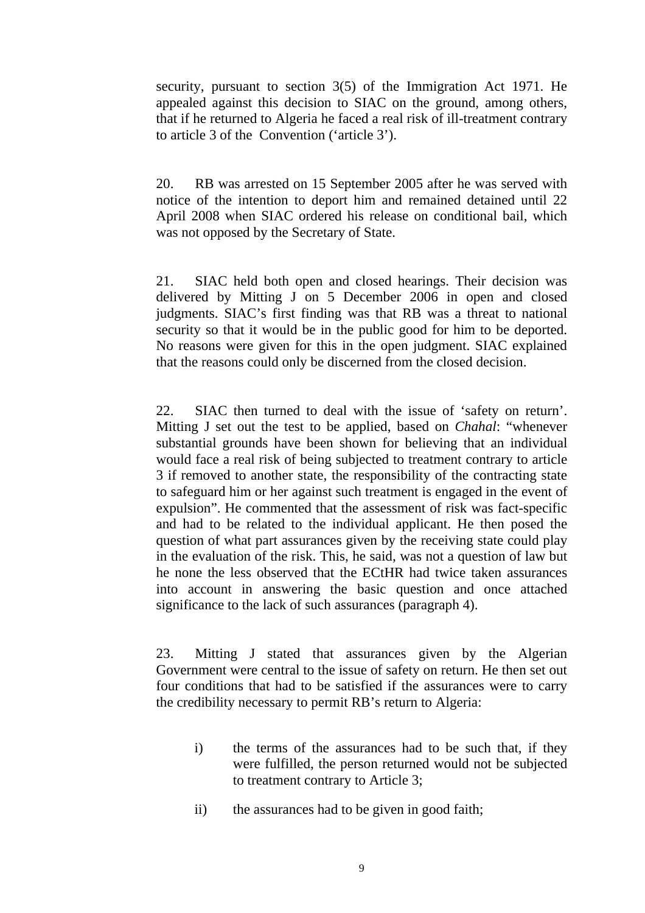security, pursuant to section 3(5) of the Immigration Act 1971. He appealed against this decision to SIAC on the ground, among others, that if he returned to Algeria he faced a real risk of ill-treatment contrary to article 3 of the Convention ('article 3').

20. RB was arrested on 15 September 2005 after he was served with notice of the intention to deport him and remained detained until 22 April 2008 when SIAC ordered his release on conditional bail, which was not opposed by the Secretary of State.

21. SIAC held both open and closed hearings. Their decision was delivered by Mitting J on 5 December 2006 in open and closed judgments. SIAC's first finding was that RB was a threat to national security so that it would be in the public good for him to be deported. No reasons were given for this in the open judgment. SIAC explained that the reasons could only be discerned from the closed decision.

22. SIAC then turned to deal with the issue of 'safety on return'. Mitting J set out the test to be applied, based on *Chahal*: "whenever substantial grounds have been shown for believing that an individual would face a real risk of being subjected to treatment contrary to article 3 if removed to another state, the responsibility of the contracting state to safeguard him or her against such treatment is engaged in the event of expulsion". He commented that the assessment of risk was fact-specific and had to be related to the individual applicant. He then posed the question of what part assurances given by the receiving state could play in the evaluation of the risk. This, he said, was not a question of law but he none the less observed that the ECtHR had twice taken assurances into account in answering the basic question and once attached significance to the lack of such assurances (paragraph 4).

23. Mitting J stated that assurances given by the Algerian Government were central to the issue of safety on return. He then set out four conditions that had to be satisfied if the assurances were to carry the credibility necessary to permit RB's return to Algeria:

- i) the terms of the assurances had to be such that, if they were fulfilled, the person returned would not be subjected to treatment contrary to Article 3;
- ii) the assurances had to be given in good faith;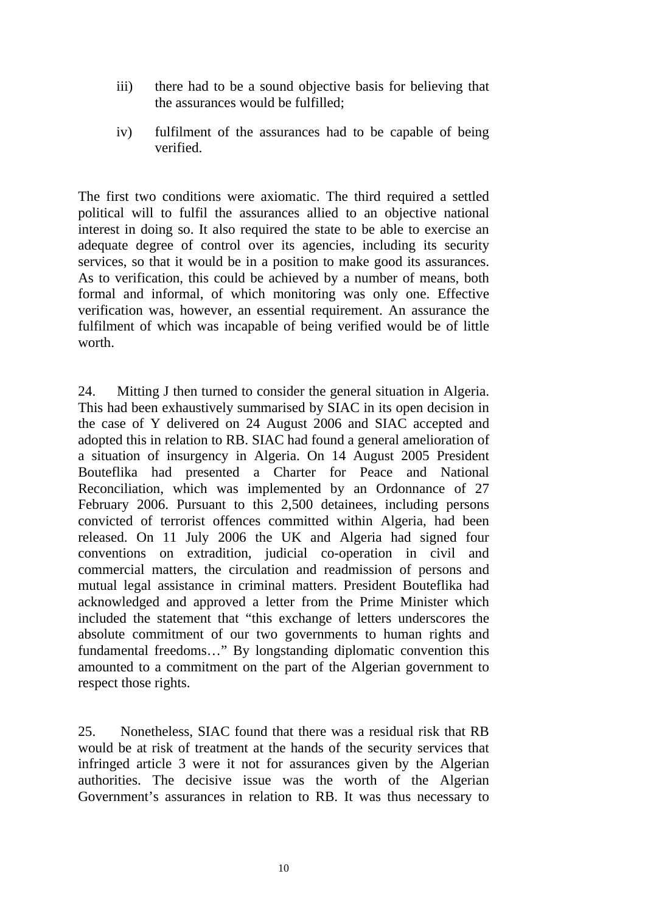- iii) there had to be a sound objective basis for believing that the assurances would be fulfilled;
- iv) fulfilment of the assurances had to be capable of being verified.

The first two conditions were axiomatic. The third required a settled political will to fulfil the assurances allied to an objective national interest in doing so. It also required the state to be able to exercise an adequate degree of control over its agencies, including its security services, so that it would be in a position to make good its assurances. As to verification, this could be achieved by a number of means, both formal and informal, of which monitoring was only one. Effective verification was, however, an essential requirement. An assurance the fulfilment of which was incapable of being verified would be of little worth.

24. Mitting J then turned to consider the general situation in Algeria. This had been exhaustively summarised by SIAC in its open decision in the case of Y delivered on 24 August 2006 and SIAC accepted and adopted this in relation to RB. SIAC had found a general amelioration of a situation of insurgency in Algeria. On 14 August 2005 President Bouteflika had presented a Charter for Peace and National Reconciliation, which was implemented by an Ordonnance of 27 February 2006. Pursuant to this 2,500 detainees, including persons convicted of terrorist offences committed within Algeria, had been released. On 11 July 2006 the UK and Algeria had signed four conventions on extradition, judicial co-operation in civil and commercial matters, the circulation and readmission of persons and mutual legal assistance in criminal matters. President Bouteflika had acknowledged and approved a letter from the Prime Minister which included the statement that "this exchange of letters underscores the absolute commitment of our two governments to human rights and fundamental freedoms…" By longstanding diplomatic convention this amounted to a commitment on the part of the Algerian government to respect those rights.

25. Nonetheless, SIAC found that there was a residual risk that RB would be at risk of treatment at the hands of the security services that infringed article 3 were it not for assurances given by the Algerian authorities. The decisive issue was the worth of the Algerian Government's assurances in relation to RB. It was thus necessary to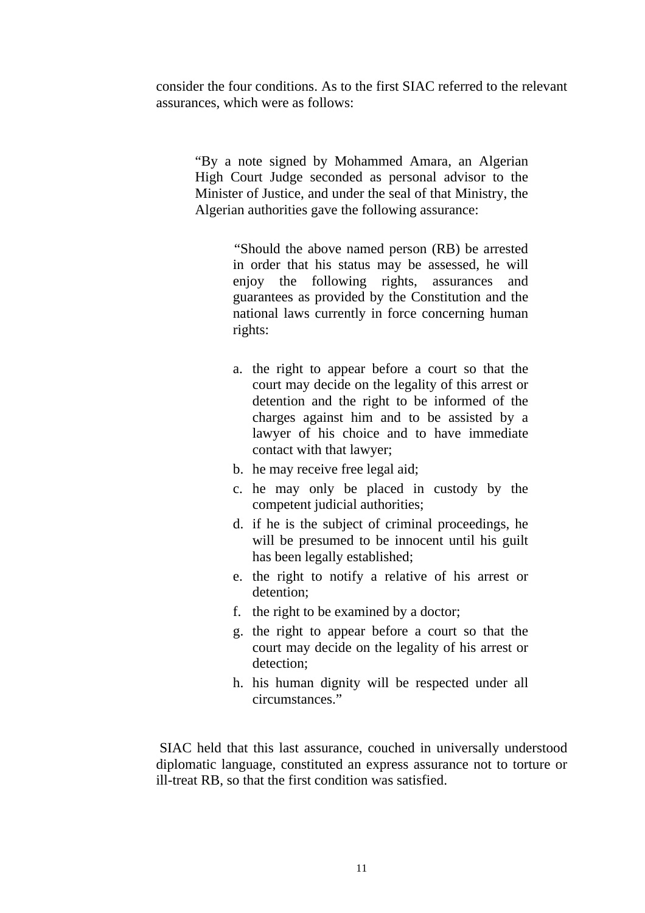consider the four conditions. As to the first SIAC referred to the relevant assurances, which were as follows:

"By a note signed by Mohammed Amara, an Algerian High Court Judge seconded as personal advisor to the Minister of Justice, and under the seal of that Ministry, the Algerian authorities gave the following assurance:

> "Should the above named person (RB) be arrested in order that his status may be assessed, he will enjoy the following rights, assurances and guarantees as provided by the Constitution and the national laws currently in force concerning human rights:

- a. the right to appear before a court so that the court may decide on the legality of this arrest or detention and the right to be informed of the charges against him and to be assisted by a lawyer of his choice and to have immediate contact with that lawyer;
- b. he may receive free legal aid;
- c. he may only be placed in custody by the competent judicial authorities;
- d. if he is the subject of criminal proceedings, he will be presumed to be innocent until his guilt has been legally established;
- e. the right to notify a relative of his arrest or detention;
- f. the right to be examined by a doctor;
- g. the right to appear before a court so that the court may decide on the legality of his arrest or detection;
- h. his human dignity will be respected under all circumstances."

 SIAC held that this last assurance, couched in universally understood diplomatic language, constituted an express assurance not to torture or ill-treat RB, so that the first condition was satisfied.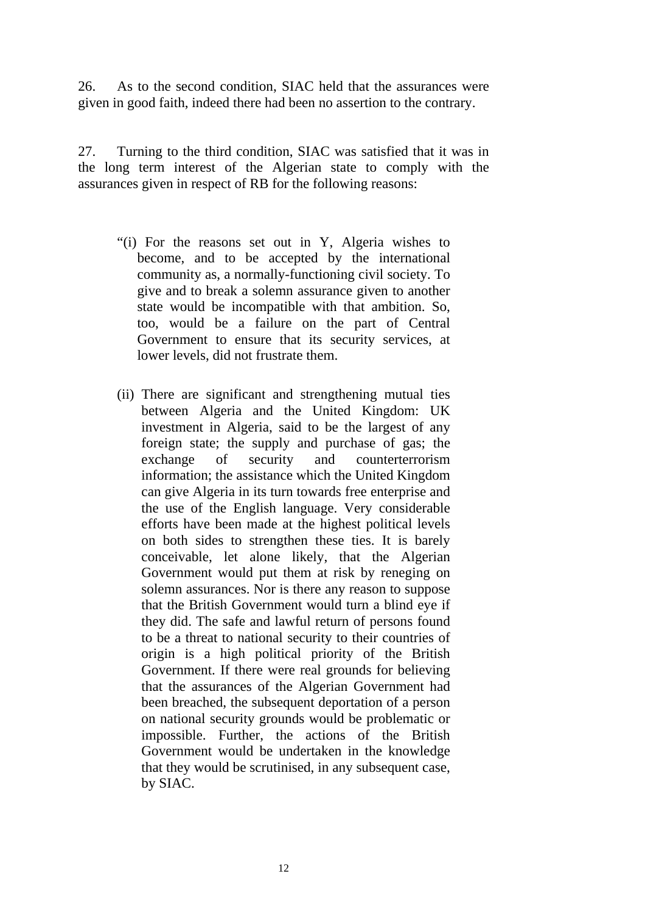26. As to the second condition, SIAC held that the assurances were given in good faith, indeed there had been no assertion to the contrary.

27. Turning to the third condition, SIAC was satisfied that it was in the long term interest of the Algerian state to comply with the assurances given in respect of RB for the following reasons:

- "(i) For the reasons set out in Y, Algeria wishes to become, and to be accepted by the international community as, a normally-functioning civil society. To give and to break a solemn assurance given to another state would be incompatible with that ambition. So, too, would be a failure on the part of Central Government to ensure that its security services, at lower levels, did not frustrate them.
- (ii) There are significant and strengthening mutual ties between Algeria and the United Kingdom: UK investment in Algeria, said to be the largest of any foreign state; the supply and purchase of gas; the exchange of security and counterterrorism information; the assistance which the United Kingdom can give Algeria in its turn towards free enterprise and the use of the English language. Very considerable efforts have been made at the highest political levels on both sides to strengthen these ties. It is barely conceivable, let alone likely, that the Algerian Government would put them at risk by reneging on solemn assurances. Nor is there any reason to suppose that the British Government would turn a blind eye if they did. The safe and lawful return of persons found to be a threat to national security to their countries of origin is a high political priority of the British Government. If there were real grounds for believing that the assurances of the Algerian Government had been breached, the subsequent deportation of a person on national security grounds would be problematic or impossible. Further, the actions of the British Government would be undertaken in the knowledge that they would be scrutinised, in any subsequent case, by SIAC.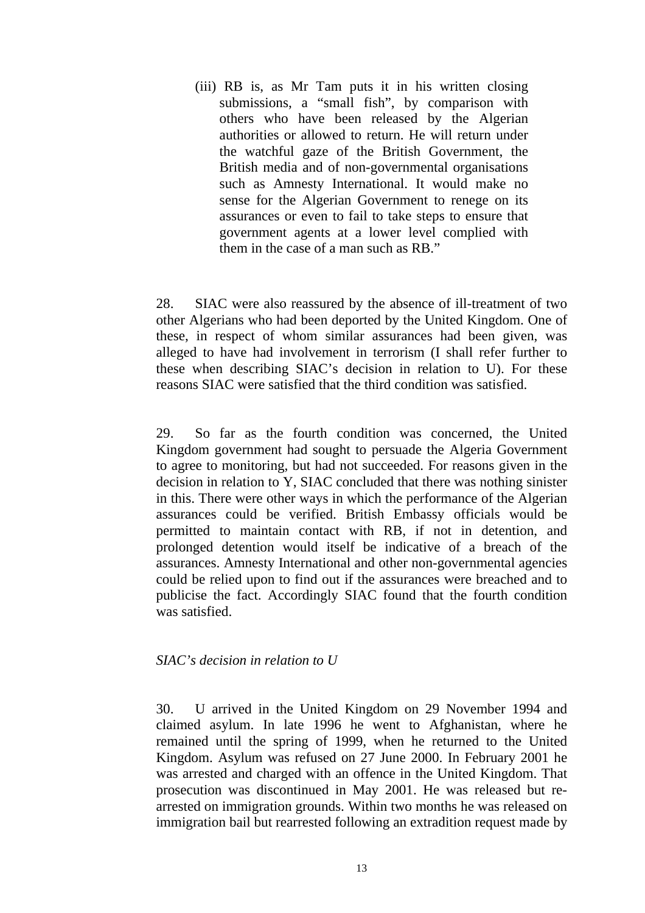(iii) RB is, as Mr Tam puts it in his written closing submissions, a "small fish", by comparison with others who have been released by the Algerian authorities or allowed to return. He will return under the watchful gaze of the British Government, the British media and of non-governmental organisations such as Amnesty International. It would make no sense for the Algerian Government to renege on its assurances or even to fail to take steps to ensure that government agents at a lower level complied with them in the case of a man such as RB."

28. SIAC were also reassured by the absence of ill-treatment of two other Algerians who had been deported by the United Kingdom. One of these, in respect of whom similar assurances had been given, was alleged to have had involvement in terrorism (I shall refer further to these when describing SIAC's decision in relation to U). For these reasons SIAC were satisfied that the third condition was satisfied.

29. So far as the fourth condition was concerned, the United Kingdom government had sought to persuade the Algeria Government to agree to monitoring, but had not succeeded. For reasons given in the decision in relation to Y, SIAC concluded that there was nothing sinister in this. There were other ways in which the performance of the Algerian assurances could be verified. British Embassy officials would be permitted to maintain contact with RB, if not in detention, and prolonged detention would itself be indicative of a breach of the assurances. Amnesty International and other non-governmental agencies could be relied upon to find out if the assurances were breached and to publicise the fact. Accordingly SIAC found that the fourth condition was satisfied.

## *SIAC's decision in relation to U*

30. U arrived in the United Kingdom on 29 November 1994 and claimed asylum. In late 1996 he went to Afghanistan, where he remained until the spring of 1999, when he returned to the United Kingdom. Asylum was refused on 27 June 2000. In February 2001 he was arrested and charged with an offence in the United Kingdom. That prosecution was discontinued in May 2001. He was released but rearrested on immigration grounds. Within two months he was released on immigration bail but rearrested following an extradition request made by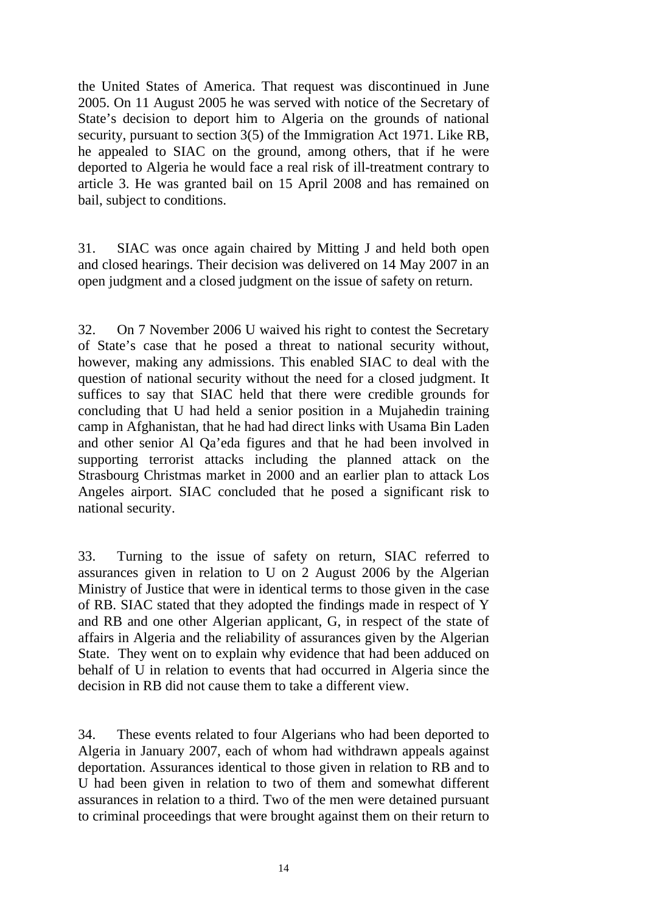the United States of America. That request was discontinued in June 2005. On 11 August 2005 he was served with notice of the Secretary of State's decision to deport him to Algeria on the grounds of national security, pursuant to section 3(5) of the Immigration Act 1971. Like RB, he appealed to SIAC on the ground, among others, that if he were deported to Algeria he would face a real risk of ill-treatment contrary to article 3. He was granted bail on 15 April 2008 and has remained on bail, subject to conditions.

31. SIAC was once again chaired by Mitting J and held both open and closed hearings. Their decision was delivered on 14 May 2007 in an open judgment and a closed judgment on the issue of safety on return.

32. On 7 November 2006 U waived his right to contest the Secretary of State's case that he posed a threat to national security without, however, making any admissions. This enabled SIAC to deal with the question of national security without the need for a closed judgment. It suffices to say that SIAC held that there were credible grounds for concluding that U had held a senior position in a Mujahedin training camp in Afghanistan, that he had had direct links with Usama Bin Laden and other senior Al Qa'eda figures and that he had been involved in supporting terrorist attacks including the planned attack on the Strasbourg Christmas market in 2000 and an earlier plan to attack Los Angeles airport. SIAC concluded that he posed a significant risk to national security.

33. Turning to the issue of safety on return, SIAC referred to assurances given in relation to U on 2 August 2006 by the Algerian Ministry of Justice that were in identical terms to those given in the case of RB. SIAC stated that they adopted the findings made in respect of Y and RB and one other Algerian applicant, G, in respect of the state of affairs in Algeria and the reliability of assurances given by the Algerian State. They went on to explain why evidence that had been adduced on behalf of U in relation to events that had occurred in Algeria since the decision in RB did not cause them to take a different view.

34. These events related to four Algerians who had been deported to Algeria in January 2007, each of whom had withdrawn appeals against deportation. Assurances identical to those given in relation to RB and to U had been given in relation to two of them and somewhat different assurances in relation to a third. Two of the men were detained pursuant to criminal proceedings that were brought against them on their return to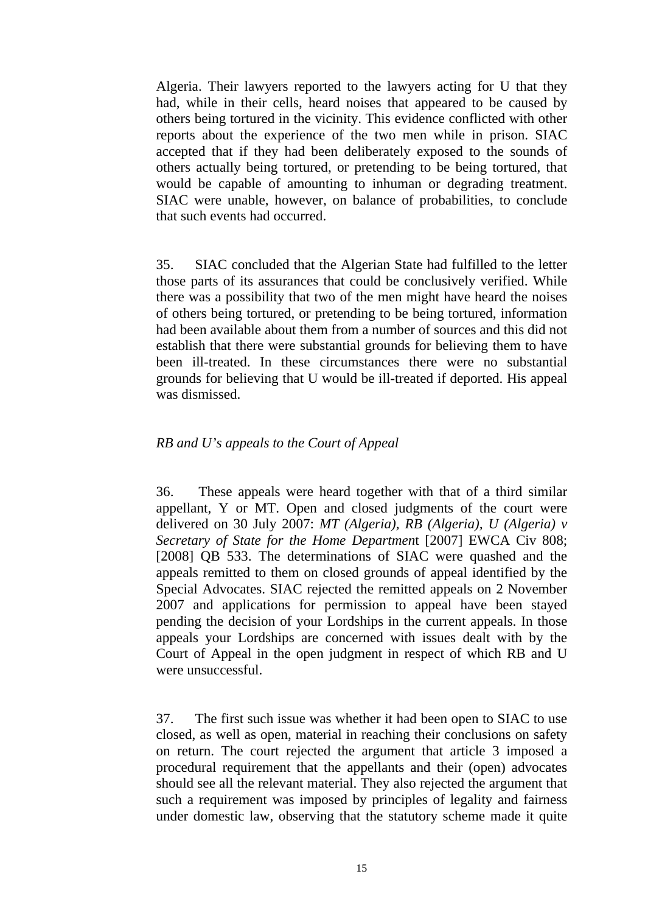Algeria. Their lawyers reported to the lawyers acting for U that they had, while in their cells, heard noises that appeared to be caused by others being tortured in the vicinity. This evidence conflicted with other reports about the experience of the two men while in prison. SIAC accepted that if they had been deliberately exposed to the sounds of others actually being tortured, or pretending to be being tortured, that would be capable of amounting to inhuman or degrading treatment. SIAC were unable, however, on balance of probabilities, to conclude that such events had occurred.

35. SIAC concluded that the Algerian State had fulfilled to the letter those parts of its assurances that could be conclusively verified. While there was a possibility that two of the men might have heard the noises of others being tortured, or pretending to be being tortured, information had been available about them from a number of sources and this did not establish that there were substantial grounds for believing them to have been ill-treated. In these circumstances there were no substantial grounds for believing that U would be ill-treated if deported. His appeal was dismissed.

## *RB and U's appeals to the Court of Appeal*

36. These appeals were heard together with that of a third similar appellant, Y or MT. Open and closed judgments of the court were delivered on 30 July 2007: *MT (Algeria), RB (Algeria), U (Algeria) v Secretary of State for the Home Departmen*t [2007] EWCA Civ 808; [2008] QB 533. The determinations of SIAC were quashed and the appeals remitted to them on closed grounds of appeal identified by the Special Advocates. SIAC rejected the remitted appeals on 2 November 2007 and applications for permission to appeal have been stayed pending the decision of your Lordships in the current appeals. In those appeals your Lordships are concerned with issues dealt with by the Court of Appeal in the open judgment in respect of which RB and U were unsuccessful.

37. The first such issue was whether it had been open to SIAC to use closed, as well as open, material in reaching their conclusions on safety on return. The court rejected the argument that article 3 imposed a procedural requirement that the appellants and their (open) advocates should see all the relevant material. They also rejected the argument that such a requirement was imposed by principles of legality and fairness under domestic law, observing that the statutory scheme made it quite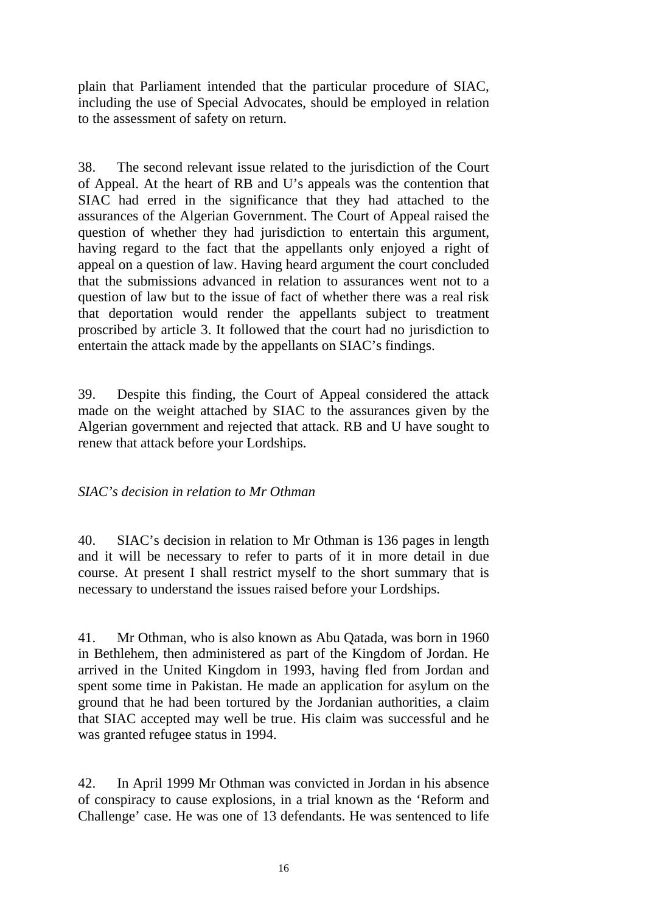plain that Parliament intended that the particular procedure of SIAC, including the use of Special Advocates, should be employed in relation to the assessment of safety on return.

38. The second relevant issue related to the jurisdiction of the Court of Appeal. At the heart of RB and U's appeals was the contention that SIAC had erred in the significance that they had attached to the assurances of the Algerian Government. The Court of Appeal raised the question of whether they had jurisdiction to entertain this argument, having regard to the fact that the appellants only enjoyed a right of appeal on a question of law. Having heard argument the court concluded that the submissions advanced in relation to assurances went not to a question of law but to the issue of fact of whether there was a real risk that deportation would render the appellants subject to treatment proscribed by article 3. It followed that the court had no jurisdiction to entertain the attack made by the appellants on SIAC's findings.

39. Despite this finding, the Court of Appeal considered the attack made on the weight attached by SIAC to the assurances given by the Algerian government and rejected that attack. RB and U have sought to renew that attack before your Lordships.

## *SIAC's decision in relation to Mr Othman*

40. SIAC's decision in relation to Mr Othman is 136 pages in length and it will be necessary to refer to parts of it in more detail in due course. At present I shall restrict myself to the short summary that is necessary to understand the issues raised before your Lordships.

41. Mr Othman, who is also known as Abu Qatada, was born in 1960 in Bethlehem, then administered as part of the Kingdom of Jordan. He arrived in the United Kingdom in 1993, having fled from Jordan and spent some time in Pakistan. He made an application for asylum on the ground that he had been tortured by the Jordanian authorities, a claim that SIAC accepted may well be true. His claim was successful and he was granted refugee status in 1994.

42. In April 1999 Mr Othman was convicted in Jordan in his absence of conspiracy to cause explosions, in a trial known as the 'Reform and Challenge' case. He was one of 13 defendants. He was sentenced to life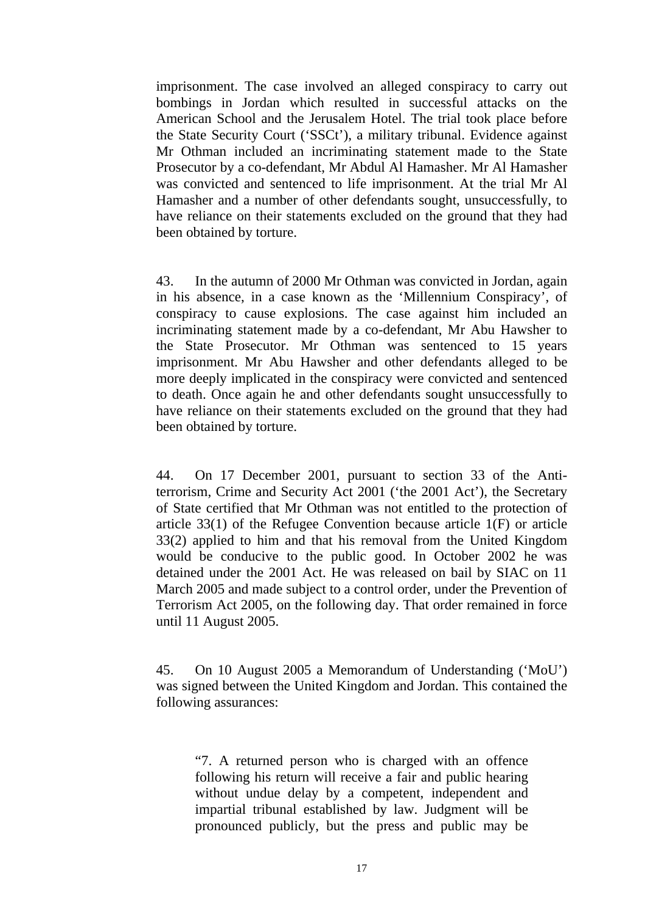imprisonment. The case involved an alleged conspiracy to carry out bombings in Jordan which resulted in successful attacks on the American School and the Jerusalem Hotel. The trial took place before the State Security Court ('SSCt'), a military tribunal. Evidence against Mr Othman included an incriminating statement made to the State Prosecutor by a co-defendant, Mr Abdul Al Hamasher. Mr Al Hamasher was convicted and sentenced to life imprisonment. At the trial Mr Al Hamasher and a number of other defendants sought, unsuccessfully, to have reliance on their statements excluded on the ground that they had been obtained by torture.

43. In the autumn of 2000 Mr Othman was convicted in Jordan, again in his absence, in a case known as the 'Millennium Conspiracy', of conspiracy to cause explosions. The case against him included an incriminating statement made by a co-defendant, Mr Abu Hawsher to the State Prosecutor. Mr Othman was sentenced to 15 years imprisonment. Mr Abu Hawsher and other defendants alleged to be more deeply implicated in the conspiracy were convicted and sentenced to death. Once again he and other defendants sought unsuccessfully to have reliance on their statements excluded on the ground that they had been obtained by torture.

44. On 17 December 2001, pursuant to section 33 of the Antiterrorism, Crime and Security Act 2001 ('the 2001 Act'), the Secretary of State certified that Mr Othman was not entitled to the protection of article 33(1) of the Refugee Convention because article 1(F) or article 33(2) applied to him and that his removal from the United Kingdom would be conducive to the public good. In October 2002 he was detained under the 2001 Act. He was released on bail by SIAC on 11 March 2005 and made subject to a control order, under the Prevention of Terrorism Act 2005, on the following day. That order remained in force until 11 August 2005.

45. On 10 August 2005 a Memorandum of Understanding ('MoU') was signed between the United Kingdom and Jordan. This contained the following assurances:

"7. A returned person who is charged with an offence following his return will receive a fair and public hearing without undue delay by a competent, independent and impartial tribunal established by law. Judgment will be pronounced publicly, but the press and public may be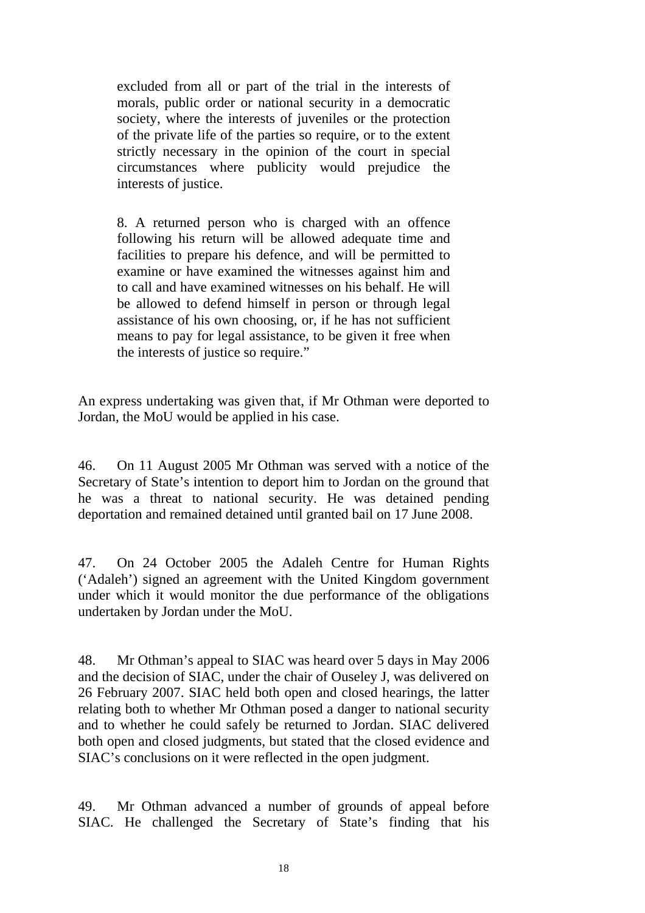excluded from all or part of the trial in the interests of morals, public order or national security in a democratic society, where the interests of juveniles or the protection of the private life of the parties so require, or to the extent strictly necessary in the opinion of the court in special circumstances where publicity would prejudice the interests of justice.

8. A returned person who is charged with an offence following his return will be allowed adequate time and facilities to prepare his defence, and will be permitted to examine or have examined the witnesses against him and to call and have examined witnesses on his behalf. He will be allowed to defend himself in person or through legal assistance of his own choosing, or, if he has not sufficient means to pay for legal assistance, to be given it free when the interests of justice so require."

An express undertaking was given that, if Mr Othman were deported to Jordan, the MoU would be applied in his case.

46. On 11 August 2005 Mr Othman was served with a notice of the Secretary of State's intention to deport him to Jordan on the ground that he was a threat to national security. He was detained pending deportation and remained detained until granted bail on 17 June 2008.

47. On 24 October 2005 the Adaleh Centre for Human Rights ('Adaleh') signed an agreement with the United Kingdom government under which it would monitor the due performance of the obligations undertaken by Jordan under the MoU.

48. Mr Othman's appeal to SIAC was heard over 5 days in May 2006 and the decision of SIAC, under the chair of Ouseley J, was delivered on 26 February 2007. SIAC held both open and closed hearings, the latter relating both to whether Mr Othman posed a danger to national security and to whether he could safely be returned to Jordan. SIAC delivered both open and closed judgments, but stated that the closed evidence and SIAC's conclusions on it were reflected in the open judgment.

49. Mr Othman advanced a number of grounds of appeal before SIAC. He challenged the Secretary of State's finding that his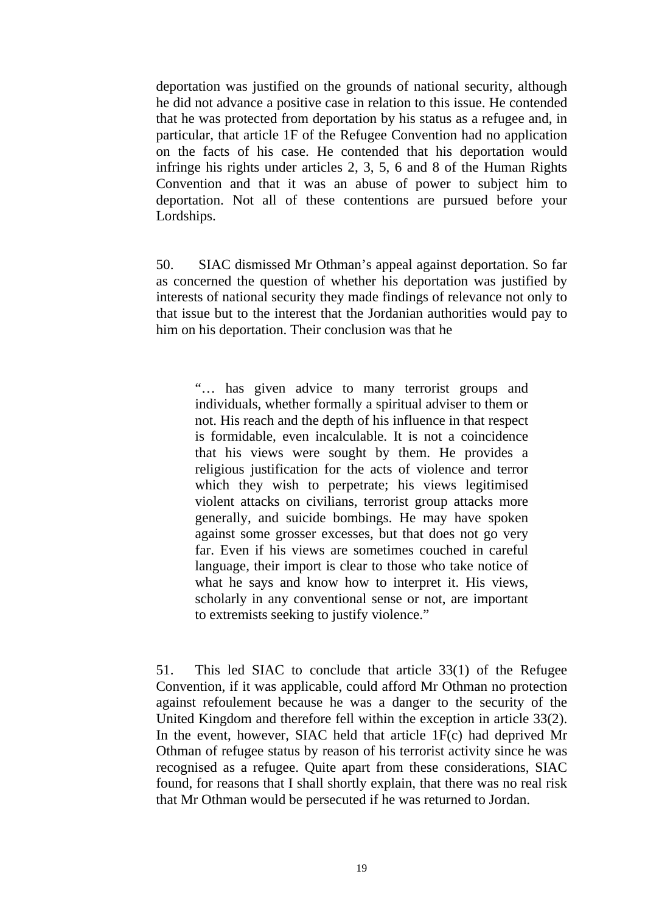deportation was justified on the grounds of national security, although he did not advance a positive case in relation to this issue. He contended that he was protected from deportation by his status as a refugee and, in particular, that article 1F of the Refugee Convention had no application on the facts of his case. He contended that his deportation would infringe his rights under articles 2, 3, 5, 6 and 8 of the Human Rights Convention and that it was an abuse of power to subject him to deportation. Not all of these contentions are pursued before your Lordships.

50. SIAC dismissed Mr Othman's appeal against deportation. So far as concerned the question of whether his deportation was justified by interests of national security they made findings of relevance not only to that issue but to the interest that the Jordanian authorities would pay to him on his deportation. Their conclusion was that he

"… has given advice to many terrorist groups and individuals, whether formally a spiritual adviser to them or not. His reach and the depth of his influence in that respect is formidable, even incalculable. It is not a coincidence that his views were sought by them. He provides a religious justification for the acts of violence and terror which they wish to perpetrate; his views legitimised violent attacks on civilians, terrorist group attacks more generally, and suicide bombings. He may have spoken against some grosser excesses, but that does not go very far. Even if his views are sometimes couched in careful language, their import is clear to those who take notice of what he says and know how to interpret it. His views, scholarly in any conventional sense or not, are important to extremists seeking to justify violence."

51. This led SIAC to conclude that article 33(1) of the Refugee Convention, if it was applicable, could afford Mr Othman no protection against refoulement because he was a danger to the security of the United Kingdom and therefore fell within the exception in article 33(2). In the event, however, SIAC held that article 1F(c) had deprived Mr Othman of refugee status by reason of his terrorist activity since he was recognised as a refugee. Quite apart from these considerations, SIAC found, for reasons that I shall shortly explain, that there was no real risk that Mr Othman would be persecuted if he was returned to Jordan.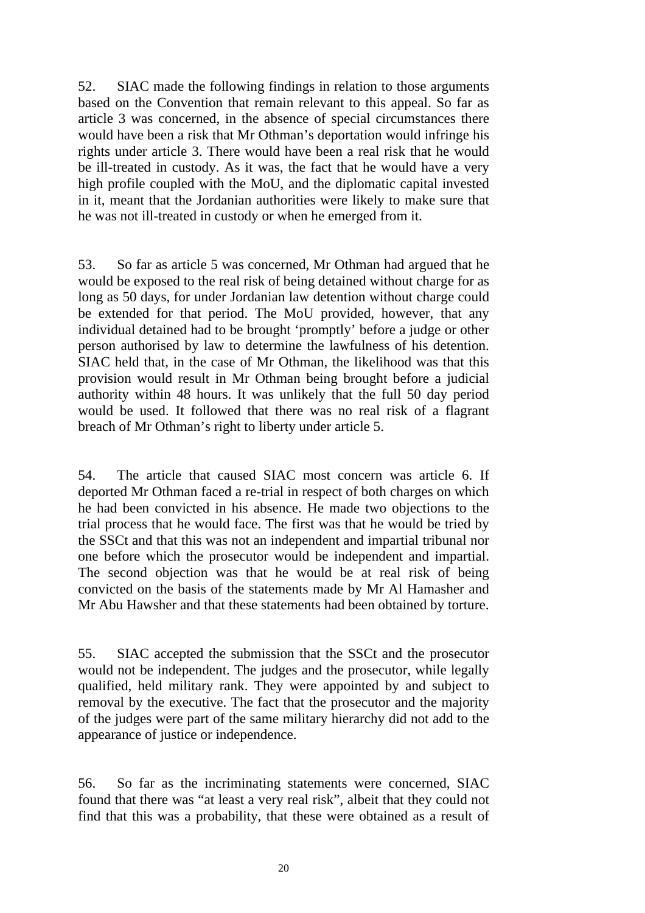52. SIAC made the following findings in relation to those arguments based on the Convention that remain relevant to this appeal. So far as article 3 was concerned, in the absence of special circumstances there would have been a risk that Mr Othman's deportation would infringe his rights under article 3. There would have been a real risk that he would be ill-treated in custody. As it was, the fact that he would have a very high profile coupled with the MoU, and the diplomatic capital invested in it, meant that the Jordanian authorities were likely to make sure that he was not ill-treated in custody or when he emerged from it.

53. So far as article 5 was concerned, Mr Othman had argued that he would be exposed to the real risk of being detained without charge for as long as 50 days, for under Jordanian law detention without charge could be extended for that period. The MoU provided, however, that any individual detained had to be brought 'promptly' before a judge or other person authorised by law to determine the lawfulness of his detention. SIAC held that, in the case of Mr Othman, the likelihood was that this provision would result in Mr Othman being brought before a judicial authority within 48 hours. It was unlikely that the full 50 day period would be used. It followed that there was no real risk of a flagrant breach of Mr Othman's right to liberty under article 5.

54. The article that caused SIAC most concern was article 6. If deported Mr Othman faced a re-trial in respect of both charges on which he had been convicted in his absence. He made two objections to the trial process that he would face. The first was that he would be tried by the SSCt and that this was not an independent and impartial tribunal nor one before which the prosecutor would be independent and impartial. The second objection was that he would be at real risk of being convicted on the basis of the statements made by Mr Al Hamasher and Mr Abu Hawsher and that these statements had been obtained by torture.

55. SIAC accepted the submission that the SSCt and the prosecutor would not be independent. The judges and the prosecutor, while legally qualified, held military rank. They were appointed by and subject to removal by the executive. The fact that the prosecutor and the majority of the judges were part of the same military hierarchy did not add to the appearance of justice or independence.

56. So far as the incriminating statements were concerned, SIAC found that there was "at least a very real risk", albeit that they could not find that this was a probability, that these were obtained as a result of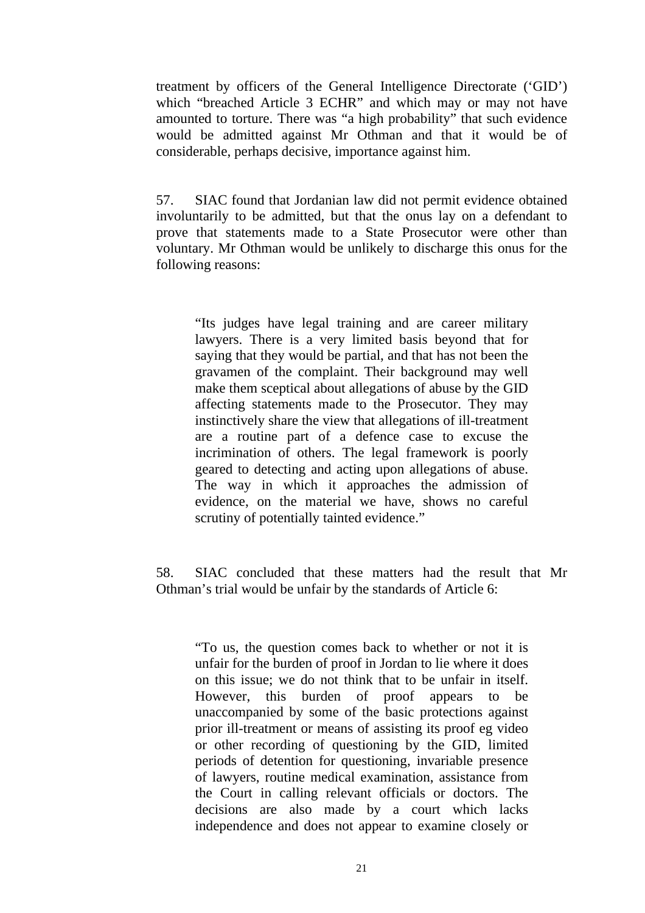treatment by officers of the General Intelligence Directorate ('GID') which "breached Article 3 ECHR" and which may or may not have amounted to torture. There was "a high probability" that such evidence would be admitted against Mr Othman and that it would be of considerable, perhaps decisive, importance against him.

57. SIAC found that Jordanian law did not permit evidence obtained involuntarily to be admitted, but that the onus lay on a defendant to prove that statements made to a State Prosecutor were other than voluntary. Mr Othman would be unlikely to discharge this onus for the following reasons:

"Its judges have legal training and are career military lawyers. There is a very limited basis beyond that for saying that they would be partial, and that has not been the gravamen of the complaint. Their background may well make them sceptical about allegations of abuse by the GID affecting statements made to the Prosecutor. They may instinctively share the view that allegations of ill-treatment are a routine part of a defence case to excuse the incrimination of others. The legal framework is poorly geared to detecting and acting upon allegations of abuse. The way in which it approaches the admission of evidence, on the material we have, shows no careful scrutiny of potentially tainted evidence."

58. SIAC concluded that these matters had the result that Mr Othman's trial would be unfair by the standards of Article 6:

"To us, the question comes back to whether or not it is unfair for the burden of proof in Jordan to lie where it does on this issue; we do not think that to be unfair in itself. However, this burden of proof appears to be unaccompanied by some of the basic protections against prior ill-treatment or means of assisting its proof eg video or other recording of questioning by the GID, limited periods of detention for questioning, invariable presence of lawyers, routine medical examination, assistance from the Court in calling relevant officials or doctors. The decisions are also made by a court which lacks independence and does not appear to examine closely or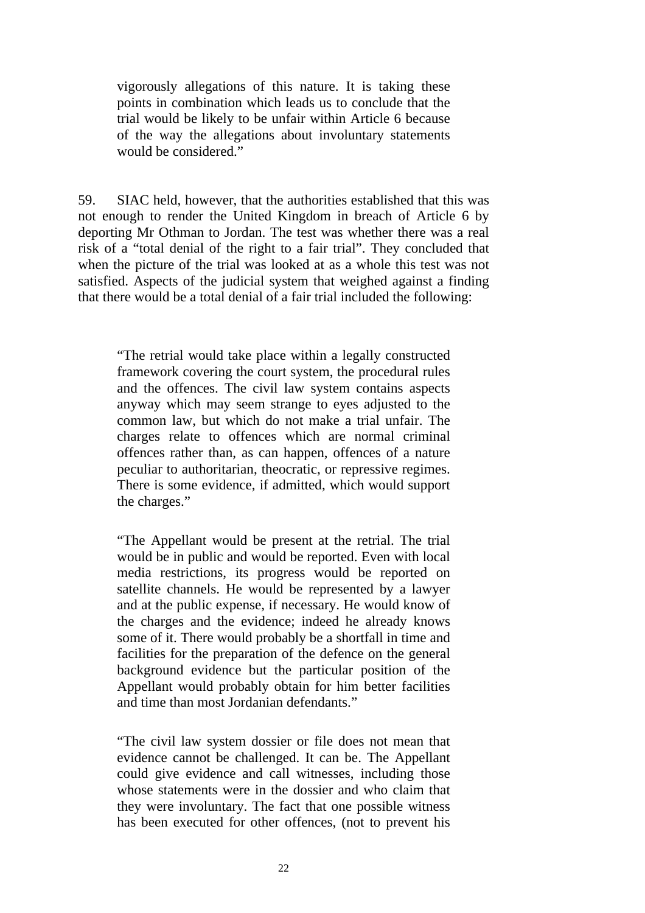vigorously allegations of this nature. It is taking these points in combination which leads us to conclude that the trial would be likely to be unfair within Article 6 because of the way the allegations about involuntary statements would be considered."

59. SIAC held, however, that the authorities established that this was not enough to render the United Kingdom in breach of Article 6 by deporting Mr Othman to Jordan. The test was whether there was a real risk of a "total denial of the right to a fair trial". They concluded that when the picture of the trial was looked at as a whole this test was not satisfied. Aspects of the judicial system that weighed against a finding that there would be a total denial of a fair trial included the following:

"The retrial would take place within a legally constructed framework covering the court system, the procedural rules and the offences. The civil law system contains aspects anyway which may seem strange to eyes adjusted to the common law, but which do not make a trial unfair. The charges relate to offences which are normal criminal offences rather than, as can happen, offences of a nature peculiar to authoritarian, theocratic, or repressive regimes. There is some evidence, if admitted, which would support the charges."

"The Appellant would be present at the retrial. The trial would be in public and would be reported. Even with local media restrictions, its progress would be reported on satellite channels. He would be represented by a lawyer and at the public expense, if necessary. He would know of the charges and the evidence; indeed he already knows some of it. There would probably be a shortfall in time and facilities for the preparation of the defence on the general background evidence but the particular position of the Appellant would probably obtain for him better facilities and time than most Jordanian defendants."

"The civil law system dossier or file does not mean that evidence cannot be challenged. It can be. The Appellant could give evidence and call witnesses, including those whose statements were in the dossier and who claim that they were involuntary. The fact that one possible witness has been executed for other offences, (not to prevent his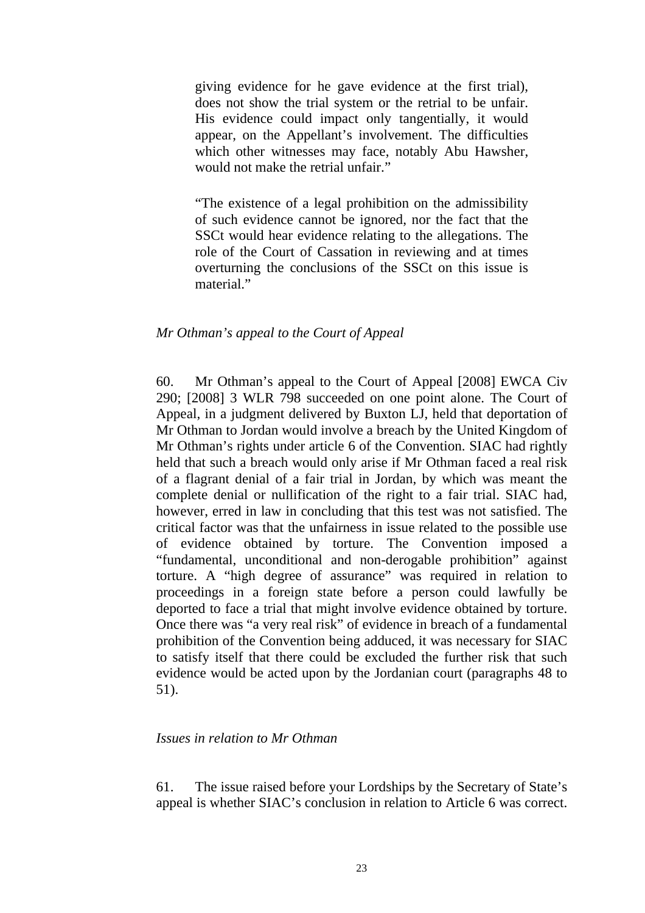giving evidence for he gave evidence at the first trial), does not show the trial system or the retrial to be unfair. His evidence could impact only tangentially, it would appear, on the Appellant's involvement. The difficulties which other witnesses may face, notably Abu Hawsher, would not make the retrial unfair."

"The existence of a legal prohibition on the admissibility of such evidence cannot be ignored, nor the fact that the SSCt would hear evidence relating to the allegations. The role of the Court of Cassation in reviewing and at times overturning the conclusions of the SSCt on this issue is material"

#### *Mr Othman's appeal to the Court of Appeal*

60. Mr Othman's appeal to the Court of Appeal [2008] EWCA Civ 290; [2008] 3 WLR 798 succeeded on one point alone. The Court of Appeal, in a judgment delivered by Buxton LJ, held that deportation of Mr Othman to Jordan would involve a breach by the United Kingdom of Mr Othman's rights under article 6 of the Convention. SIAC had rightly held that such a breach would only arise if Mr Othman faced a real risk of a flagrant denial of a fair trial in Jordan, by which was meant the complete denial or nullification of the right to a fair trial. SIAC had, however, erred in law in concluding that this test was not satisfied. The critical factor was that the unfairness in issue related to the possible use of evidence obtained by torture. The Convention imposed a "fundamental, unconditional and non-derogable prohibition" against torture. A "high degree of assurance" was required in relation to proceedings in a foreign state before a person could lawfully be deported to face a trial that might involve evidence obtained by torture. Once there was "a very real risk" of evidence in breach of a fundamental prohibition of the Convention being adduced, it was necessary for SIAC to satisfy itself that there could be excluded the further risk that such evidence would be acted upon by the Jordanian court (paragraphs 48 to 51).

#### *Issues in relation to Mr Othman*

61. The issue raised before your Lordships by the Secretary of State's appeal is whether SIAC's conclusion in relation to Article 6 was correct.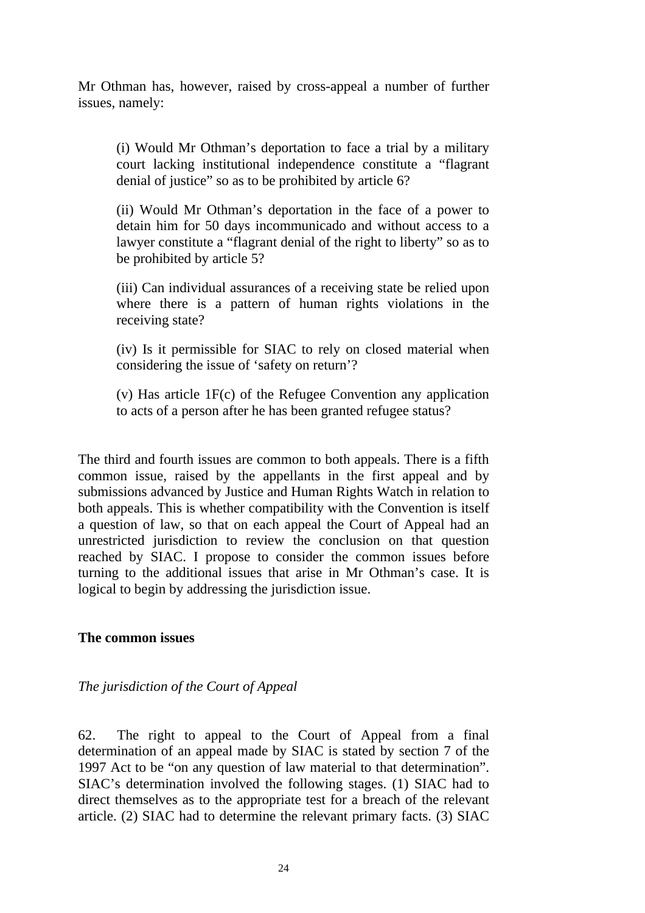Mr Othman has, however, raised by cross-appeal a number of further issues, namely:

(i) Would Mr Othman's deportation to face a trial by a military court lacking institutional independence constitute a "flagrant denial of justice" so as to be prohibited by article 6?

(ii) Would Mr Othman's deportation in the face of a power to detain him for 50 days incommunicado and without access to a lawyer constitute a "flagrant denial of the right to liberty" so as to be prohibited by article 5?

(iii) Can individual assurances of a receiving state be relied upon where there is a pattern of human rights violations in the receiving state?

(iv) Is it permissible for SIAC to rely on closed material when considering the issue of 'safety on return'?

(v) Has article 1F(c) of the Refugee Convention any application to acts of a person after he has been granted refugee status?

The third and fourth issues are common to both appeals. There is a fifth common issue, raised by the appellants in the first appeal and by submissions advanced by Justice and Human Rights Watch in relation to both appeals. This is whether compatibility with the Convention is itself a question of law, so that on each appeal the Court of Appeal had an unrestricted jurisdiction to review the conclusion on that question reached by SIAC. I propose to consider the common issues before turning to the additional issues that arise in Mr Othman's case. It is logical to begin by addressing the jurisdiction issue.

## **The common issues**

## *The jurisdiction of the Court of Appeal*

62. The right to appeal to the Court of Appeal from a final determination of an appeal made by SIAC is stated by section 7 of the 1997 Act to be "on any question of law material to that determination". SIAC's determination involved the following stages. (1) SIAC had to direct themselves as to the appropriate test for a breach of the relevant article. (2) SIAC had to determine the relevant primary facts. (3) SIAC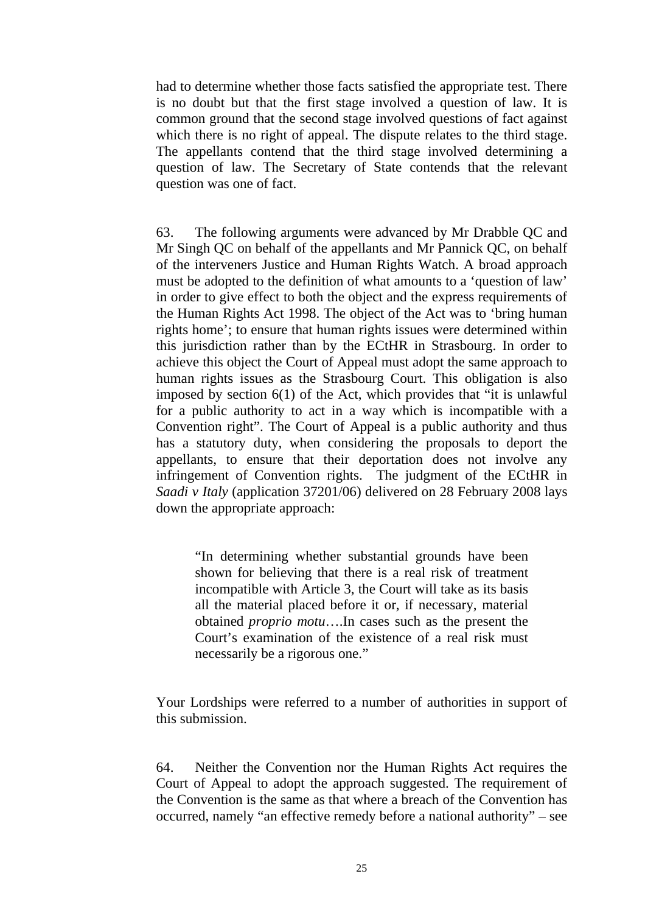had to determine whether those facts satisfied the appropriate test. There is no doubt but that the first stage involved a question of law. It is common ground that the second stage involved questions of fact against which there is no right of appeal. The dispute relates to the third stage. The appellants contend that the third stage involved determining a question of law. The Secretary of State contends that the relevant question was one of fact.

63. The following arguments were advanced by Mr Drabble QC and Mr Singh QC on behalf of the appellants and Mr Pannick QC, on behalf of the interveners Justice and Human Rights Watch. A broad approach must be adopted to the definition of what amounts to a 'question of law' in order to give effect to both the object and the express requirements of the Human Rights Act 1998. The object of the Act was to 'bring human rights home'; to ensure that human rights issues were determined within this jurisdiction rather than by the ECtHR in Strasbourg. In order to achieve this object the Court of Appeal must adopt the same approach to human rights issues as the Strasbourg Court. This obligation is also imposed by section 6(1) of the Act, which provides that "it is unlawful for a public authority to act in a way which is incompatible with a Convention right". The Court of Appeal is a public authority and thus has a statutory duty, when considering the proposals to deport the appellants, to ensure that their deportation does not involve any infringement of Convention rights. The judgment of the ECtHR in *Saadi v Italy* (application 37201/06) delivered on 28 February 2008 lays down the appropriate approach:

"In determining whether substantial grounds have been shown for believing that there is a real risk of treatment incompatible with Article 3, the Court will take as its basis all the material placed before it or, if necessary, material obtained *proprio motu*….In cases such as the present the Court's examination of the existence of a real risk must necessarily be a rigorous one."

Your Lordships were referred to a number of authorities in support of this submission.

64. Neither the Convention nor the Human Rights Act requires the Court of Appeal to adopt the approach suggested. The requirement of the Convention is the same as that where a breach of the Convention has occurred, namely "an effective remedy before a national authority" – see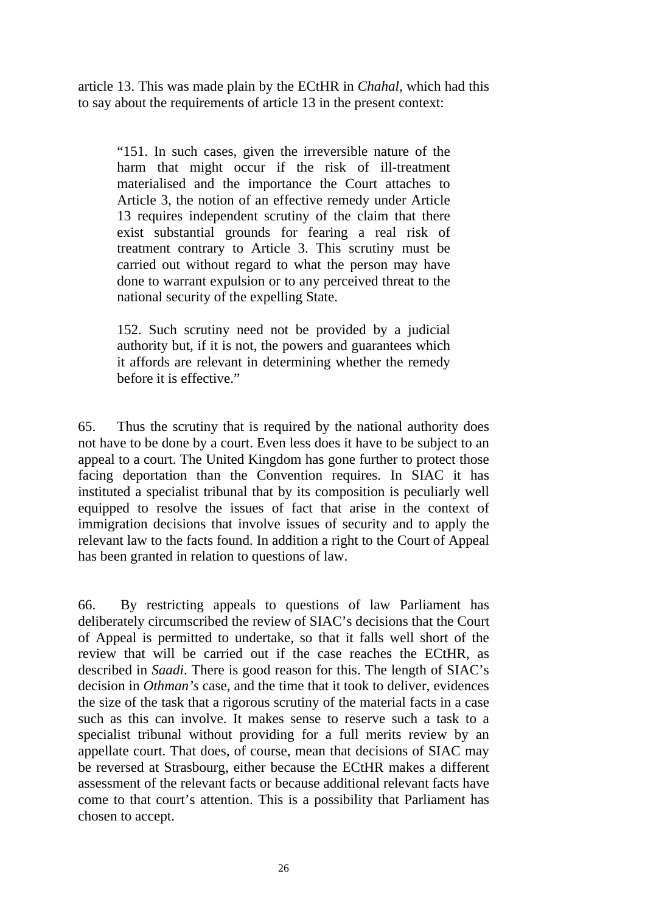article 13. This was made plain by the ECtHR in *Chahal,* which had this to say about the requirements of article 13 in the present context:

"151. In such cases, given the irreversible nature of the harm that might occur if the risk of ill-treatment materialised and the importance the Court attaches to Article 3, the notion of an effective remedy under Article 13 requires independent scrutiny of the claim that there exist substantial grounds for fearing a real risk of treatment contrary to Article 3. This scrutiny must be carried out without regard to what the person may have done to warrant expulsion or to any perceived threat to the national security of the expelling State.

152. Such scrutiny need not be provided by a judicial authority but, if it is not, the powers and guarantees which it affords are relevant in determining whether the remedy before it is effective."

65. Thus the scrutiny that is required by the national authority does not have to be done by a court. Even less does it have to be subject to an appeal to a court. The United Kingdom has gone further to protect those facing deportation than the Convention requires. In SIAC it has instituted a specialist tribunal that by its composition is peculiarly well equipped to resolve the issues of fact that arise in the context of immigration decisions that involve issues of security and to apply the relevant law to the facts found. In addition a right to the Court of Appeal has been granted in relation to questions of law.

66. By restricting appeals to questions of law Parliament has deliberately circumscribed the review of SIAC's decisions that the Court of Appeal is permitted to undertake, so that it falls well short of the review that will be carried out if the case reaches the ECtHR, as described in *Saadi*. There is good reason for this. The length of SIAC's decision in *Othman's* case, and the time that it took to deliver, evidences the size of the task that a rigorous scrutiny of the material facts in a case such as this can involve. It makes sense to reserve such a task to a specialist tribunal without providing for a full merits review by an appellate court. That does, of course, mean that decisions of SIAC may be reversed at Strasbourg, either because the ECtHR makes a different assessment of the relevant facts or because additional relevant facts have come to that court's attention. This is a possibility that Parliament has chosen to accept.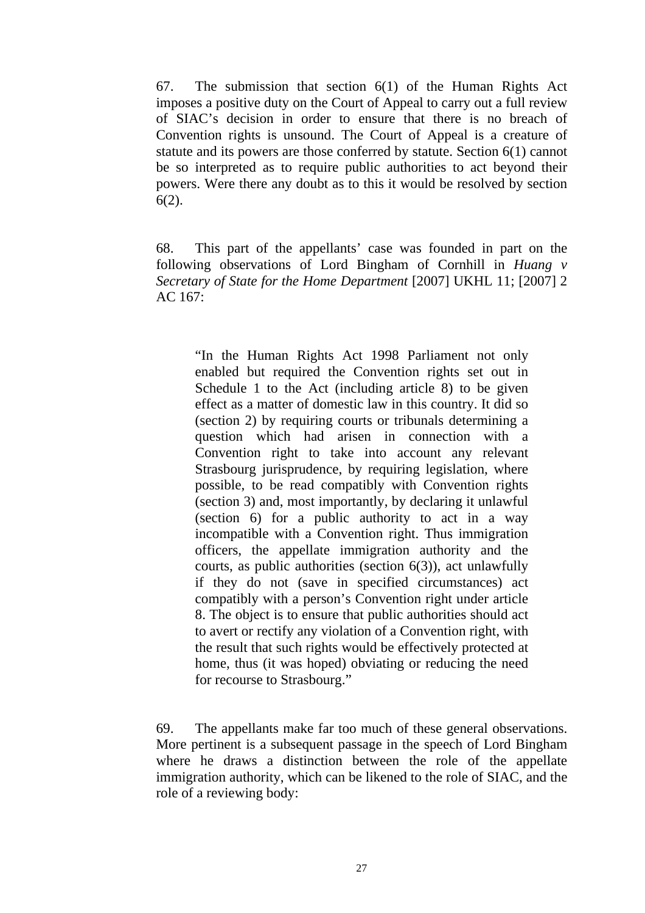67. The submission that section 6(1) of the Human Rights Act imposes a positive duty on the Court of Appeal to carry out a full review of SIAC's decision in order to ensure that there is no breach of Convention rights is unsound. The Court of Appeal is a creature of statute and its powers are those conferred by statute. Section 6(1) cannot be so interpreted as to require public authorities to act beyond their powers. Were there any doubt as to this it would be resolved by section 6(2).

68. This part of the appellants' case was founded in part on the following observations of Lord Bingham of Cornhill in *Huang v Secretary of State for the Home Department* [2007] UKHL 11; [2007] 2 AC 167:

"In the Human Rights Act 1998 Parliament not only enabled but required the Convention rights set out in Schedule 1 to the Act (including article 8) to be given effect as a matter of domestic law in this country. It did so (section 2) by requiring courts or tribunals determining a question which had arisen in connection with a Convention right to take into account any relevant Strasbourg jurisprudence, by requiring legislation, where possible, to be read compatibly with Convention rights (section 3) and, most importantly, by declaring it unlawful (section 6) for a public authority to act in a way incompatible with a Convention right. Thus immigration officers, the appellate immigration authority and the courts, as public authorities (section 6(3)), act unlawfully if they do not (save in specified circumstances) act compatibly with a person's Convention right under article 8. The object is to ensure that public authorities should act to avert or rectify any violation of a Convention right, with the result that such rights would be effectively protected at home, thus (it was hoped) obviating or reducing the need for recourse to Strasbourg."

69. The appellants make far too much of these general observations. More pertinent is a subsequent passage in the speech of Lord Bingham where he draws a distinction between the role of the appellate immigration authority, which can be likened to the role of SIAC, and the role of a reviewing body: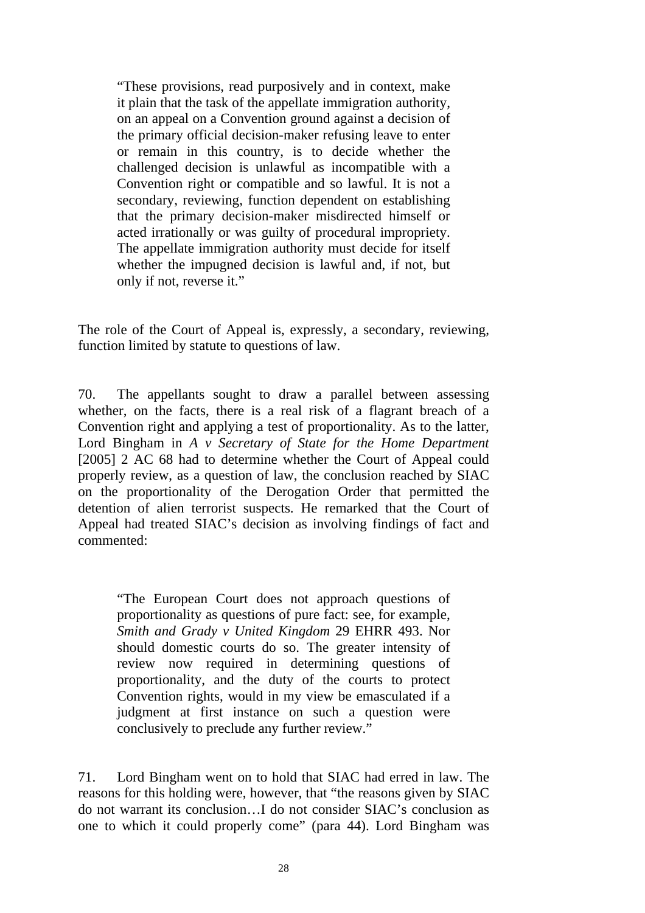"These provisions, read purposively and in context, make it plain that the task of the appellate immigration authority, on an appeal on a Convention ground against a decision of the primary official decision-maker refusing leave to enter or remain in this country, is to decide whether the challenged decision is unlawful as incompatible with a Convention right or compatible and so lawful. It is not a secondary, reviewing, function dependent on establishing that the primary decision-maker misdirected himself or acted irrationally or was guilty of procedural impropriety. The appellate immigration authority must decide for itself whether the impugned decision is lawful and, if not, but only if not, reverse it."

The role of the Court of Appeal is, expressly, a secondary, reviewing, function limited by statute to questions of law.

70. The appellants sought to draw a parallel between assessing whether, on the facts, there is a real risk of a flagrant breach of a Convention right and applying a test of proportionality. As to the latter, Lord Bingham in *A v Secretary of State for the Home Department* [2005] 2 AC 68 had to determine whether the Court of Appeal could properly review, as a question of law, the conclusion reached by SIAC on the proportionality of the Derogation Order that permitted the detention of alien terrorist suspects. He remarked that the Court of Appeal had treated SIAC's decision as involving findings of fact and commented:

"The European Court does not approach questions of proportionality as questions of pure fact: see, for example, *Smith and Grady v United Kingdom* 29 EHRR 493. Nor should domestic courts do so. The greater intensity of review now required in determining questions of proportionality, and the duty of the courts to protect Convention rights, would in my view be emasculated if a judgment at first instance on such a question were conclusively to preclude any further review."

71. Lord Bingham went on to hold that SIAC had erred in law. The reasons for this holding were, however, that "the reasons given by SIAC do not warrant its conclusion…I do not consider SIAC's conclusion as one to which it could properly come" (para 44). Lord Bingham was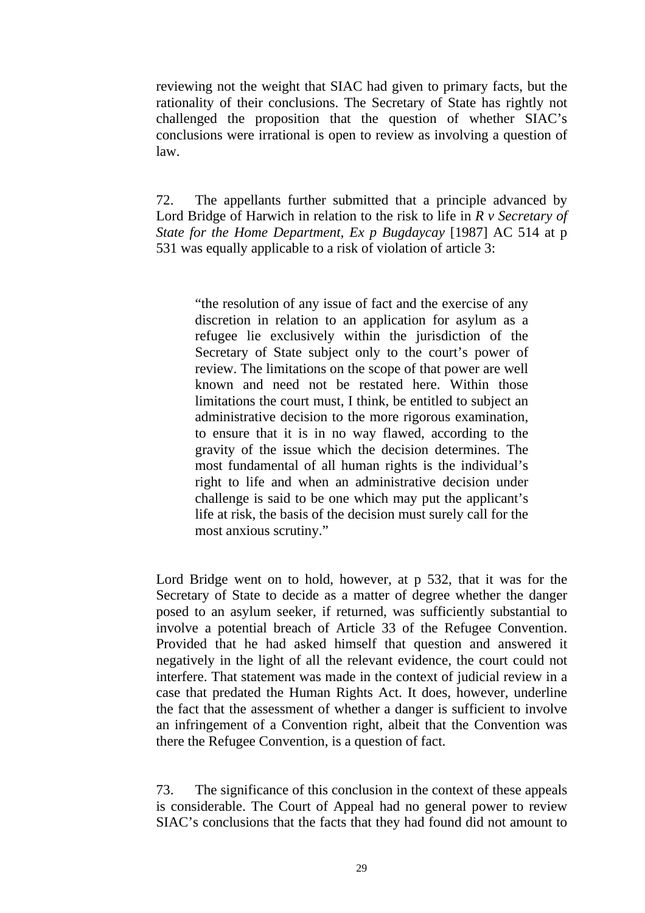reviewing not the weight that SIAC had given to primary facts, but the rationality of their conclusions. The Secretary of State has rightly not challenged the proposition that the question of whether SIAC's conclusions were irrational is open to review as involving a question of law.

72. The appellants further submitted that a principle advanced by Lord Bridge of Harwich in relation to the risk to life in *R v Secretary of State for the Home Department, Ex p Bugdaycay* [1987] AC 514 at p 531 was equally applicable to a risk of violation of article 3:

"the resolution of any issue of fact and the exercise of any discretion in relation to an application for asylum as a refugee lie exclusively within the jurisdiction of the Secretary of State subject only to the court's power of review. The limitations on the scope of that power are well known and need not be restated here. Within those limitations the court must, I think, be entitled to subject an administrative decision to the more rigorous examination, to ensure that it is in no way flawed, according to the gravity of the issue which the decision determines. The most fundamental of all human rights is the individual's right to life and when an administrative decision under challenge is said to be one which may put the applicant's life at risk, the basis of the decision must surely call for the most anxious scrutiny."

Lord Bridge went on to hold, however, at p 532, that it was for the Secretary of State to decide as a matter of degree whether the danger posed to an asylum seeker, if returned, was sufficiently substantial to involve a potential breach of Article 33 of the Refugee Convention. Provided that he had asked himself that question and answered it negatively in the light of all the relevant evidence, the court could not interfere. That statement was made in the context of judicial review in a case that predated the Human Rights Act. It does, however, underline the fact that the assessment of whether a danger is sufficient to involve an infringement of a Convention right, albeit that the Convention was there the Refugee Convention, is a question of fact.

73. The significance of this conclusion in the context of these appeals is considerable. The Court of Appeal had no general power to review SIAC's conclusions that the facts that they had found did not amount to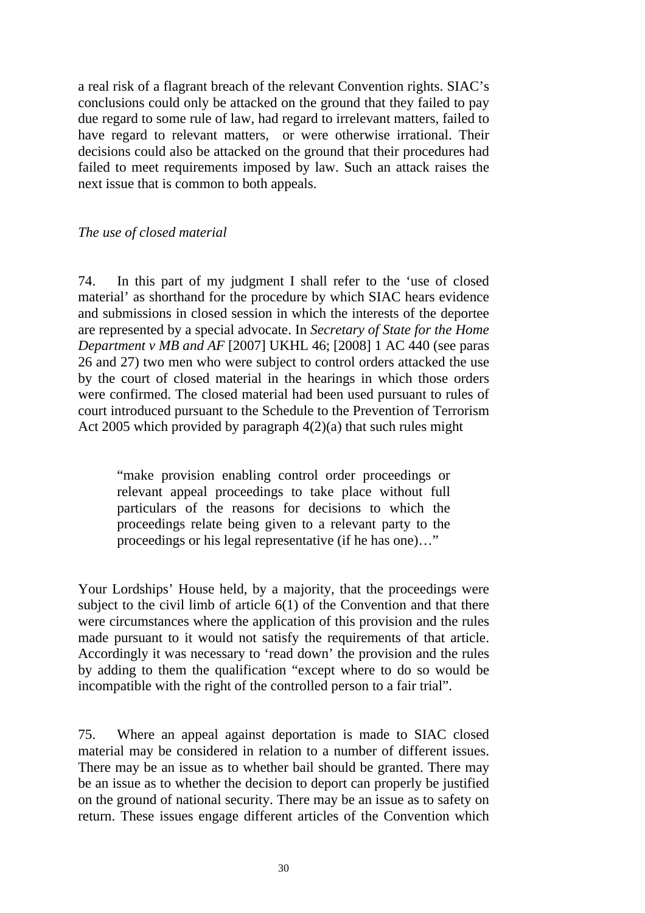a real risk of a flagrant breach of the relevant Convention rights. SIAC's conclusions could only be attacked on the ground that they failed to pay due regard to some rule of law, had regard to irrelevant matters, failed to have regard to relevant matters, or were otherwise irrational. Their decisions could also be attacked on the ground that their procedures had failed to meet requirements imposed by law. Such an attack raises the next issue that is common to both appeals.

## *The use of closed material*

74. In this part of my judgment I shall refer to the 'use of closed material' as shorthand for the procedure by which SIAC hears evidence and submissions in closed session in which the interests of the deportee are represented by a special advocate. In *Secretary of State for the Home Department v MB and AF* [2007] UKHL 46; [2008] 1 AC 440 (see paras 26 and 27) two men who were subject to control orders attacked the use by the court of closed material in the hearings in which those orders were confirmed. The closed material had been used pursuant to rules of court introduced pursuant to the Schedule to the Prevention of Terrorism Act 2005 which provided by paragraph 4(2)(a) that such rules might

"make provision enabling control order proceedings or relevant appeal proceedings to take place without full particulars of the reasons for decisions to which the proceedings relate being given to a relevant party to the proceedings or his legal representative (if he has one)…"

Your Lordships' House held, by a majority, that the proceedings were subject to the civil limb of article  $6(1)$  of the Convention and that there were circumstances where the application of this provision and the rules made pursuant to it would not satisfy the requirements of that article. Accordingly it was necessary to 'read down' the provision and the rules by adding to them the qualification "except where to do so would be incompatible with the right of the controlled person to a fair trial".

75. Where an appeal against deportation is made to SIAC closed material may be considered in relation to a number of different issues. There may be an issue as to whether bail should be granted. There may be an issue as to whether the decision to deport can properly be justified on the ground of national security. There may be an issue as to safety on return. These issues engage different articles of the Convention which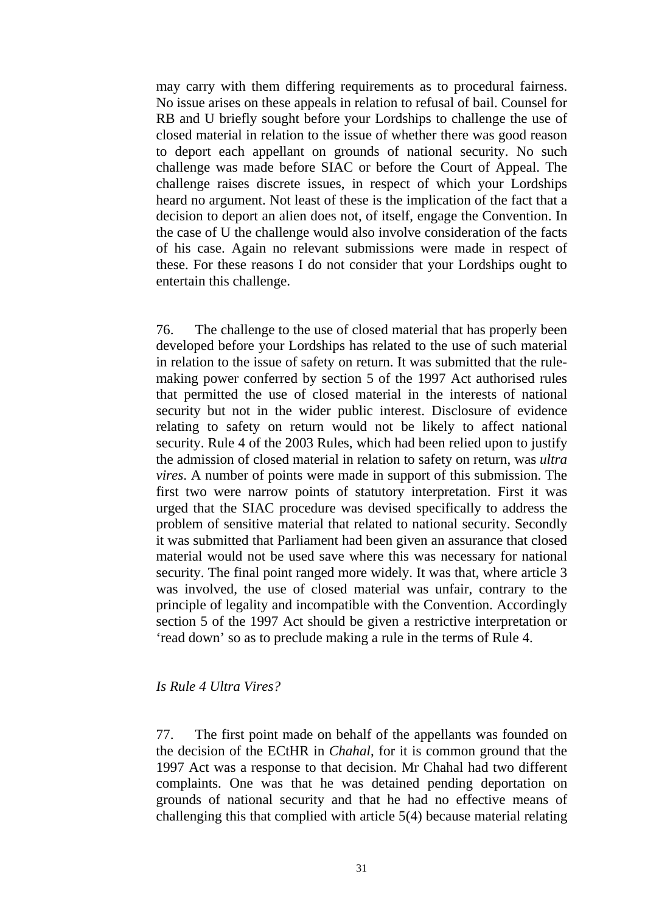may carry with them differing requirements as to procedural fairness. No issue arises on these appeals in relation to refusal of bail. Counsel for RB and U briefly sought before your Lordships to challenge the use of closed material in relation to the issue of whether there was good reason to deport each appellant on grounds of national security. No such challenge was made before SIAC or before the Court of Appeal. The challenge raises discrete issues, in respect of which your Lordships heard no argument. Not least of these is the implication of the fact that a decision to deport an alien does not, of itself, engage the Convention. In the case of U the challenge would also involve consideration of the facts of his case. Again no relevant submissions were made in respect of these. For these reasons I do not consider that your Lordships ought to entertain this challenge.

76. The challenge to the use of closed material that has properly been developed before your Lordships has related to the use of such material in relation to the issue of safety on return. It was submitted that the rulemaking power conferred by section 5 of the 1997 Act authorised rules that permitted the use of closed material in the interests of national security but not in the wider public interest. Disclosure of evidence relating to safety on return would not be likely to affect national security. Rule 4 of the 2003 Rules, which had been relied upon to justify the admission of closed material in relation to safety on return, was *ultra vires*. A number of points were made in support of this submission. The first two were narrow points of statutory interpretation. First it was urged that the SIAC procedure was devised specifically to address the problem of sensitive material that related to national security. Secondly it was submitted that Parliament had been given an assurance that closed material would not be used save where this was necessary for national security. The final point ranged more widely. It was that, where article 3 was involved, the use of closed material was unfair, contrary to the principle of legality and incompatible with the Convention. Accordingly section 5 of the 1997 Act should be given a restrictive interpretation or 'read down' so as to preclude making a rule in the terms of Rule 4.

## *Is Rule 4 Ultra Vires?*

77. The first point made on behalf of the appellants was founded on the decision of the ECtHR in *Chahal*, for it is common ground that the 1997 Act was a response to that decision. Mr Chahal had two different complaints. One was that he was detained pending deportation on grounds of national security and that he had no effective means of challenging this that complied with article 5(4) because material relating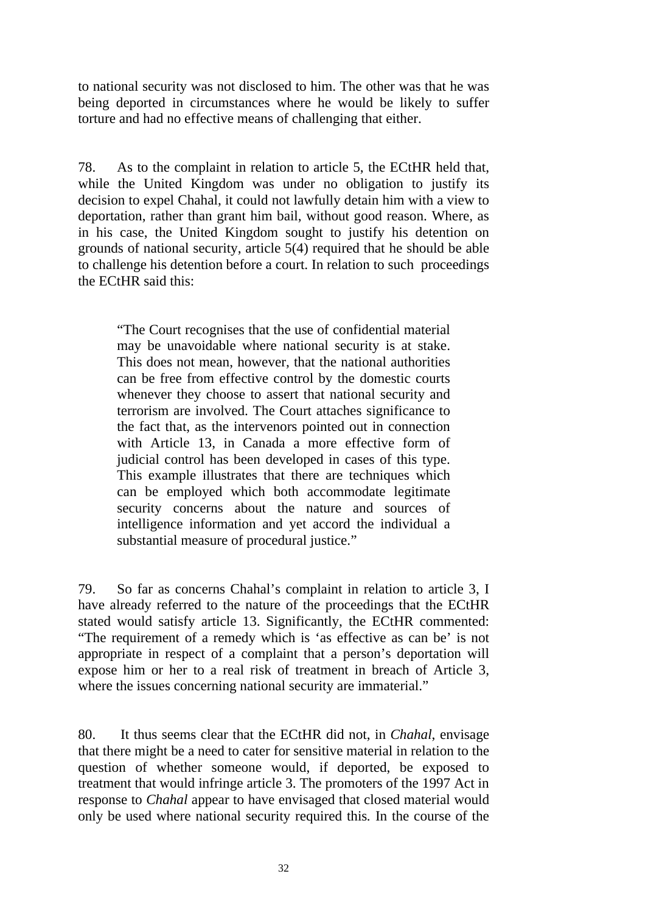to national security was not disclosed to him. The other was that he was being deported in circumstances where he would be likely to suffer torture and had no effective means of challenging that either.

78. As to the complaint in relation to article 5, the ECtHR held that, while the United Kingdom was under no obligation to justify its decision to expel Chahal, it could not lawfully detain him with a view to deportation, rather than grant him bail, without good reason. Where, as in his case, the United Kingdom sought to justify his detention on grounds of national security, article 5(4) required that he should be able to challenge his detention before a court. In relation to such proceedings the ECtHR said this:

"The Court recognises that the use of confidential material may be unavoidable where national security is at stake. This does not mean, however, that the national authorities can be free from effective control by the domestic courts whenever they choose to assert that national security and terrorism are involved. The Court attaches significance to the fact that, as the intervenors pointed out in connection with Article 13, in Canada a more effective form of judicial control has been developed in cases of this type. This example illustrates that there are techniques which can be employed which both accommodate legitimate security concerns about the nature and sources of intelligence information and yet accord the individual a substantial measure of procedural justice."

79. So far as concerns Chahal's complaint in relation to article 3, I have already referred to the nature of the proceedings that the ECtHR stated would satisfy article 13. Significantly, the ECtHR commented: "The requirement of a remedy which is 'as effective as can be' is not appropriate in respect of a complaint that a person's deportation will expose him or her to a real risk of treatment in breach of Article 3, where the issues concerning national security are immaterial."

80. It thus seems clear that the ECtHR did not, in *Chahal*, envisage that there might be a need to cater for sensitive material in relation to the question of whether someone would, if deported, be exposed to treatment that would infringe article 3. The promoters of the 1997 Act in response to *Chahal* appear to have envisaged that closed material would only be used where national security required this*.* In the course of the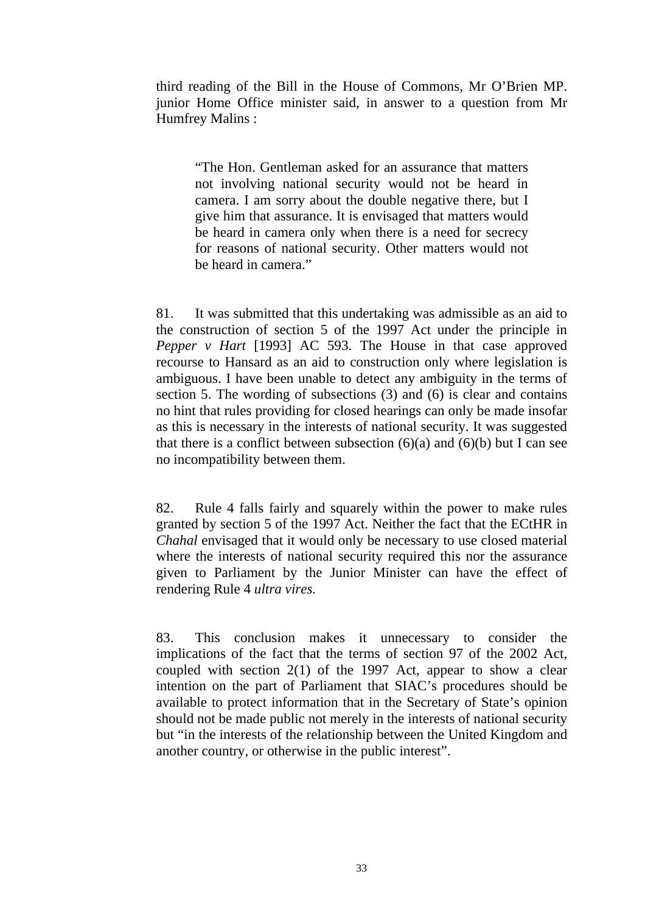third reading of the Bill in the House of Commons, Mr O'Brien MP. junior Home Office minister said, in answer to a question from Mr Humfrey Malins :

"The Hon. Gentleman asked for an assurance that matters not involving national security would not be heard in camera. I am sorry about the double negative there, but I give him that assurance. It is envisaged that matters would be heard in camera only when there is a need for secrecy for reasons of national security. Other matters would not be heard in camera."

81. It was submitted that this undertaking was admissible as an aid to the construction of section 5 of the 1997 Act under the principle in *Pepper v Hart* [1993] AC 593. The House in that case approved recourse to Hansard as an aid to construction only where legislation is ambiguous. I have been unable to detect any ambiguity in the terms of section 5. The wording of subsections (3) and (6) is clear and contains no hint that rules providing for closed hearings can only be made insofar as this is necessary in the interests of national security. It was suggested that there is a conflict between subsection  $(6)(a)$  and  $(6)(b)$  but I can see no incompatibility between them.

82. Rule 4 falls fairly and squarely within the power to make rules granted by section 5 of the 1997 Act. Neither the fact that the ECtHR in *Chahal* envisaged that it would only be necessary to use closed material where the interests of national security required this nor the assurance given to Parliament by the Junior Minister can have the effect of rendering Rule 4 *ultra vires.*

83. This conclusion makes it unnecessary to consider the implications of the fact that the terms of section 97 of the 2002 Act, coupled with section 2(1) of the 1997 Act, appear to show a clear intention on the part of Parliament that SIAC's procedures should be available to protect information that in the Secretary of State's opinion should not be made public not merely in the interests of national security but "in the interests of the relationship between the United Kingdom and another country, or otherwise in the public interest".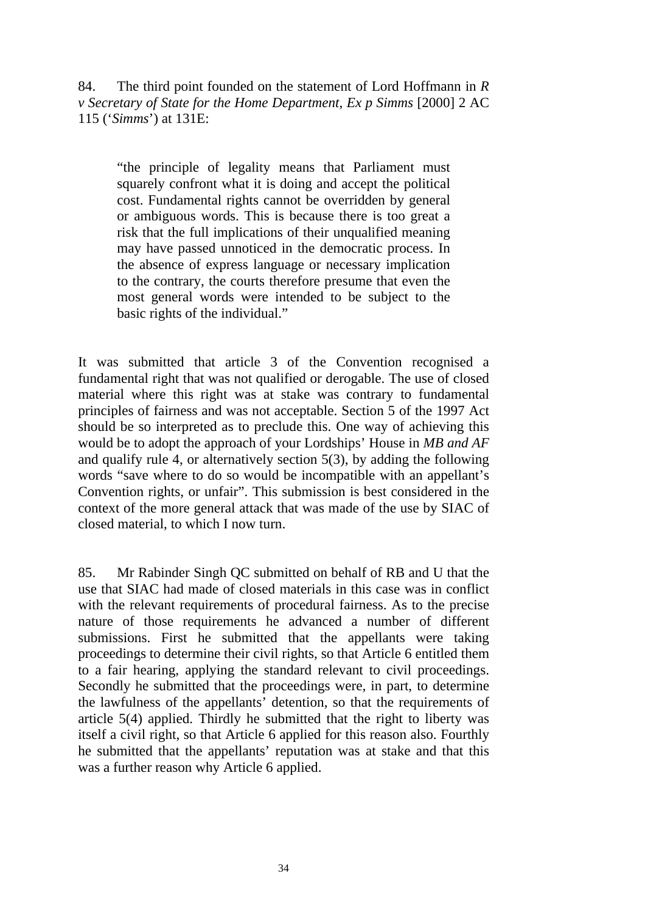84. The third point founded on the statement of Lord Hoffmann in *R v Secretary of State for the Home Department, Ex p Simms* [2000] 2 AC 115 ('*Simms*') at 131E:

"the principle of legality means that Parliament must squarely confront what it is doing and accept the political cost. Fundamental rights cannot be overridden by general or ambiguous words. This is because there is too great a risk that the full implications of their unqualified meaning may have passed unnoticed in the democratic process. In the absence of express language or necessary implication to the contrary, the courts therefore presume that even the most general words were intended to be subject to the basic rights of the individual."

It was submitted that article 3 of the Convention recognised a fundamental right that was not qualified or derogable. The use of closed material where this right was at stake was contrary to fundamental principles of fairness and was not acceptable. Section 5 of the 1997 Act should be so interpreted as to preclude this. One way of achieving this would be to adopt the approach of your Lordships' House in *MB and AF*  and qualify rule 4, or alternatively section 5(3), by adding the following words "save where to do so would be incompatible with an appellant's Convention rights, or unfair". This submission is best considered in the context of the more general attack that was made of the use by SIAC of closed material, to which I now turn.

85. Mr Rabinder Singh QC submitted on behalf of RB and U that the use that SIAC had made of closed materials in this case was in conflict with the relevant requirements of procedural fairness. As to the precise nature of those requirements he advanced a number of different submissions. First he submitted that the appellants were taking proceedings to determine their civil rights, so that Article 6 entitled them to a fair hearing, applying the standard relevant to civil proceedings. Secondly he submitted that the proceedings were, in part, to determine the lawfulness of the appellants' detention, so that the requirements of article 5(4) applied. Thirdly he submitted that the right to liberty was itself a civil right, so that Article 6 applied for this reason also. Fourthly he submitted that the appellants' reputation was at stake and that this was a further reason why Article 6 applied.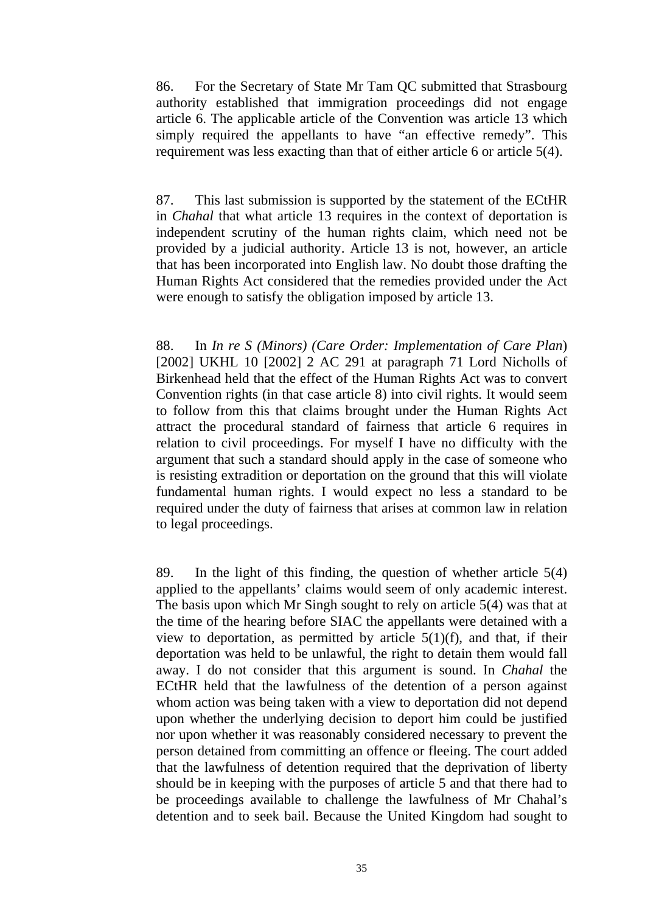86. For the Secretary of State Mr Tam QC submitted that Strasbourg authority established that immigration proceedings did not engage article 6. The applicable article of the Convention was article 13 which simply required the appellants to have "an effective remedy". This requirement was less exacting than that of either article 6 or article 5(4).

87. This last submission is supported by the statement of the ECtHR in *Chahal* that what article 13 requires in the context of deportation is independent scrutiny of the human rights claim, which need not be provided by a judicial authority. Article 13 is not, however, an article that has been incorporated into English law. No doubt those drafting the Human Rights Act considered that the remedies provided under the Act were enough to satisfy the obligation imposed by article 13.

88. In *In re S (Minors) (Care Order: Implementation of Care Plan*) [2002] UKHL 10 [2002] 2 AC 291 at paragraph 71 Lord Nicholls of Birkenhead held that the effect of the Human Rights Act was to convert Convention rights (in that case article 8) into civil rights. It would seem to follow from this that claims brought under the Human Rights Act attract the procedural standard of fairness that article 6 requires in relation to civil proceedings. For myself I have no difficulty with the argument that such a standard should apply in the case of someone who is resisting extradition or deportation on the ground that this will violate fundamental human rights. I would expect no less a standard to be required under the duty of fairness that arises at common law in relation to legal proceedings.

89. In the light of this finding, the question of whether article 5(4) applied to the appellants' claims would seem of only academic interest. The basis upon which Mr Singh sought to rely on article 5(4) was that at the time of the hearing before SIAC the appellants were detained with a view to deportation, as permitted by article  $5(1)(f)$ , and that, if their deportation was held to be unlawful, the right to detain them would fall away. I do not consider that this argument is sound. In *Chahal* the ECtHR held that the lawfulness of the detention of a person against whom action was being taken with a view to deportation did not depend upon whether the underlying decision to deport him could be justified nor upon whether it was reasonably considered necessary to prevent the person detained from committing an offence or fleeing. The court added that the lawfulness of detention required that the deprivation of liberty should be in keeping with the purposes of article 5 and that there had to be proceedings available to challenge the lawfulness of Mr Chahal's detention and to seek bail. Because the United Kingdom had sought to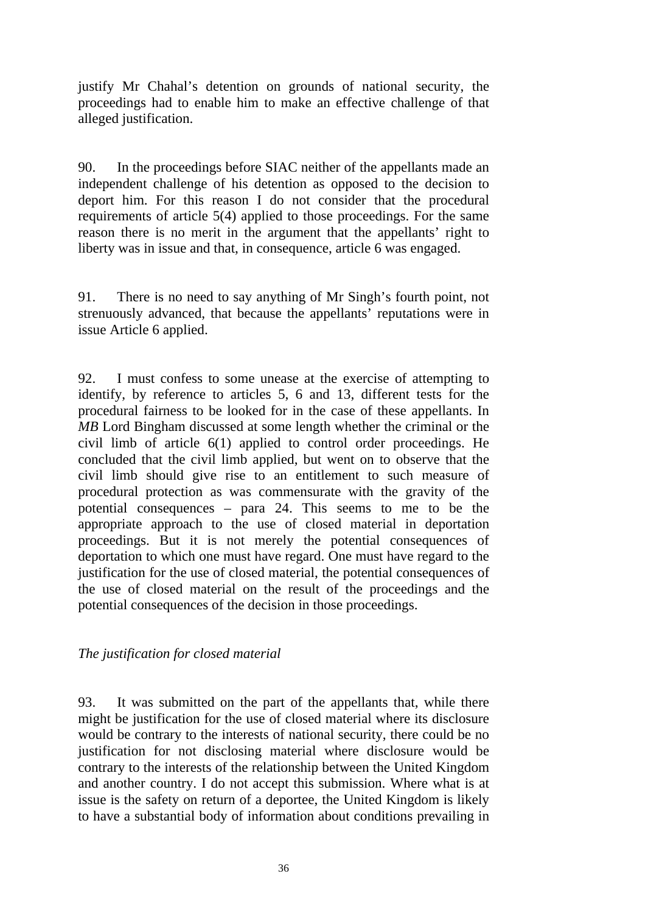justify Mr Chahal's detention on grounds of national security, the proceedings had to enable him to make an effective challenge of that alleged justification.

90. In the proceedings before SIAC neither of the appellants made an independent challenge of his detention as opposed to the decision to deport him. For this reason I do not consider that the procedural requirements of article 5(4) applied to those proceedings. For the same reason there is no merit in the argument that the appellants' right to liberty was in issue and that, in consequence, article 6 was engaged.

91. There is no need to say anything of Mr Singh's fourth point, not strenuously advanced, that because the appellants' reputations were in issue Article 6 applied.

92. I must confess to some unease at the exercise of attempting to identify, by reference to articles 5, 6 and 13, different tests for the procedural fairness to be looked for in the case of these appellants. In *MB* Lord Bingham discussed at some length whether the criminal or the civil limb of article 6(1) applied to control order proceedings. He concluded that the civil limb applied, but went on to observe that the civil limb should give rise to an entitlement to such measure of procedural protection as was commensurate with the gravity of the potential consequences – para 24. This seems to me to be the appropriate approach to the use of closed material in deportation proceedings. But it is not merely the potential consequences of deportation to which one must have regard. One must have regard to the justification for the use of closed material, the potential consequences of the use of closed material on the result of the proceedings and the potential consequences of the decision in those proceedings.

# *The justification for closed material*

93. It was submitted on the part of the appellants that, while there might be justification for the use of closed material where its disclosure would be contrary to the interests of national security, there could be no justification for not disclosing material where disclosure would be contrary to the interests of the relationship between the United Kingdom and another country. I do not accept this submission. Where what is at issue is the safety on return of a deportee, the United Kingdom is likely to have a substantial body of information about conditions prevailing in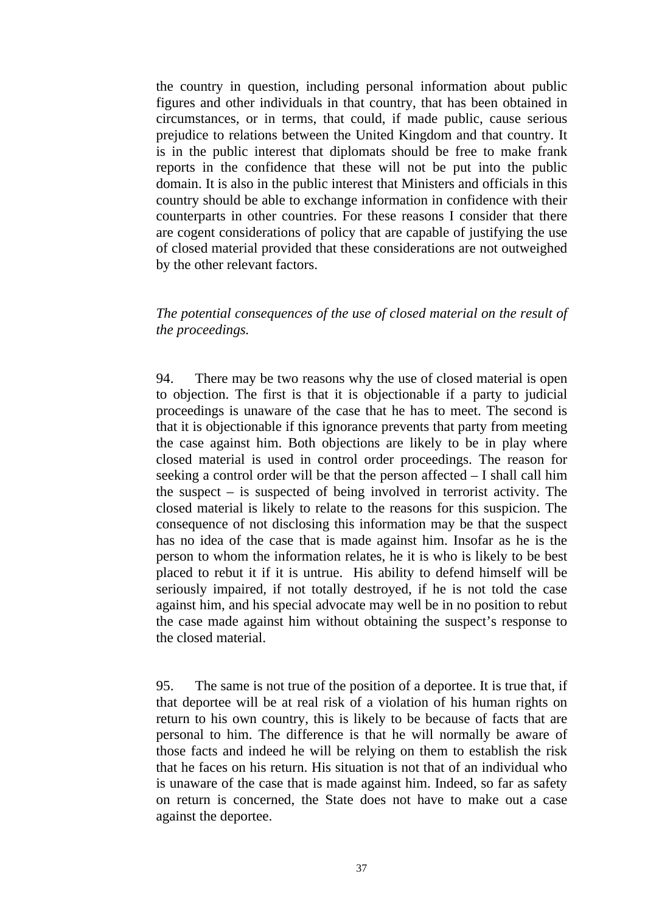the country in question, including personal information about public figures and other individuals in that country, that has been obtained in circumstances, or in terms, that could, if made public, cause serious prejudice to relations between the United Kingdom and that country. It is in the public interest that diplomats should be free to make frank reports in the confidence that these will not be put into the public domain. It is also in the public interest that Ministers and officials in this country should be able to exchange information in confidence with their counterparts in other countries. For these reasons I consider that there are cogent considerations of policy that are capable of justifying the use of closed material provided that these considerations are not outweighed by the other relevant factors.

# *The potential consequences of the use of closed material on the result of the proceedings.*

94. There may be two reasons why the use of closed material is open to objection. The first is that it is objectionable if a party to judicial proceedings is unaware of the case that he has to meet. The second is that it is objectionable if this ignorance prevents that party from meeting the case against him. Both objections are likely to be in play where closed material is used in control order proceedings. The reason for seeking a control order will be that the person affected – I shall call him the suspect – is suspected of being involved in terrorist activity. The closed material is likely to relate to the reasons for this suspicion. The consequence of not disclosing this information may be that the suspect has no idea of the case that is made against him. Insofar as he is the person to whom the information relates, he it is who is likely to be best placed to rebut it if it is untrue. His ability to defend himself will be seriously impaired, if not totally destroyed, if he is not told the case against him, and his special advocate may well be in no position to rebut the case made against him without obtaining the suspect's response to the closed material.

95. The same is not true of the position of a deportee. It is true that, if that deportee will be at real risk of a violation of his human rights on return to his own country, this is likely to be because of facts that are personal to him. The difference is that he will normally be aware of those facts and indeed he will be relying on them to establish the risk that he faces on his return. His situation is not that of an individual who is unaware of the case that is made against him. Indeed, so far as safety on return is concerned, the State does not have to make out a case against the deportee.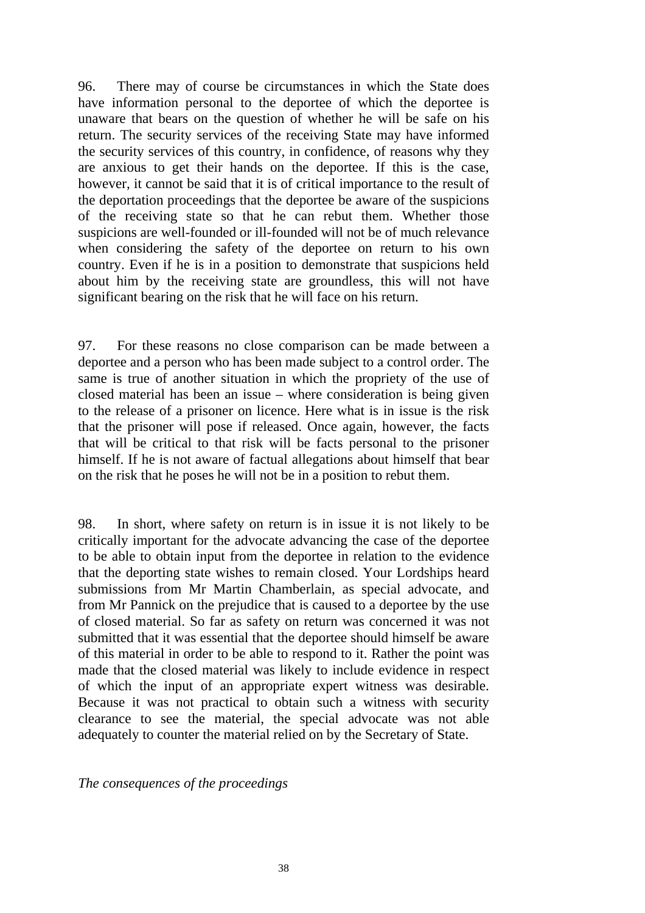96. There may of course be circumstances in which the State does have information personal to the deportee of which the deportee is unaware that bears on the question of whether he will be safe on his return. The security services of the receiving State may have informed the security services of this country, in confidence, of reasons why they are anxious to get their hands on the deportee. If this is the case, however, it cannot be said that it is of critical importance to the result of the deportation proceedings that the deportee be aware of the suspicions of the receiving state so that he can rebut them. Whether those suspicions are well-founded or ill-founded will not be of much relevance when considering the safety of the deportee on return to his own country. Even if he is in a position to demonstrate that suspicions held about him by the receiving state are groundless, this will not have significant bearing on the risk that he will face on his return.

97. For these reasons no close comparison can be made between a deportee and a person who has been made subject to a control order. The same is true of another situation in which the propriety of the use of closed material has been an issue – where consideration is being given to the release of a prisoner on licence. Here what is in issue is the risk that the prisoner will pose if released. Once again, however, the facts that will be critical to that risk will be facts personal to the prisoner himself. If he is not aware of factual allegations about himself that bear on the risk that he poses he will not be in a position to rebut them.

98. In short, where safety on return is in issue it is not likely to be critically important for the advocate advancing the case of the deportee to be able to obtain input from the deportee in relation to the evidence that the deporting state wishes to remain closed. Your Lordships heard submissions from Mr Martin Chamberlain, as special advocate, and from Mr Pannick on the prejudice that is caused to a deportee by the use of closed material. So far as safety on return was concerned it was not submitted that it was essential that the deportee should himself be aware of this material in order to be able to respond to it. Rather the point was made that the closed material was likely to include evidence in respect of which the input of an appropriate expert witness was desirable. Because it was not practical to obtain such a witness with security clearance to see the material, the special advocate was not able adequately to counter the material relied on by the Secretary of State.

*The consequences of the proceedings*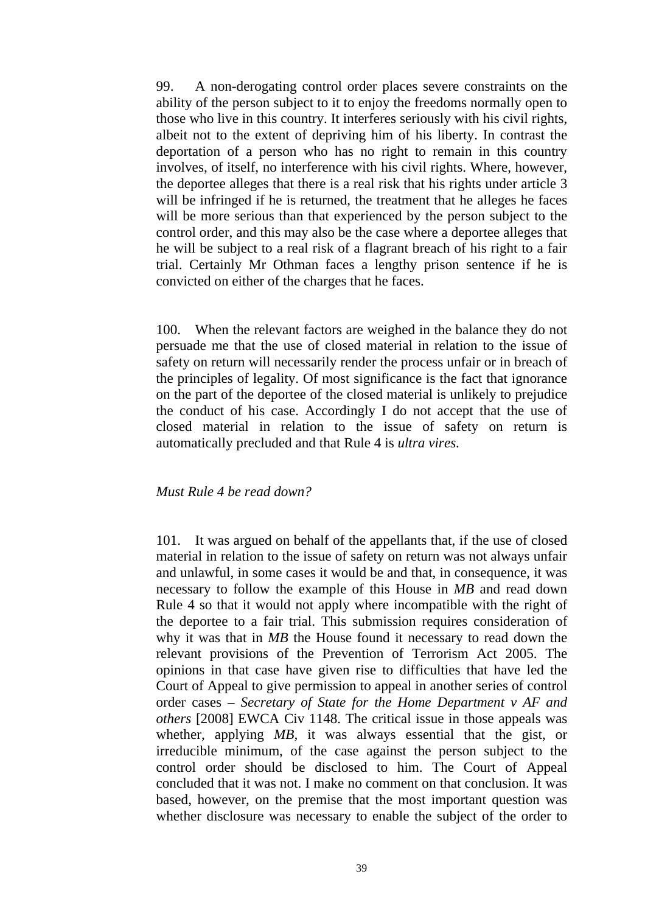99. A non-derogating control order places severe constraints on the ability of the person subject to it to enjoy the freedoms normally open to those who live in this country. It interferes seriously with his civil rights, albeit not to the extent of depriving him of his liberty. In contrast the deportation of a person who has no right to remain in this country involves, of itself, no interference with his civil rights. Where, however, the deportee alleges that there is a real risk that his rights under article 3 will be infringed if he is returned, the treatment that he alleges he faces will be more serious than that experienced by the person subject to the control order, and this may also be the case where a deportee alleges that he will be subject to a real risk of a flagrant breach of his right to a fair trial. Certainly Mr Othman faces a lengthy prison sentence if he is convicted on either of the charges that he faces.

100. When the relevant factors are weighed in the balance they do not persuade me that the use of closed material in relation to the issue of safety on return will necessarily render the process unfair or in breach of the principles of legality. Of most significance is the fact that ignorance on the part of the deportee of the closed material is unlikely to prejudice the conduct of his case. Accordingly I do not accept that the use of closed material in relation to the issue of safety on return is automatically precluded and that Rule 4 is *ultra vires*.

# *Must Rule 4 be read down?*

101. It was argued on behalf of the appellants that, if the use of closed material in relation to the issue of safety on return was not always unfair and unlawful, in some cases it would be and that, in consequence, it was necessary to follow the example of this House in *MB* and read down Rule 4 so that it would not apply where incompatible with the right of the deportee to a fair trial. This submission requires consideration of why it was that in *MB* the House found it necessary to read down the relevant provisions of the Prevention of Terrorism Act 2005. The opinions in that case have given rise to difficulties that have led the Court of Appeal to give permission to appeal in another series of control order cases – *Secretary of State for the Home Department v AF and others* [2008] EWCA Civ 1148. The critical issue in those appeals was whether, applying *MB,* it was always essential that the gist, or irreducible minimum, of the case against the person subject to the control order should be disclosed to him. The Court of Appeal concluded that it was not. I make no comment on that conclusion. It was based, however, on the premise that the most important question was whether disclosure was necessary to enable the subject of the order to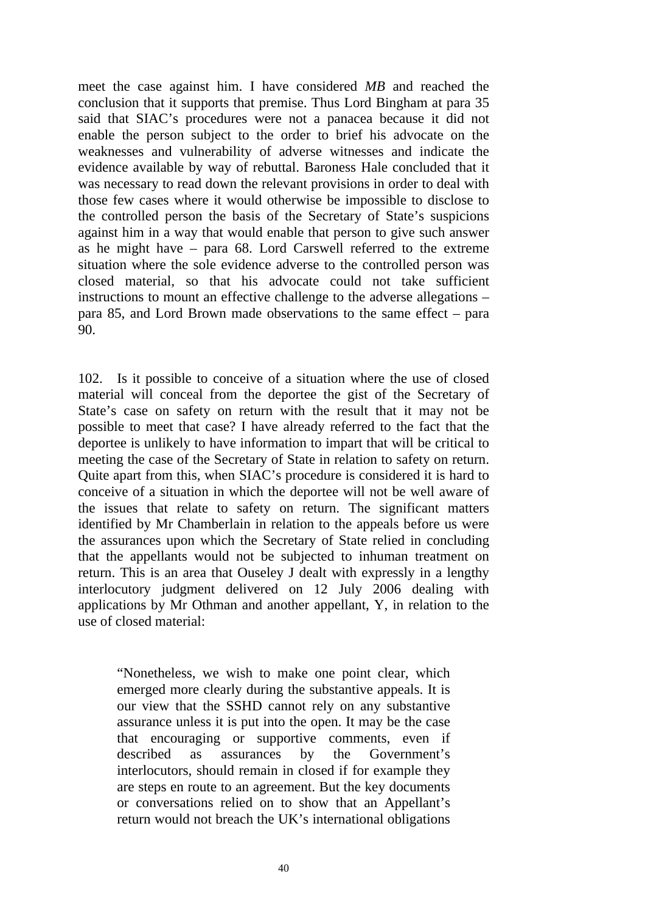meet the case against him. I have considered *MB* and reached the conclusion that it supports that premise. Thus Lord Bingham at para 35 said that SIAC's procedures were not a panacea because it did not enable the person subject to the order to brief his advocate on the weaknesses and vulnerability of adverse witnesses and indicate the evidence available by way of rebuttal. Baroness Hale concluded that it was necessary to read down the relevant provisions in order to deal with those few cases where it would otherwise be impossible to disclose to the controlled person the basis of the Secretary of State's suspicions against him in a way that would enable that person to give such answer as he might have – para 68. Lord Carswell referred to the extreme situation where the sole evidence adverse to the controlled person was closed material, so that his advocate could not take sufficient instructions to mount an effective challenge to the adverse allegations – para 85, and Lord Brown made observations to the same effect – para 90.

102. Is it possible to conceive of a situation where the use of closed material will conceal from the deportee the gist of the Secretary of State's case on safety on return with the result that it may not be possible to meet that case? I have already referred to the fact that the deportee is unlikely to have information to impart that will be critical to meeting the case of the Secretary of State in relation to safety on return. Quite apart from this, when SIAC's procedure is considered it is hard to conceive of a situation in which the deportee will not be well aware of the issues that relate to safety on return. The significant matters identified by Mr Chamberlain in relation to the appeals before us were the assurances upon which the Secretary of State relied in concluding that the appellants would not be subjected to inhuman treatment on return. This is an area that Ouseley J dealt with expressly in a lengthy interlocutory judgment delivered on 12 July 2006 dealing with applications by Mr Othman and another appellant, Y, in relation to the use of closed material:

"Nonetheless, we wish to make one point clear, which emerged more clearly during the substantive appeals. It is our view that the SSHD cannot rely on any substantive assurance unless it is put into the open. It may be the case that encouraging or supportive comments, even if described as assurances by the Government's interlocutors, should remain in closed if for example they are steps en route to an agreement. But the key documents or conversations relied on to show that an Appellant's return would not breach the UK's international obligations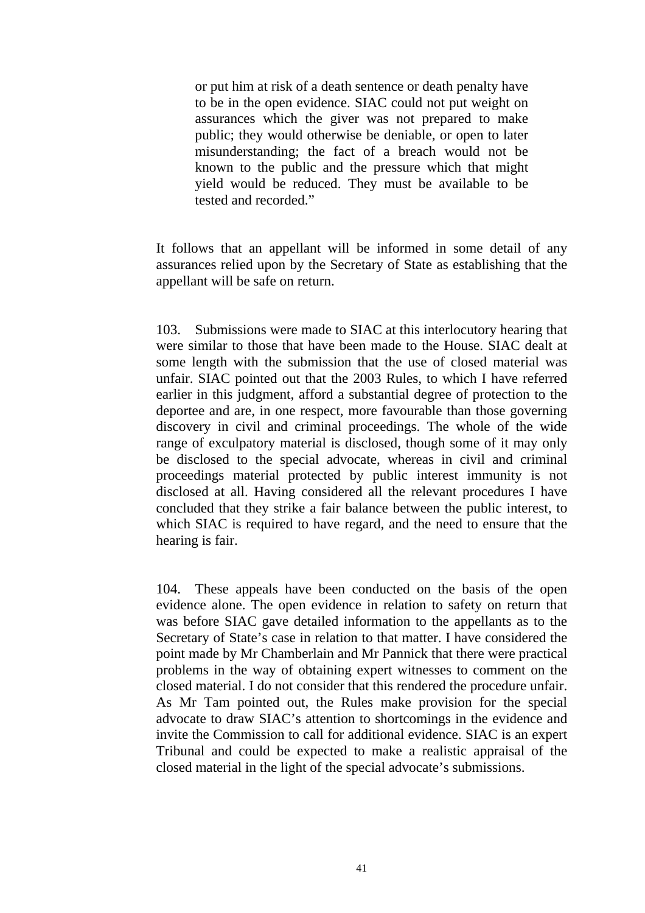or put him at risk of a death sentence or death penalty have to be in the open evidence. SIAC could not put weight on assurances which the giver was not prepared to make public; they would otherwise be deniable, or open to later misunderstanding; the fact of a breach would not be known to the public and the pressure which that might yield would be reduced. They must be available to be tested and recorded."

It follows that an appellant will be informed in some detail of any assurances relied upon by the Secretary of State as establishing that the appellant will be safe on return.

103. Submissions were made to SIAC at this interlocutory hearing that were similar to those that have been made to the House. SIAC dealt at some length with the submission that the use of closed material was unfair. SIAC pointed out that the 2003 Rules, to which I have referred earlier in this judgment, afford a substantial degree of protection to the deportee and are, in one respect, more favourable than those governing discovery in civil and criminal proceedings. The whole of the wide range of exculpatory material is disclosed, though some of it may only be disclosed to the special advocate, whereas in civil and criminal proceedings material protected by public interest immunity is not disclosed at all. Having considered all the relevant procedures I have concluded that they strike a fair balance between the public interest, to which SIAC is required to have regard, and the need to ensure that the hearing is fair.

104. These appeals have been conducted on the basis of the open evidence alone. The open evidence in relation to safety on return that was before SIAC gave detailed information to the appellants as to the Secretary of State's case in relation to that matter. I have considered the point made by Mr Chamberlain and Mr Pannick that there were practical problems in the way of obtaining expert witnesses to comment on the closed material. I do not consider that this rendered the procedure unfair. As Mr Tam pointed out, the Rules make provision for the special advocate to draw SIAC's attention to shortcomings in the evidence and invite the Commission to call for additional evidence. SIAC is an expert Tribunal and could be expected to make a realistic appraisal of the closed material in the light of the special advocate's submissions.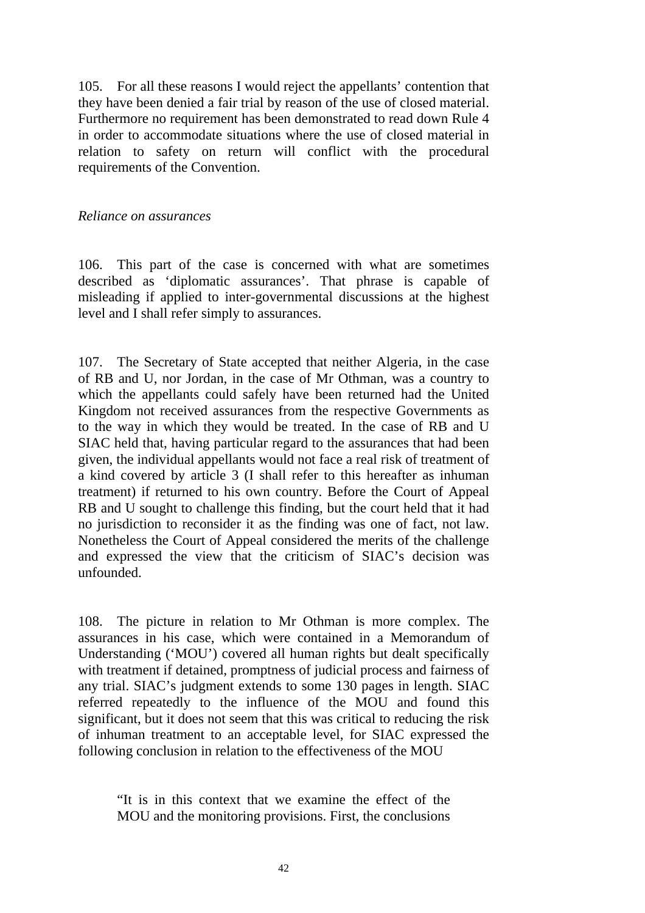105. For all these reasons I would reject the appellants' contention that they have been denied a fair trial by reason of the use of closed material. Furthermore no requirement has been demonstrated to read down Rule 4 in order to accommodate situations where the use of closed material in relation to safety on return will conflict with the procedural requirements of the Convention.

#### *Reliance on assurances*

106. This part of the case is concerned with what are sometimes described as 'diplomatic assurances'. That phrase is capable of misleading if applied to inter-governmental discussions at the highest level and I shall refer simply to assurances.

107. The Secretary of State accepted that neither Algeria, in the case of RB and U, nor Jordan, in the case of Mr Othman, was a country to which the appellants could safely have been returned had the United Kingdom not received assurances from the respective Governments as to the way in which they would be treated. In the case of RB and U SIAC held that, having particular regard to the assurances that had been given, the individual appellants would not face a real risk of treatment of a kind covered by article 3 (I shall refer to this hereafter as inhuman treatment) if returned to his own country. Before the Court of Appeal RB and U sought to challenge this finding, but the court held that it had no jurisdiction to reconsider it as the finding was one of fact, not law. Nonetheless the Court of Appeal considered the merits of the challenge and expressed the view that the criticism of SIAC's decision was unfounded.

108. The picture in relation to Mr Othman is more complex. The assurances in his case, which were contained in a Memorandum of Understanding ('MOU') covered all human rights but dealt specifically with treatment if detained, promptness of judicial process and fairness of any trial. SIAC's judgment extends to some 130 pages in length. SIAC referred repeatedly to the influence of the MOU and found this significant, but it does not seem that this was critical to reducing the risk of inhuman treatment to an acceptable level, for SIAC expressed the following conclusion in relation to the effectiveness of the MOU

"It is in this context that we examine the effect of the MOU and the monitoring provisions. First, the conclusions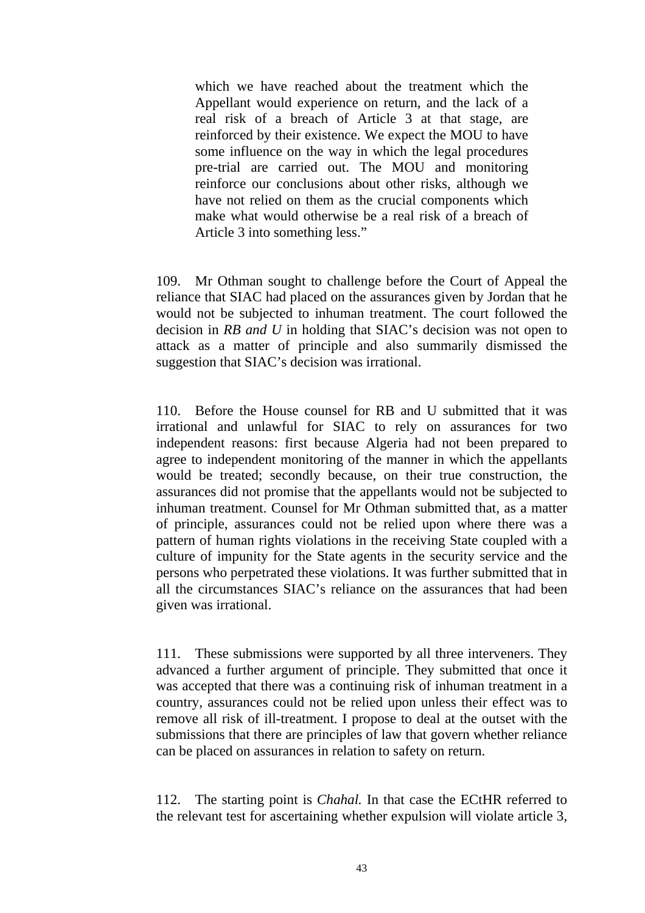which we have reached about the treatment which the Appellant would experience on return, and the lack of a real risk of a breach of Article 3 at that stage, are reinforced by their existence. We expect the MOU to have some influence on the way in which the legal procedures pre-trial are carried out. The MOU and monitoring reinforce our conclusions about other risks, although we have not relied on them as the crucial components which make what would otherwise be a real risk of a breach of Article 3 into something less."

109. Mr Othman sought to challenge before the Court of Appeal the reliance that SIAC had placed on the assurances given by Jordan that he would not be subjected to inhuman treatment. The court followed the decision in *RB and U* in holding that SIAC's decision was not open to attack as a matter of principle and also summarily dismissed the suggestion that SIAC's decision was irrational.

110. Before the House counsel for RB and U submitted that it was irrational and unlawful for SIAC to rely on assurances for two independent reasons: first because Algeria had not been prepared to agree to independent monitoring of the manner in which the appellants would be treated; secondly because, on their true construction, the assurances did not promise that the appellants would not be subjected to inhuman treatment. Counsel for Mr Othman submitted that, as a matter of principle, assurances could not be relied upon where there was a pattern of human rights violations in the receiving State coupled with a culture of impunity for the State agents in the security service and the persons who perpetrated these violations. It was further submitted that in all the circumstances SIAC's reliance on the assurances that had been given was irrational.

111. These submissions were supported by all three interveners. They advanced a further argument of principle. They submitted that once it was accepted that there was a continuing risk of inhuman treatment in a country, assurances could not be relied upon unless their effect was to remove all risk of ill-treatment. I propose to deal at the outset with the submissions that there are principles of law that govern whether reliance can be placed on assurances in relation to safety on return.

112. The starting point is *Chahal.* In that case the ECtHR referred to the relevant test for ascertaining whether expulsion will violate article 3,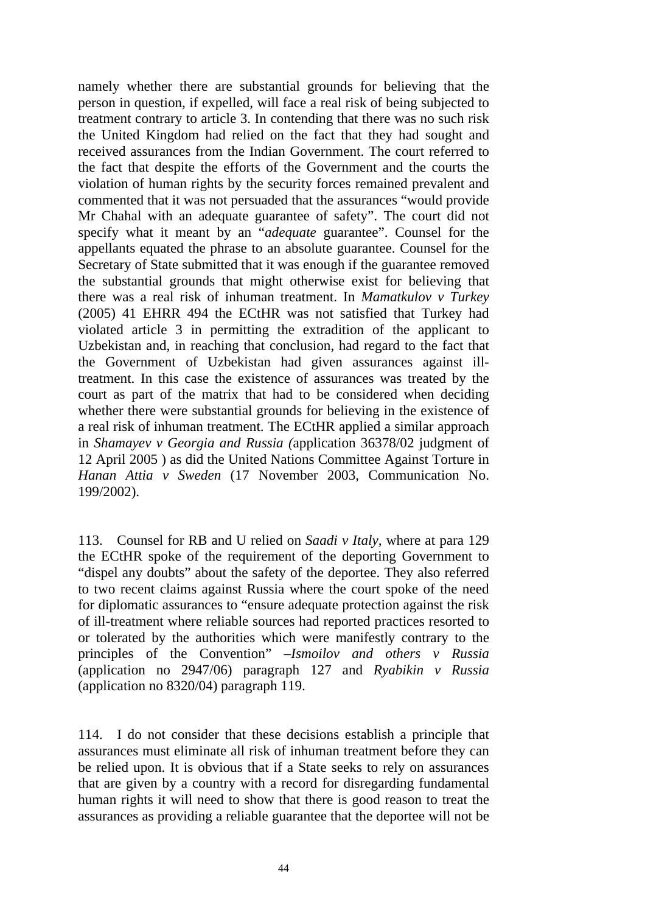namely whether there are substantial grounds for believing that the person in question, if expelled, will face a real risk of being subjected to treatment contrary to article 3. In contending that there was no such risk the United Kingdom had relied on the fact that they had sought and received assurances from the Indian Government. The court referred to the fact that despite the efforts of the Government and the courts the violation of human rights by the security forces remained prevalent and commented that it was not persuaded that the assurances "would provide Mr Chahal with an adequate guarantee of safety". The court did not specify what it meant by an "*adequate* guarantee". Counsel for the appellants equated the phrase to an absolute guarantee. Counsel for the Secretary of State submitted that it was enough if the guarantee removed the substantial grounds that might otherwise exist for believing that there was a real risk of inhuman treatment. In *Mamatkulov v Turkey* (2005) 41 EHRR 494 the ECtHR was not satisfied that Turkey had violated article 3 in permitting the extradition of the applicant to Uzbekistan and, in reaching that conclusion, had regard to the fact that the Government of Uzbekistan had given assurances against illtreatment. In this case the existence of assurances was treated by the court as part of the matrix that had to be considered when deciding whether there were substantial grounds for believing in the existence of a real risk of inhuman treatment. The ECtHR applied a similar approach in *Shamayev v Georgia and Russia (*application 36378/02 judgment of 12 April 2005 ) as did the United Nations Committee Against Torture in *Hanan Attia v Sweden* (17 November 2003, Communication No. 199/2002).

113. Counsel for RB and U relied on *Saadi v Italy,* where at para 129 the ECtHR spoke of the requirement of the deporting Government to "dispel any doubts" about the safety of the deportee. They also referred to two recent claims against Russia where the court spoke of the need for diplomatic assurances to "ensure adequate protection against the risk of ill-treatment where reliable sources had reported practices resorted to or tolerated by the authorities which were manifestly contrary to the principles of the Convention" –*Ismoilov and others v Russia*  (application no 2947/06) paragraph 127 and *Ryabikin v Russia*  (application no 8320/04) paragraph 119.

114. I do not consider that these decisions establish a principle that assurances must eliminate all risk of inhuman treatment before they can be relied upon. It is obvious that if a State seeks to rely on assurances that are given by a country with a record for disregarding fundamental human rights it will need to show that there is good reason to treat the assurances as providing a reliable guarantee that the deportee will not be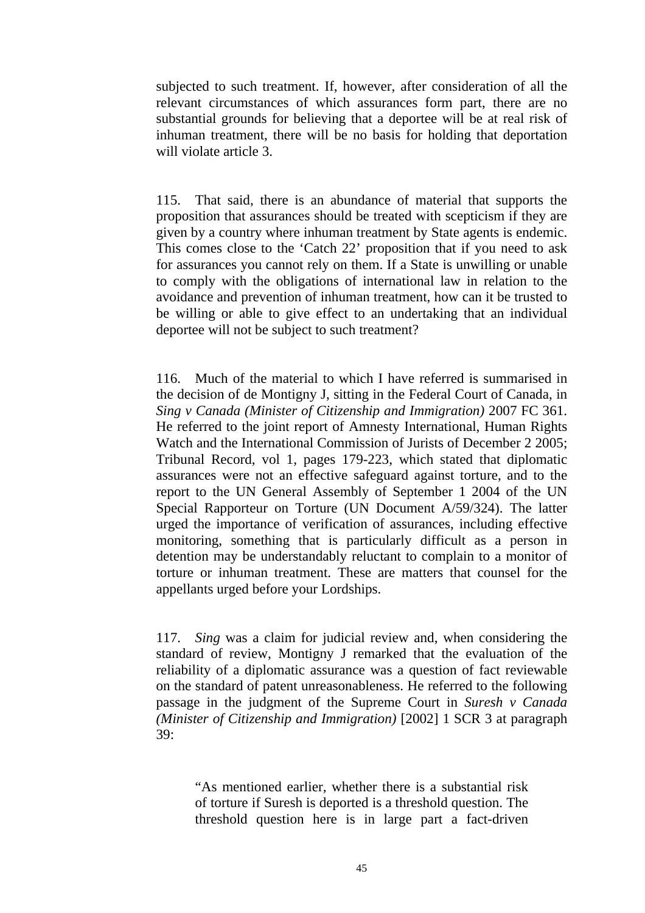subjected to such treatment. If, however, after consideration of all the relevant circumstances of which assurances form part, there are no substantial grounds for believing that a deportee will be at real risk of inhuman treatment, there will be no basis for holding that deportation will violate article 3.

115. That said, there is an abundance of material that supports the proposition that assurances should be treated with scepticism if they are given by a country where inhuman treatment by State agents is endemic. This comes close to the 'Catch 22' proposition that if you need to ask for assurances you cannot rely on them. If a State is unwilling or unable to comply with the obligations of international law in relation to the avoidance and prevention of inhuman treatment, how can it be trusted to be willing or able to give effect to an undertaking that an individual deportee will not be subject to such treatment?

116. Much of the material to which I have referred is summarised in the decision of de Montigny J, sitting in the Federal Court of Canada, in *Sing v Canada (Minister of Citizenship and Immigration)* 2007 FC 361. He referred to the joint report of Amnesty International, Human Rights Watch and the International Commission of Jurists of December 2 2005; Tribunal Record, vol 1, pages 179-223, which stated that diplomatic assurances were not an effective safeguard against torture, and to the report to the UN General Assembly of September 1 2004 of the UN Special Rapporteur on Torture (UN Document A/59/324). The latter urged the importance of verification of assurances, including effective monitoring, something that is particularly difficult as a person in detention may be understandably reluctant to complain to a monitor of torture or inhuman treatment. These are matters that counsel for the appellants urged before your Lordships.

117. *Sing* was a claim for judicial review and, when considering the standard of review, Montigny J remarked that the evaluation of the reliability of a diplomatic assurance was a question of fact reviewable on the standard of patent unreasonableness. He referred to the following passage in the judgment of the Supreme Court in *Suresh v Canada (Minister of Citizenship and Immigration)* [2002] 1 SCR 3 at paragraph 39:

"As mentioned earlier, whether there is a substantial risk of torture if Suresh is deported is a threshold question. The threshold question here is in large part a fact-driven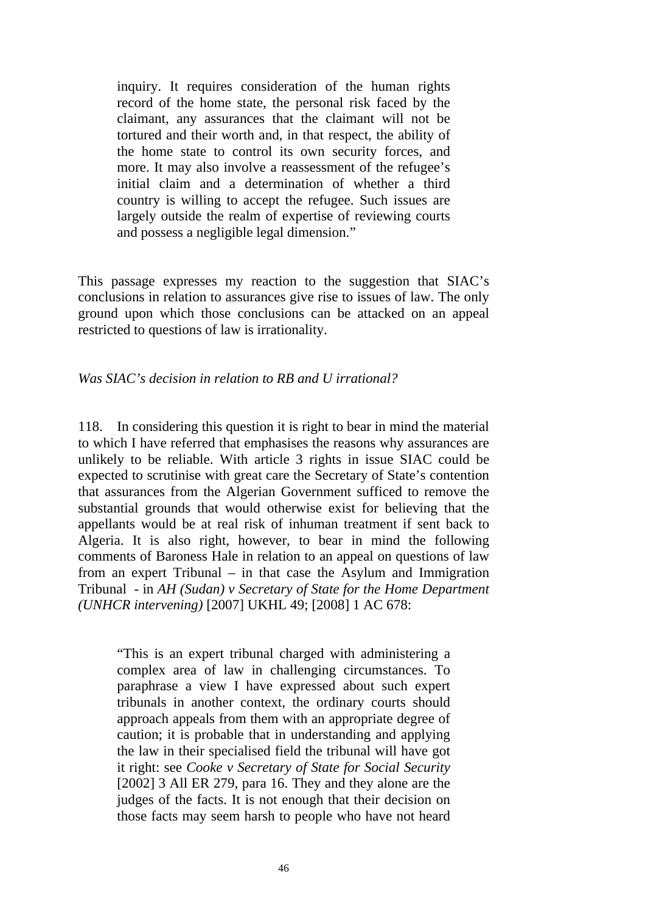inquiry. It requires consideration of the human rights record of the home state, the personal risk faced by the claimant, any assurances that the claimant will not be tortured and their worth and, in that respect, the ability of the home state to control its own security forces, and more. It may also involve a reassessment of the refugee's initial claim and a determination of whether a third country is willing to accept the refugee. Such issues are largely outside the realm of expertise of reviewing courts and possess a negligible legal dimension."

This passage expresses my reaction to the suggestion that SIAC's conclusions in relation to assurances give rise to issues of law. The only ground upon which those conclusions can be attacked on an appeal restricted to questions of law is irrationality.

#### *Was SIAC's decision in relation to RB and U irrational?*

118. In considering this question it is right to bear in mind the material to which I have referred that emphasises the reasons why assurances are unlikely to be reliable. With article 3 rights in issue SIAC could be expected to scrutinise with great care the Secretary of State's contention that assurances from the Algerian Government sufficed to remove the substantial grounds that would otherwise exist for believing that the appellants would be at real risk of inhuman treatment if sent back to Algeria. It is also right, however, to bear in mind the following comments of Baroness Hale in relation to an appeal on questions of law from an expert Tribunal – in that case the Asylum and Immigration Tribunal - in *AH (Sudan) v Secretary of State for the Home Department (UNHCR intervening)* [2007] UKHL 49; [2008] 1 AC 678:

"This is an expert tribunal charged with administering a complex area of law in challenging circumstances. To paraphrase a view I have expressed about such expert tribunals in another context, the ordinary courts should approach appeals from them with an appropriate degree of caution; it is probable that in understanding and applying the law in their specialised field the tribunal will have got it right: see *Cooke v Secretary of State for Social Security* [2002] 3 All ER 279, para 16. They and they alone are the judges of the facts. It is not enough that their decision on those facts may seem harsh to people who have not heard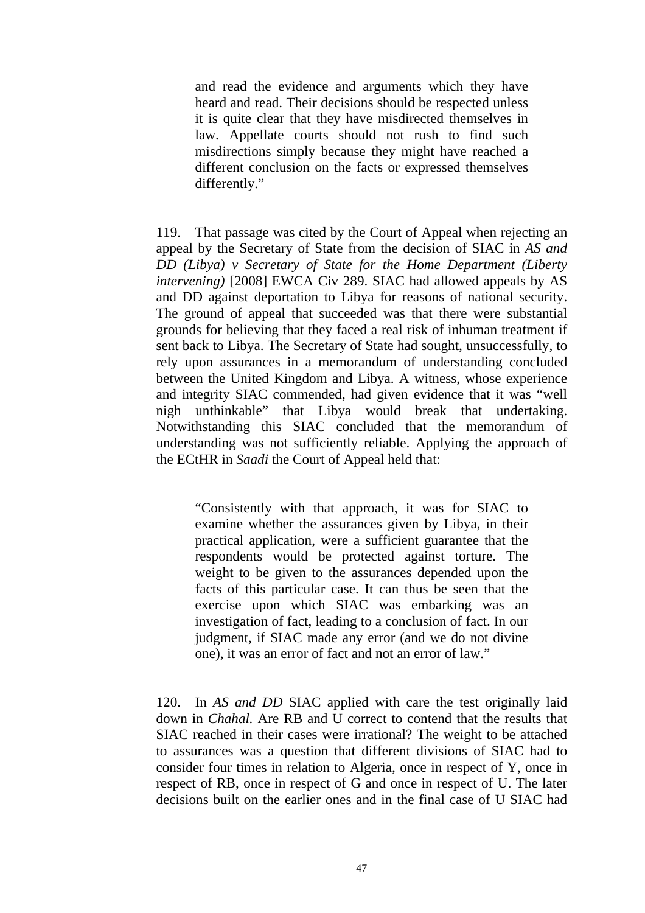and read the evidence and arguments which they have heard and read. Their decisions should be respected unless it is quite clear that they have misdirected themselves in law. Appellate courts should not rush to find such misdirections simply because they might have reached a different conclusion on the facts or expressed themselves differently."

119. That passage was cited by the Court of Appeal when rejecting an appeal by the Secretary of State from the decision of SIAC in *AS and DD (Libya) v Secretary of State for the Home Department (Liberty intervening)* [2008] EWCA Civ 289. SIAC had allowed appeals by AS and DD against deportation to Libya for reasons of national security. The ground of appeal that succeeded was that there were substantial grounds for believing that they faced a real risk of inhuman treatment if sent back to Libya. The Secretary of State had sought, unsuccessfully, to rely upon assurances in a memorandum of understanding concluded between the United Kingdom and Libya. A witness, whose experience and integrity SIAC commended, had given evidence that it was "well nigh unthinkable" that Libya would break that undertaking. Notwithstanding this SIAC concluded that the memorandum of understanding was not sufficiently reliable. Applying the approach of the ECtHR in *Saadi* the Court of Appeal held that:

"Consistently with that approach, it was for SIAC to examine whether the assurances given by Libya, in their practical application, were a sufficient guarantee that the respondents would be protected against torture. The weight to be given to the assurances depended upon the facts of this particular case. It can thus be seen that the exercise upon which SIAC was embarking was an investigation of fact, leading to a conclusion of fact. In our judgment, if SIAC made any error (and we do not divine one), it was an error of fact and not an error of law."

120. In *AS and DD* SIAC applied with care the test originally laid down in *Chahal.* Are RB and U correct to contend that the results that SIAC reached in their cases were irrational? The weight to be attached to assurances was a question that different divisions of SIAC had to consider four times in relation to Algeria, once in respect of Y, once in respect of RB, once in respect of G and once in respect of U. The later decisions built on the earlier ones and in the final case of U SIAC had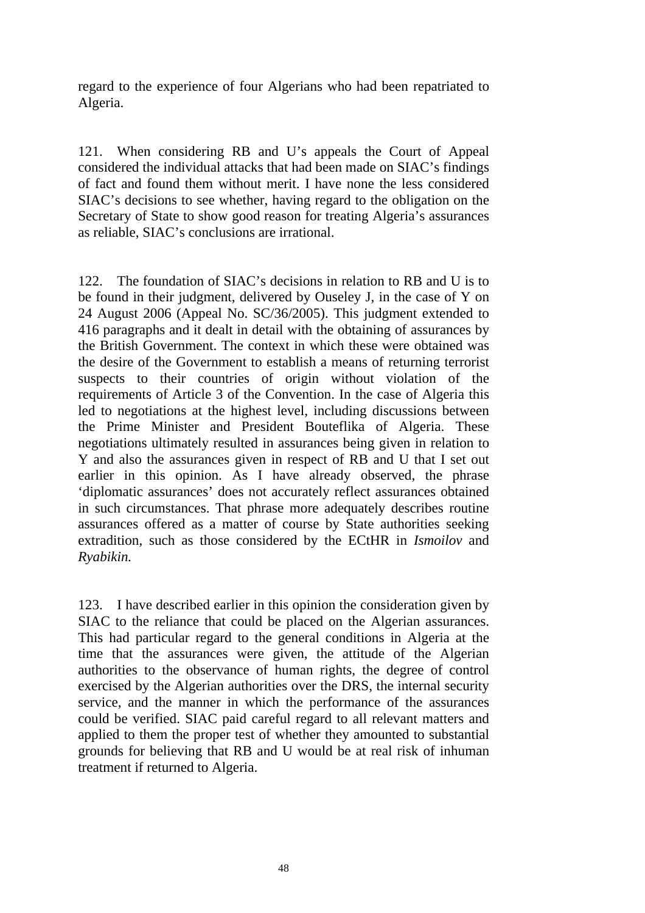regard to the experience of four Algerians who had been repatriated to Algeria.

121. When considering RB and U's appeals the Court of Appeal considered the individual attacks that had been made on SIAC's findings of fact and found them without merit. I have none the less considered SIAC's decisions to see whether, having regard to the obligation on the Secretary of State to show good reason for treating Algeria's assurances as reliable, SIAC's conclusions are irrational.

122. The foundation of SIAC's decisions in relation to RB and U is to be found in their judgment, delivered by Ouseley J, in the case of Y on 24 August 2006 (Appeal No. SC/36/2005). This judgment extended to 416 paragraphs and it dealt in detail with the obtaining of assurances by the British Government. The context in which these were obtained was the desire of the Government to establish a means of returning terrorist suspects to their countries of origin without violation of the requirements of Article 3 of the Convention. In the case of Algeria this led to negotiations at the highest level, including discussions between the Prime Minister and President Bouteflika of Algeria. These negotiations ultimately resulted in assurances being given in relation to Y and also the assurances given in respect of RB and U that I set out earlier in this opinion. As I have already observed, the phrase 'diplomatic assurances' does not accurately reflect assurances obtained in such circumstances. That phrase more adequately describes routine assurances offered as a matter of course by State authorities seeking extradition, such as those considered by the ECtHR in *Ismoilov* and *Ryabikin.*

123. I have described earlier in this opinion the consideration given by SIAC to the reliance that could be placed on the Algerian assurances. This had particular regard to the general conditions in Algeria at the time that the assurances were given, the attitude of the Algerian authorities to the observance of human rights, the degree of control exercised by the Algerian authorities over the DRS, the internal security service, and the manner in which the performance of the assurances could be verified. SIAC paid careful regard to all relevant matters and applied to them the proper test of whether they amounted to substantial grounds for believing that RB and U would be at real risk of inhuman treatment if returned to Algeria.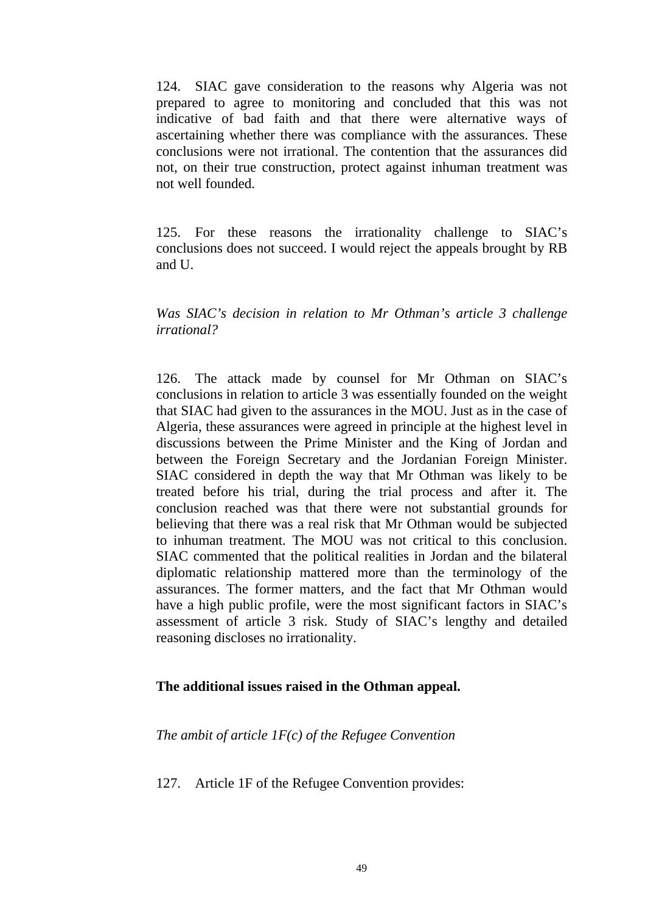124. SIAC gave consideration to the reasons why Algeria was not prepared to agree to monitoring and concluded that this was not indicative of bad faith and that there were alternative ways of ascertaining whether there was compliance with the assurances. These conclusions were not irrational. The contention that the assurances did not, on their true construction, protect against inhuman treatment was not well founded.

125. For these reasons the irrationality challenge to SIAC's conclusions does not succeed. I would reject the appeals brought by RB and U.

*Was SIAC's decision in relation to Mr Othman's article 3 challenge irrational?* 

126. The attack made by counsel for Mr Othman on SIAC's conclusions in relation to article 3 was essentially founded on the weight that SIAC had given to the assurances in the MOU. Just as in the case of Algeria, these assurances were agreed in principle at the highest level in discussions between the Prime Minister and the King of Jordan and between the Foreign Secretary and the Jordanian Foreign Minister. SIAC considered in depth the way that Mr Othman was likely to be treated before his trial, during the trial process and after it. The conclusion reached was that there were not substantial grounds for believing that there was a real risk that Mr Othman would be subjected to inhuman treatment. The MOU was not critical to this conclusion. SIAC commented that the political realities in Jordan and the bilateral diplomatic relationship mattered more than the terminology of the assurances. The former matters, and the fact that Mr Othman would have a high public profile, were the most significant factors in SIAC's assessment of article 3 risk. Study of SIAC's lengthy and detailed reasoning discloses no irrationality.

#### **The additional issues raised in the Othman appeal.**

# *The ambit of article 1F(c) of the Refugee Convention*

127. Article 1F of the Refugee Convention provides: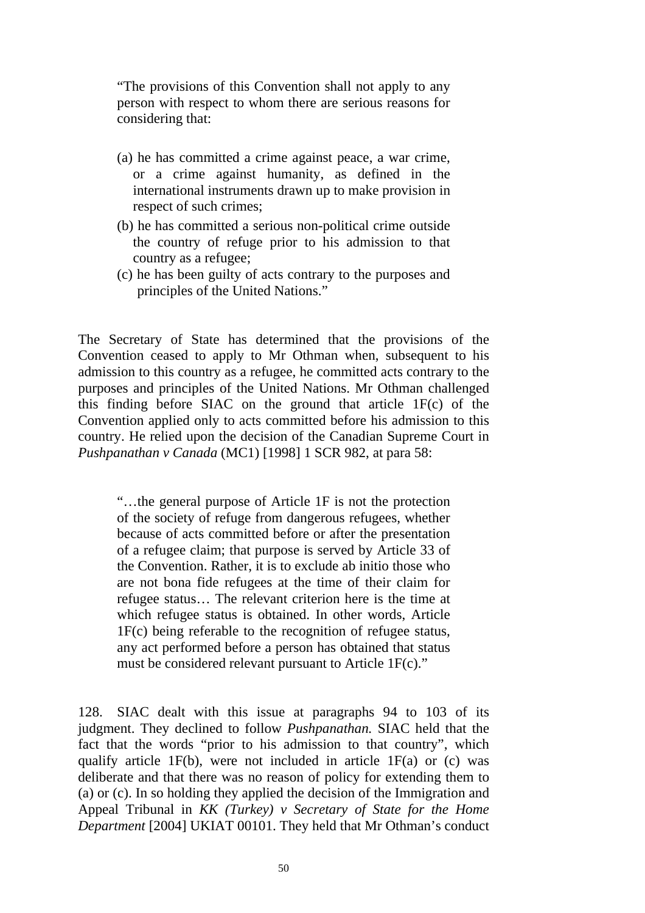"The provisions of this Convention shall not apply to any person with respect to whom there are serious reasons for considering that:

- (a) he has committed a crime against peace, a war crime, or a crime against humanity, as defined in the international instruments drawn up to make provision in respect of such crimes;
- (b) he has committed a serious non-political crime outside the country of refuge prior to his admission to that country as a refugee;
- (c) he has been guilty of acts contrary to the purposes and principles of the United Nations."

The Secretary of State has determined that the provisions of the Convention ceased to apply to Mr Othman when, subsequent to his admission to this country as a refugee, he committed acts contrary to the purposes and principles of the United Nations. Mr Othman challenged this finding before SIAC on the ground that article 1F(c) of the Convention applied only to acts committed before his admission to this country. He relied upon the decision of the Canadian Supreme Court in *Pushpanathan v Canada* (MC1) [1998] 1 SCR 982, at para 58:

"…the general purpose of Article 1F is not the protection of the society of refuge from dangerous refugees, whether because of acts committed before or after the presentation of a refugee claim; that purpose is served by Article 33 of the Convention. Rather, it is to exclude ab initio those who are not bona fide refugees at the time of their claim for refugee status… The relevant criterion here is the time at which refugee status is obtained. In other words, Article 1F(c) being referable to the recognition of refugee status, any act performed before a person has obtained that status must be considered relevant pursuant to Article 1F(c)."

128. SIAC dealt with this issue at paragraphs 94 to 103 of its judgment. They declined to follow *Pushpanathan.* SIAC held that the fact that the words "prior to his admission to that country", which qualify article 1F(b), were not included in article 1F(a) or (c) was deliberate and that there was no reason of policy for extending them to (a) or (c). In so holding they applied the decision of the Immigration and Appeal Tribunal in *KK (Turkey) v Secretary of State for the Home Department* [2004] UKIAT 00101. They held that Mr Othman's conduct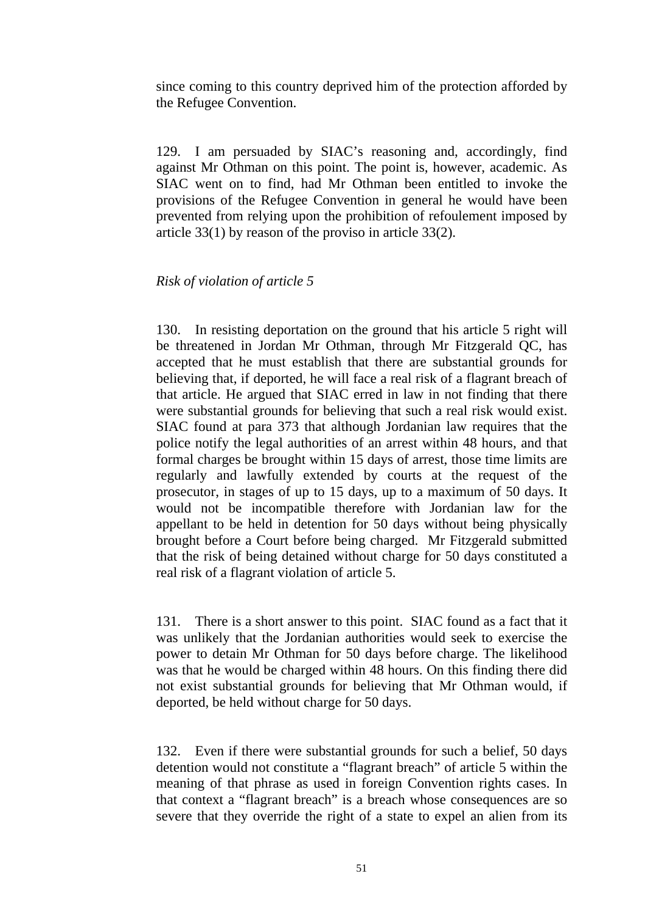since coming to this country deprived him of the protection afforded by the Refugee Convention.

129. I am persuaded by SIAC's reasoning and, accordingly, find against Mr Othman on this point. The point is, however, academic. As SIAC went on to find, had Mr Othman been entitled to invoke the provisions of the Refugee Convention in general he would have been prevented from relying upon the prohibition of refoulement imposed by article 33(1) by reason of the proviso in article 33(2).

#### *Risk of violation of article 5*

130. In resisting deportation on the ground that his article 5 right will be threatened in Jordan Mr Othman, through Mr Fitzgerald QC, has accepted that he must establish that there are substantial grounds for believing that, if deported, he will face a real risk of a flagrant breach of that article. He argued that SIAC erred in law in not finding that there were substantial grounds for believing that such a real risk would exist. SIAC found at para 373 that although Jordanian law requires that the police notify the legal authorities of an arrest within 48 hours, and that formal charges be brought within 15 days of arrest, those time limits are regularly and lawfully extended by courts at the request of the prosecutor, in stages of up to 15 days, up to a maximum of 50 days. It would not be incompatible therefore with Jordanian law for the appellant to be held in detention for 50 days without being physically brought before a Court before being charged. Mr Fitzgerald submitted that the risk of being detained without charge for 50 days constituted a real risk of a flagrant violation of article 5.

131. There is a short answer to this point. SIAC found as a fact that it was unlikely that the Jordanian authorities would seek to exercise the power to detain Mr Othman for 50 days before charge. The likelihood was that he would be charged within 48 hours. On this finding there did not exist substantial grounds for believing that Mr Othman would, if deported, be held without charge for 50 days.

132. Even if there were substantial grounds for such a belief, 50 days detention would not constitute a "flagrant breach" of article 5 within the meaning of that phrase as used in foreign Convention rights cases. In that context a "flagrant breach" is a breach whose consequences are so severe that they override the right of a state to expel an alien from its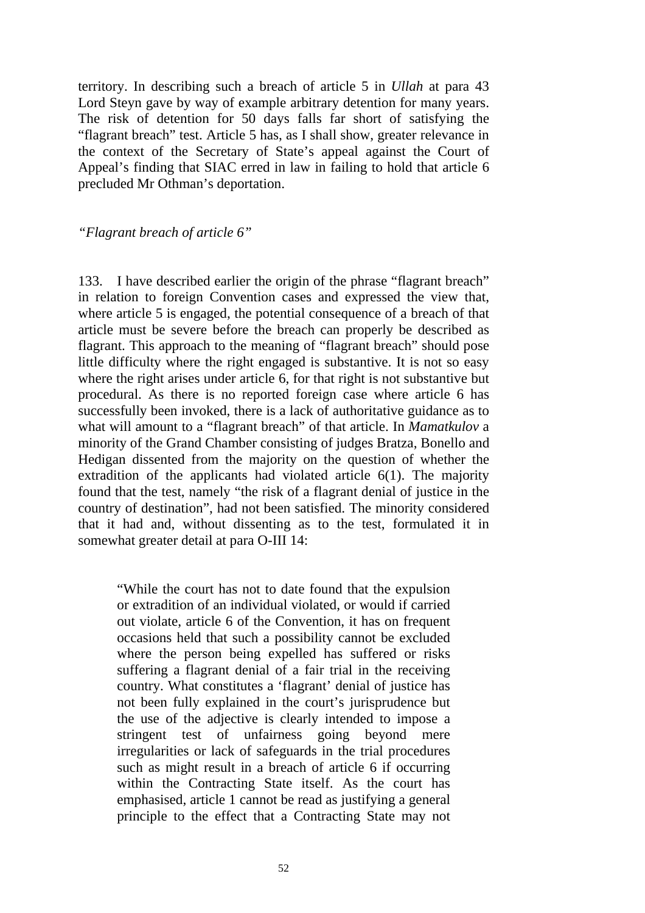territory. In describing such a breach of article 5 in *Ullah* at para 43 Lord Steyn gave by way of example arbitrary detention for many years. The risk of detention for 50 days falls far short of satisfying the "flagrant breach" test. Article 5 has, as I shall show, greater relevance in the context of the Secretary of State's appeal against the Court of Appeal's finding that SIAC erred in law in failing to hold that article 6 precluded Mr Othman's deportation.

# *"Flagrant breach of article 6"*

133. I have described earlier the origin of the phrase "flagrant breach" in relation to foreign Convention cases and expressed the view that, where article 5 is engaged, the potential consequence of a breach of that article must be severe before the breach can properly be described as flagrant. This approach to the meaning of "flagrant breach" should pose little difficulty where the right engaged is substantive. It is not so easy where the right arises under article 6, for that right is not substantive but procedural. As there is no reported foreign case where article 6 has successfully been invoked, there is a lack of authoritative guidance as to what will amount to a "flagrant breach" of that article. In *Mamatkulov* a minority of the Grand Chamber consisting of judges Bratza, Bonello and Hedigan dissented from the majority on the question of whether the extradition of the applicants had violated article 6(1). The majority found that the test, namely "the risk of a flagrant denial of justice in the country of destination", had not been satisfied. The minority considered that it had and, without dissenting as to the test, formulated it in somewhat greater detail at para O-III 14:

"While the court has not to date found that the expulsion or extradition of an individual violated, or would if carried out violate, article 6 of the Convention, it has on frequent occasions held that such a possibility cannot be excluded where the person being expelled has suffered or risks suffering a flagrant denial of a fair trial in the receiving country. What constitutes a 'flagrant' denial of justice has not been fully explained in the court's jurisprudence but the use of the adjective is clearly intended to impose a stringent test of unfairness going beyond mere irregularities or lack of safeguards in the trial procedures such as might result in a breach of article 6 if occurring within the Contracting State itself. As the court has emphasised, article 1 cannot be read as justifying a general principle to the effect that a Contracting State may not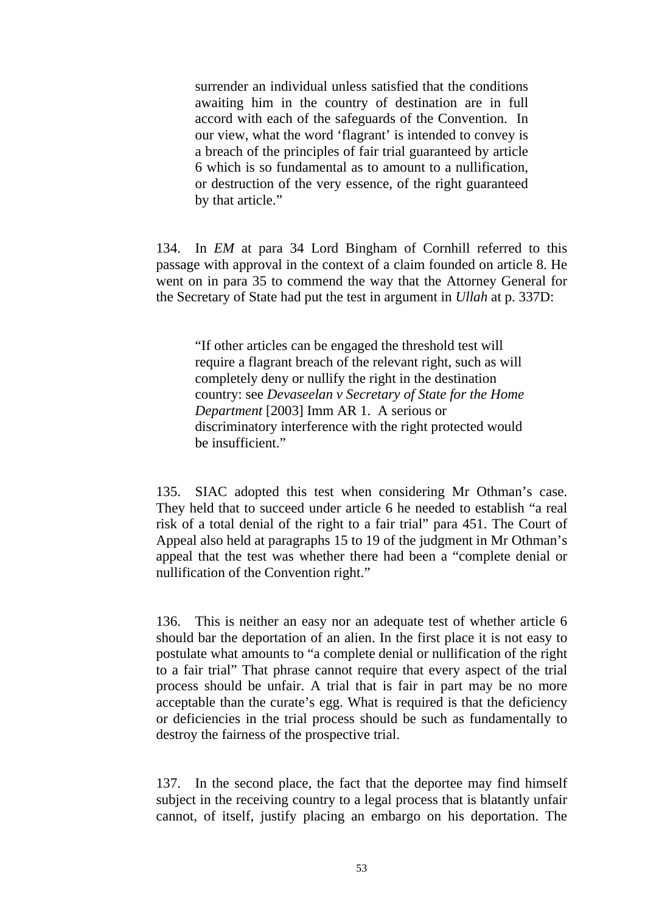surrender an individual unless satisfied that the conditions awaiting him in the country of destination are in full accord with each of the safeguards of the Convention. In our view, what the word 'flagrant' is intended to convey is a breach of the principles of fair trial guaranteed by article 6 which is so fundamental as to amount to a nullification, or destruction of the very essence, of the right guaranteed by that article."

134. In *EM* at para 34 Lord Bingham of Cornhill referred to this passage with approval in the context of a claim founded on article 8. He went on in para 35 to commend the way that the Attorney General for the Secretary of State had put the test in argument in *Ullah* at p. 337D:

"If other articles can be engaged the threshold test will require a flagrant breach of the relevant right, such as will completely deny or nullify the right in the destination country: see *Devaseelan v Secretary of State for the Home Department* [2003] Imm AR 1. A serious or discriminatory interference with the right protected would be insufficient."

135. SIAC adopted this test when considering Mr Othman's case. They held that to succeed under article 6 he needed to establish "a real risk of a total denial of the right to a fair trial" para 451. The Court of Appeal also held at paragraphs 15 to 19 of the judgment in Mr Othman's appeal that the test was whether there had been a "complete denial or nullification of the Convention right."

136. This is neither an easy nor an adequate test of whether article 6 should bar the deportation of an alien. In the first place it is not easy to postulate what amounts to "a complete denial or nullification of the right to a fair trial" That phrase cannot require that every aspect of the trial process should be unfair. A trial that is fair in part may be no more acceptable than the curate's egg. What is required is that the deficiency or deficiencies in the trial process should be such as fundamentally to destroy the fairness of the prospective trial.

137. In the second place, the fact that the deportee may find himself subject in the receiving country to a legal process that is blatantly unfair cannot, of itself, justify placing an embargo on his deportation. The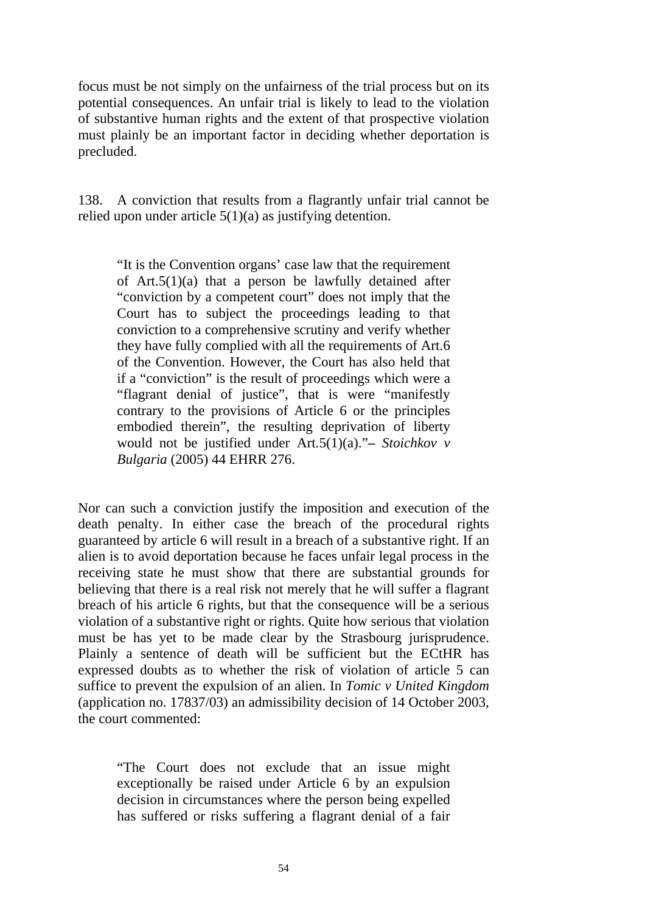focus must be not simply on the unfairness of the trial process but on its potential consequences. An unfair trial is likely to lead to the violation of substantive human rights and the extent of that prospective violation must plainly be an important factor in deciding whether deportation is precluded.

138. A conviction that results from a flagrantly unfair trial cannot be relied upon under article  $5(1)(a)$  as justifying detention.

"It is the Convention organs' case law that the requirement of  $Art.5(1)(a)$  that a person be lawfully detained after "conviction by a competent court" does not imply that the Court has to subject the proceedings leading to that conviction to a comprehensive scrutiny and verify whether they have fully complied with all the requirements of Art.6 of the Convention. However, the Court has also held that if a "conviction" is the result of proceedings which were a "flagrant denial of justice", that is were "manifestly contrary to the provisions of Article 6 or the principles embodied therein", the resulting deprivation of liberty would not be justified under Art.5(1)(a)."**–** *Stoichkov v Bulgaria* (2005) 44 EHRR 276.

Nor can such a conviction justify the imposition and execution of the death penalty. In either case the breach of the procedural rights guaranteed by article 6 will result in a breach of a substantive right. If an alien is to avoid deportation because he faces unfair legal process in the receiving state he must show that there are substantial grounds for believing that there is a real risk not merely that he will suffer a flagrant breach of his article 6 rights, but that the consequence will be a serious violation of a substantive right or rights. Quite how serious that violation must be has yet to be made clear by the Strasbourg jurisprudence. Plainly a sentence of death will be sufficient but the ECtHR has expressed doubts as to whether the risk of violation of article 5 can suffice to prevent the expulsion of an alien. In *Tomic v United Kingdom*  (application no. 17837/03) an admissibility decision of 14 October 2003, the court commented:

"The Court does not exclude that an issue might exceptionally be raised under Article 6 by an expulsion decision in circumstances where the person being expelled has suffered or risks suffering a flagrant denial of a fair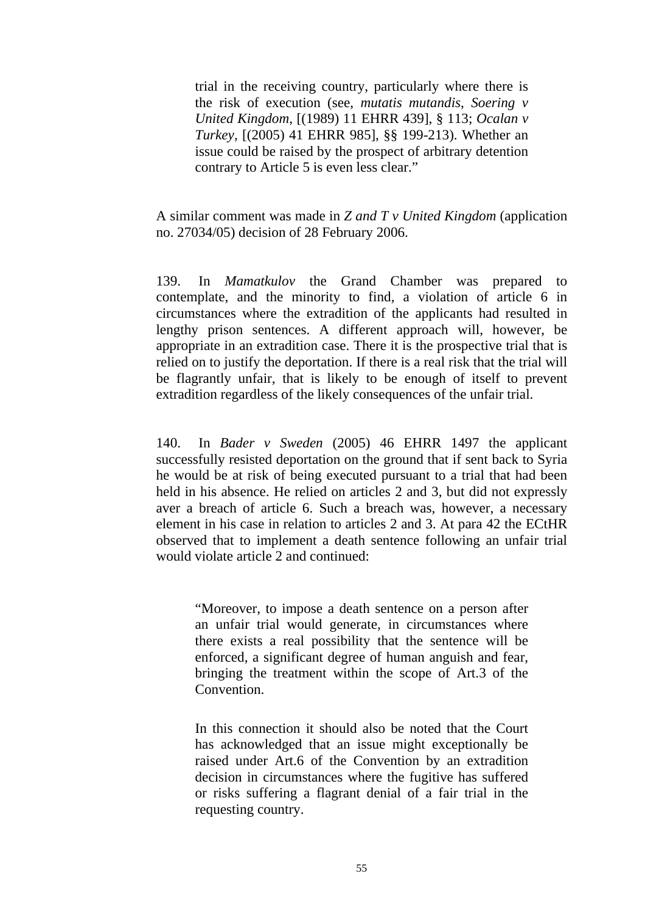trial in the receiving country, particularly where there is the risk of execution (see, *mutatis mutandis*, *Soering v United Kingdom*, [(1989) 11 EHRR 439], § 113; *Ocalan v Turkey*, [(2005) 41 EHRR 985], §§ 199-213). Whether an issue could be raised by the prospect of arbitrary detention contrary to Article 5 is even less clear."

A similar comment was made in *Z and T v United Kingdom* (application no. 27034/05) decision of 28 February 2006.

139. In *Mamatkulov* the Grand Chamber was prepared to contemplate, and the minority to find, a violation of article 6 in circumstances where the extradition of the applicants had resulted in lengthy prison sentences. A different approach will, however, be appropriate in an extradition case. There it is the prospective trial that is relied on to justify the deportation. If there is a real risk that the trial will be flagrantly unfair, that is likely to be enough of itself to prevent extradition regardless of the likely consequences of the unfair trial.

140. In *Bader v Sweden* (2005) 46 EHRR 1497 the applicant successfully resisted deportation on the ground that if sent back to Syria he would be at risk of being executed pursuant to a trial that had been held in his absence. He relied on articles 2 and 3, but did not expressly aver a breach of article 6. Such a breach was, however, a necessary element in his case in relation to articles 2 and 3. At para 42 the ECtHR observed that to implement a death sentence following an unfair trial would violate article 2 and continued:

"Moreover, to impose a death sentence on a person after an unfair trial would generate, in circumstances where there exists a real possibility that the sentence will be enforced, a significant degree of human anguish and fear, bringing the treatment within the scope of Art.3 of the Convention.

In this connection it should also be noted that the Court has acknowledged that an issue might exceptionally be raised under Art.6 of the Convention by an extradition decision in circumstances where the fugitive has suffered or risks suffering a flagrant denial of a fair trial in the requesting country.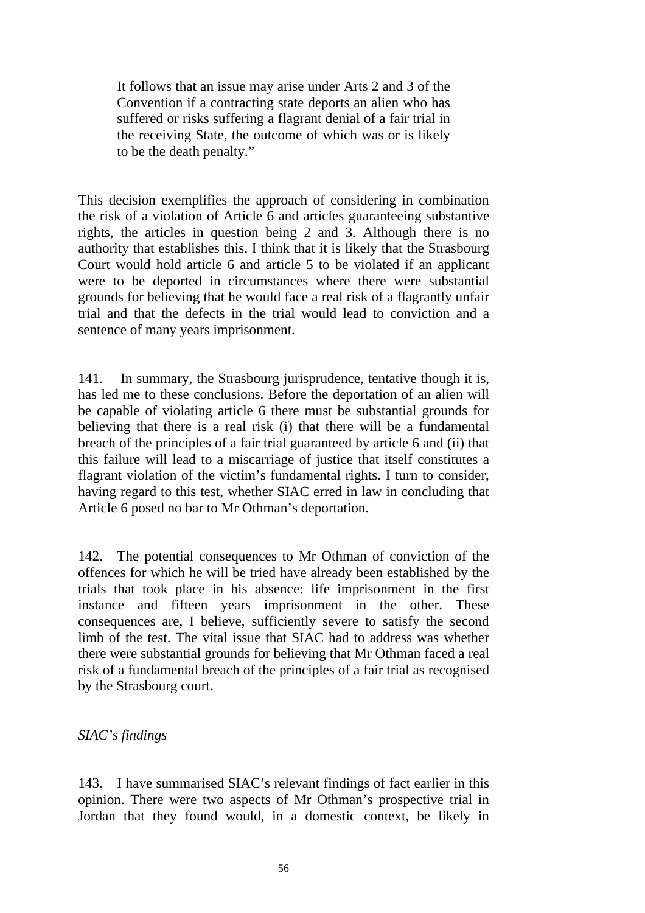It follows that an issue may arise under Arts 2 and 3 of the Convention if a contracting state deports an alien who has suffered or risks suffering a flagrant denial of a fair trial in the receiving State, the outcome of which was or is likely to be the death penalty."

This decision exemplifies the approach of considering in combination the risk of a violation of Article 6 and articles guaranteeing substantive rights, the articles in question being 2 and 3. Although there is no authority that establishes this, I think that it is likely that the Strasbourg Court would hold article 6 and article 5 to be violated if an applicant were to be deported in circumstances where there were substantial grounds for believing that he would face a real risk of a flagrantly unfair trial and that the defects in the trial would lead to conviction and a sentence of many years imprisonment.

141. In summary, the Strasbourg jurisprudence, tentative though it is, has led me to these conclusions. Before the deportation of an alien will be capable of violating article 6 there must be substantial grounds for believing that there is a real risk (i) that there will be a fundamental breach of the principles of a fair trial guaranteed by article 6 and (ii) that this failure will lead to a miscarriage of justice that itself constitutes a flagrant violation of the victim's fundamental rights. I turn to consider, having regard to this test, whether SIAC erred in law in concluding that Article 6 posed no bar to Mr Othman's deportation.

142. The potential consequences to Mr Othman of conviction of the offences for which he will be tried have already been established by the trials that took place in his absence: life imprisonment in the first instance and fifteen years imprisonment in the other. These consequences are, I believe, sufficiently severe to satisfy the second limb of the test. The vital issue that SIAC had to address was whether there were substantial grounds for believing that Mr Othman faced a real risk of a fundamental breach of the principles of a fair trial as recognised by the Strasbourg court.

*SIAC's findings* 

143. I have summarised SIAC's relevant findings of fact earlier in this opinion. There were two aspects of Mr Othman's prospective trial in Jordan that they found would, in a domestic context, be likely in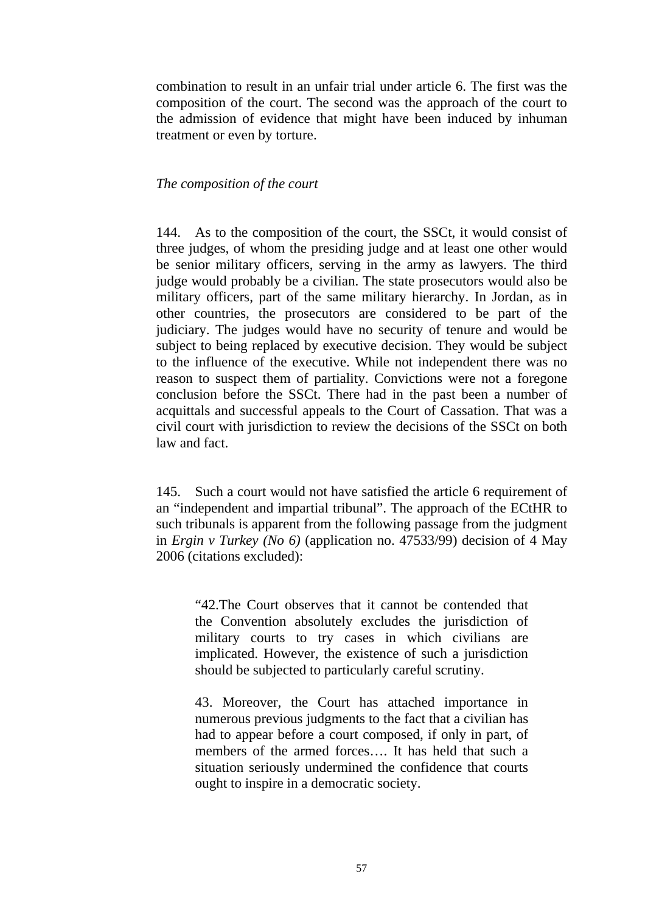combination to result in an unfair trial under article 6. The first was the composition of the court. The second was the approach of the court to the admission of evidence that might have been induced by inhuman treatment or even by torture.

#### *The composition of the court*

144. As to the composition of the court, the SSCt, it would consist of three judges, of whom the presiding judge and at least one other would be senior military officers, serving in the army as lawyers. The third judge would probably be a civilian. The state prosecutors would also be military officers, part of the same military hierarchy. In Jordan, as in other countries, the prosecutors are considered to be part of the judiciary. The judges would have no security of tenure and would be subject to being replaced by executive decision. They would be subject to the influence of the executive. While not independent there was no reason to suspect them of partiality. Convictions were not a foregone conclusion before the SSCt. There had in the past been a number of acquittals and successful appeals to the Court of Cassation. That was a civil court with jurisdiction to review the decisions of the SSCt on both law and fact.

145. Such a court would not have satisfied the article 6 requirement of an "independent and impartial tribunal". The approach of the ECtHR to such tribunals is apparent from the following passage from the judgment in *Ergin v Turkey (No 6)* (application no. 47533/99) decision of 4 May 2006 (citations excluded):

"42.The Court observes that it cannot be contended that the Convention absolutely excludes the jurisdiction of military courts to try cases in which civilians are implicated. However, the existence of such a jurisdiction should be subjected to particularly careful scrutiny.

43. Moreover, the Court has attached importance in numerous previous judgments to the fact that a civilian has had to appear before a court composed, if only in part, of members of the armed forces…. It has held that such a situation seriously undermined the confidence that courts ought to inspire in a democratic society.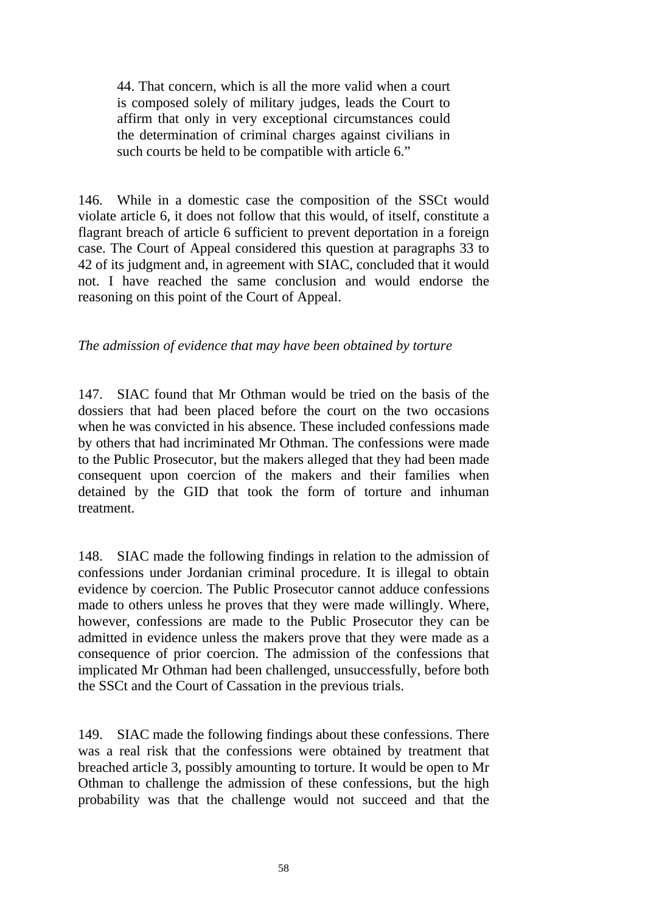44. That concern, which is all the more valid when a court is composed solely of military judges, leads the Court to affirm that only in very exceptional circumstances could the determination of criminal charges against civilians in such courts be held to be compatible with article 6."

146. While in a domestic case the composition of the SSCt would violate article 6, it does not follow that this would, of itself, constitute a flagrant breach of article 6 sufficient to prevent deportation in a foreign case. The Court of Appeal considered this question at paragraphs 33 to 42 of its judgment and, in agreement with SIAC, concluded that it would not. I have reached the same conclusion and would endorse the reasoning on this point of the Court of Appeal.

# *The admission of evidence that may have been obtained by torture*

147. SIAC found that Mr Othman would be tried on the basis of the dossiers that had been placed before the court on the two occasions when he was convicted in his absence. These included confessions made by others that had incriminated Mr Othman. The confessions were made to the Public Prosecutor, but the makers alleged that they had been made consequent upon coercion of the makers and their families when detained by the GID that took the form of torture and inhuman treatment.

148. SIAC made the following findings in relation to the admission of confessions under Jordanian criminal procedure. It is illegal to obtain evidence by coercion. The Public Prosecutor cannot adduce confessions made to others unless he proves that they were made willingly. Where, however, confessions are made to the Public Prosecutor they can be admitted in evidence unless the makers prove that they were made as a consequence of prior coercion. The admission of the confessions that implicated Mr Othman had been challenged, unsuccessfully, before both the SSCt and the Court of Cassation in the previous trials.

149. SIAC made the following findings about these confessions. There was a real risk that the confessions were obtained by treatment that breached article 3, possibly amounting to torture. It would be open to Mr Othman to challenge the admission of these confessions, but the high probability was that the challenge would not succeed and that the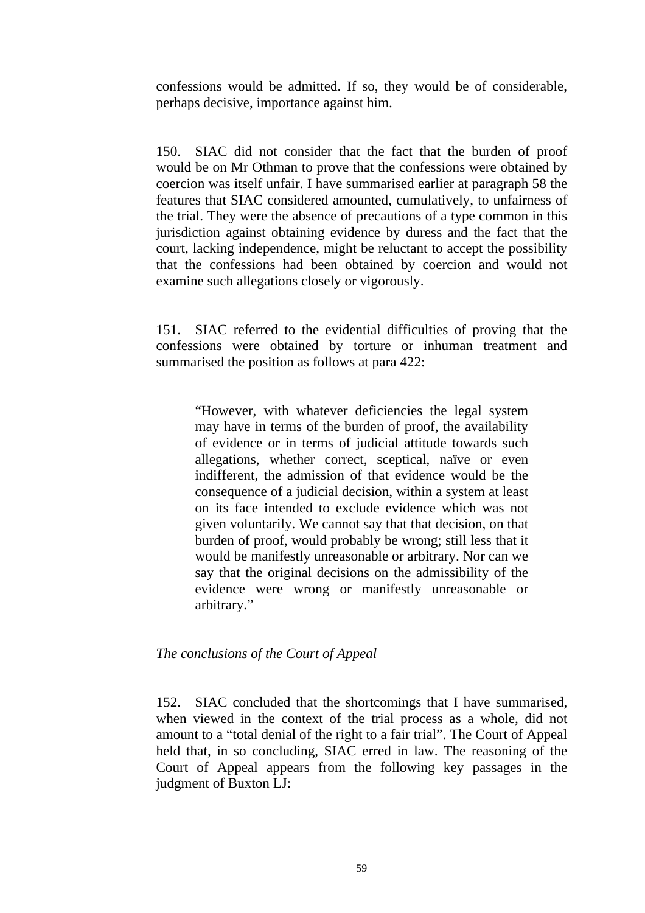confessions would be admitted. If so, they would be of considerable, perhaps decisive, importance against him.

150. SIAC did not consider that the fact that the burden of proof would be on Mr Othman to prove that the confessions were obtained by coercion was itself unfair. I have summarised earlier at paragraph 58 the features that SIAC considered amounted, cumulatively, to unfairness of the trial. They were the absence of precautions of a type common in this jurisdiction against obtaining evidence by duress and the fact that the court, lacking independence, might be reluctant to accept the possibility that the confessions had been obtained by coercion and would not examine such allegations closely or vigorously.

151. SIAC referred to the evidential difficulties of proving that the confessions were obtained by torture or inhuman treatment and summarised the position as follows at para 422:

"However, with whatever deficiencies the legal system may have in terms of the burden of proof, the availability of evidence or in terms of judicial attitude towards such allegations, whether correct, sceptical, naïve or even indifferent, the admission of that evidence would be the consequence of a judicial decision, within a system at least on its face intended to exclude evidence which was not given voluntarily. We cannot say that that decision, on that burden of proof, would probably be wrong; still less that it would be manifestly unreasonable or arbitrary. Nor can we say that the original decisions on the admissibility of the evidence were wrong or manifestly unreasonable or arbitrary."

# *The conclusions of the Court of Appeal*

152. SIAC concluded that the shortcomings that I have summarised, when viewed in the context of the trial process as a whole, did not amount to a "total denial of the right to a fair trial". The Court of Appeal held that, in so concluding, SIAC erred in law. The reasoning of the Court of Appeal appears from the following key passages in the judgment of Buxton LJ: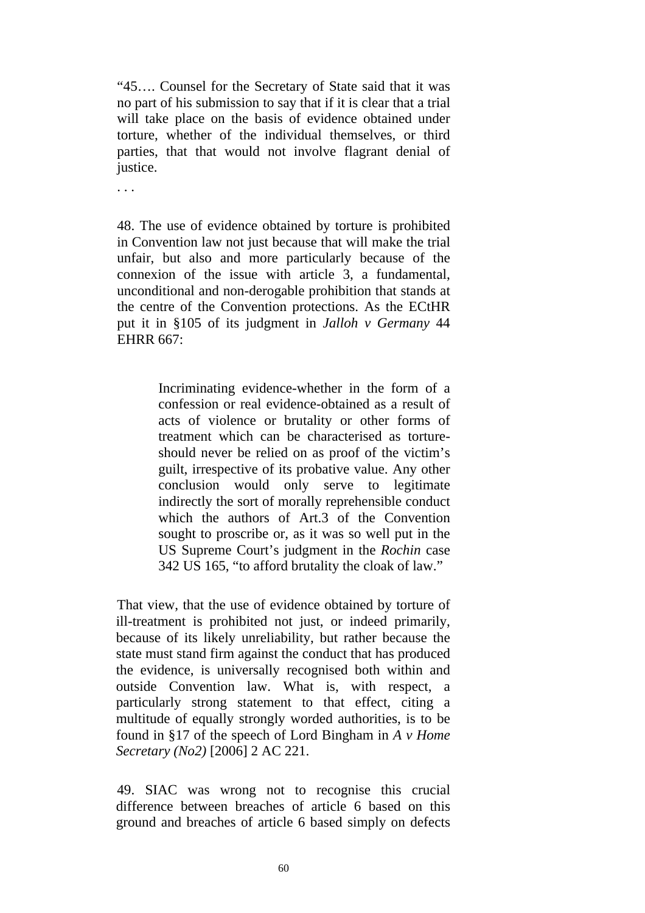"45…. Counsel for the Secretary of State said that it was no part of his submission to say that if it is clear that a trial will take place on the basis of evidence obtained under torture, whether of the individual themselves, or third parties, that that would not involve flagrant denial of justice.

. . .

48. The use of evidence obtained by torture is prohibited in Convention law not just because that will make the trial unfair, but also and more particularly because of the connexion of the issue with article 3, a fundamental, unconditional and non-derogable prohibition that stands at the centre of the Convention protections. As the ECtHR put it in §105 of its judgment in *Jalloh v Germany* 44 EHRR 667:

> Incriminating evidence-whether in the form of a confession or real evidence-obtained as a result of acts of violence or brutality or other forms of treatment which can be characterised as tortureshould never be relied on as proof of the victim's guilt, irrespective of its probative value. Any other conclusion would only serve to legitimate indirectly the sort of morally reprehensible conduct which the authors of Art.3 of the Convention sought to proscribe or, as it was so well put in the US Supreme Court's judgment in the *Rochin* case 342 US 165, "to afford brutality the cloak of law."

That view, that the use of evidence obtained by torture of ill-treatment is prohibited not just, or indeed primarily, because of its likely unreliability, but rather because the state must stand firm against the conduct that has produced the evidence, is universally recognised both within and outside Convention law. What is, with respect, a particularly strong statement to that effect, citing a multitude of equally strongly worded authorities, is to be found in §17 of the speech of Lord Bingham in *A v Home Secretary (No2)* [2006] 2 AC 221.

49. SIAC was wrong not to recognise this crucial difference between breaches of article 6 based on this ground and breaches of article 6 based simply on defects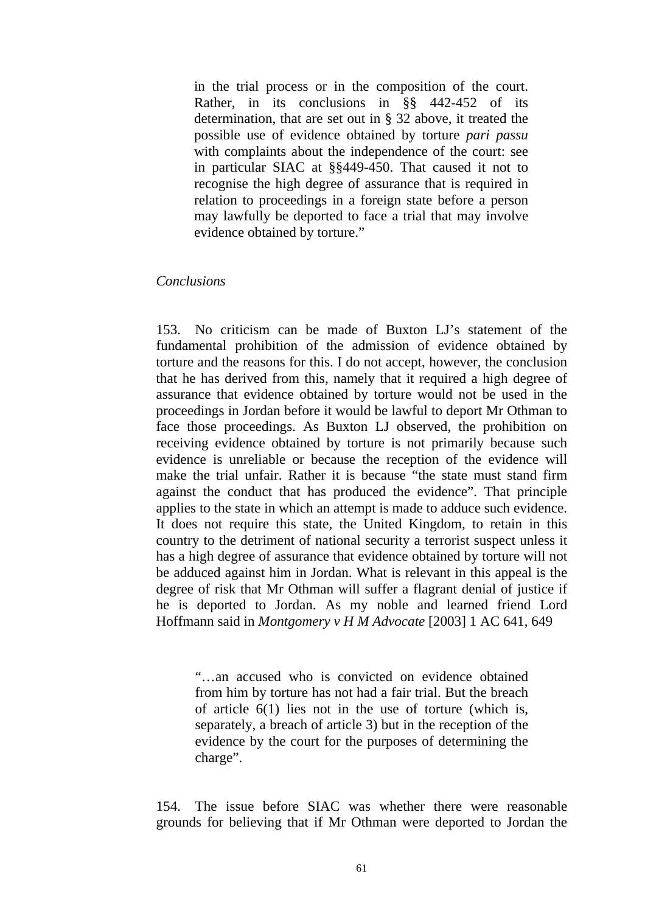in the trial process or in the composition of the court. Rather, in its conclusions in §§ 442-452 of its determination, that are set out in § 32 above, it treated the possible use of evidence obtained by torture *pari passu* with complaints about the independence of the court: see in particular SIAC at §§449-450. That caused it not to recognise the high degree of assurance that is required in relation to proceedings in a foreign state before a person may lawfully be deported to face a trial that may involve evidence obtained by torture."

#### *Conclusions*

153. No criticism can be made of Buxton LJ's statement of the fundamental prohibition of the admission of evidence obtained by torture and the reasons for this. I do not accept, however, the conclusion that he has derived from this, namely that it required a high degree of assurance that evidence obtained by torture would not be used in the proceedings in Jordan before it would be lawful to deport Mr Othman to face those proceedings. As Buxton LJ observed, the prohibition on receiving evidence obtained by torture is not primarily because such evidence is unreliable or because the reception of the evidence will make the trial unfair. Rather it is because "the state must stand firm against the conduct that has produced the evidence". That principle applies to the state in which an attempt is made to adduce such evidence. It does not require this state, the United Kingdom, to retain in this country to the detriment of national security a terrorist suspect unless it has a high degree of assurance that evidence obtained by torture will not be adduced against him in Jordan. What is relevant in this appeal is the degree of risk that Mr Othman will suffer a flagrant denial of justice if he is deported to Jordan. As my noble and learned friend Lord Hoffmann said in *Montgomery v H M Advocate* [2003] 1 AC 641, 649

"…an accused who is convicted on evidence obtained from him by torture has not had a fair trial. But the breach of article  $6(1)$  lies not in the use of torture (which is, separately, a breach of article 3) but in the reception of the evidence by the court for the purposes of determining the charge".

154. The issue before SIAC was whether there were reasonable grounds for believing that if Mr Othman were deported to Jordan the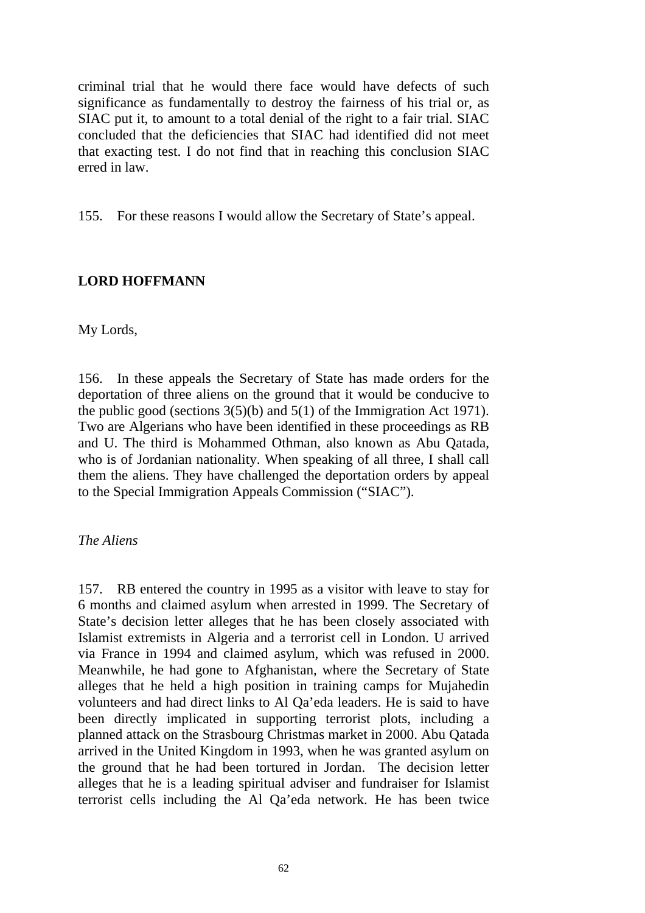criminal trial that he would there face would have defects of such significance as fundamentally to destroy the fairness of his trial or, as SIAC put it, to amount to a total denial of the right to a fair trial. SIAC concluded that the deficiencies that SIAC had identified did not meet that exacting test. I do not find that in reaching this conclusion SIAC erred in law.

155. For these reasons I would allow the Secretary of State's appeal.

#### **LORD HOFFMANN**

#### My Lords,

156. In these appeals the Secretary of State has made orders for the deportation of three aliens on the ground that it would be conducive to the public good (sections  $3(5)(b)$  and  $5(1)$  of the Immigration Act 1971). Two are Algerians who have been identified in these proceedings as RB and U. The third is Mohammed Othman, also known as Abu Qatada, who is of Jordanian nationality. When speaking of all three, I shall call them the aliens. They have challenged the deportation orders by appeal to the Special Immigration Appeals Commission ("SIAC").

#### *The Aliens*

157. RB entered the country in 1995 as a visitor with leave to stay for 6 months and claimed asylum when arrested in 1999. The Secretary of State's decision letter alleges that he has been closely associated with Islamist extremists in Algeria and a terrorist cell in London. U arrived via France in 1994 and claimed asylum, which was refused in 2000. Meanwhile, he had gone to Afghanistan, where the Secretary of State alleges that he held a high position in training camps for Mujahedin volunteers and had direct links to Al Qa'eda leaders. He is said to have been directly implicated in supporting terrorist plots, including a planned attack on the Strasbourg Christmas market in 2000. Abu Qatada arrived in the United Kingdom in 1993, when he was granted asylum on the ground that he had been tortured in Jordan. The decision letter alleges that he is a leading spiritual adviser and fundraiser for Islamist terrorist cells including the Al Qa'eda network. He has been twice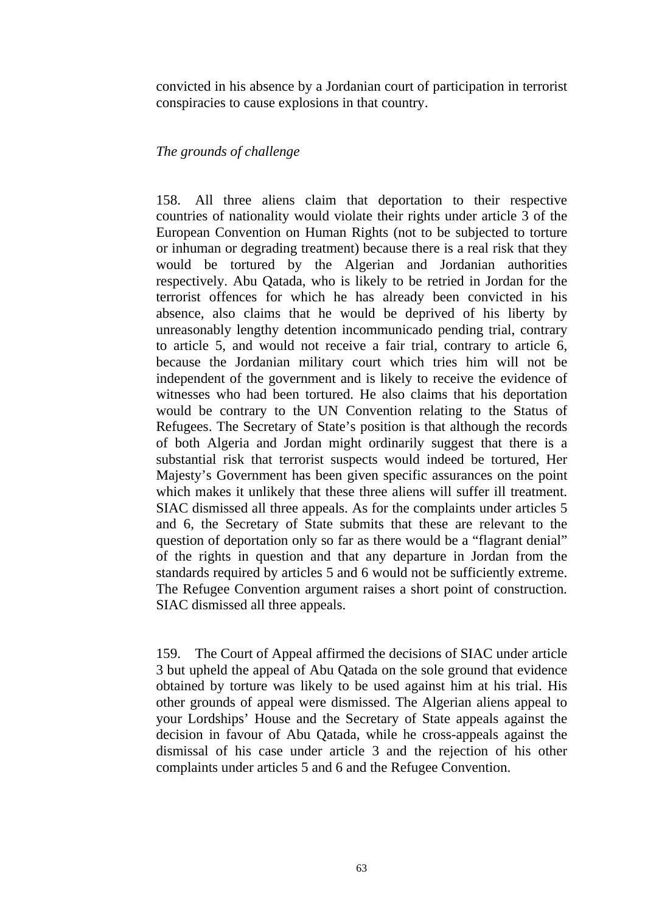convicted in his absence by a Jordanian court of participation in terrorist conspiracies to cause explosions in that country.

# *The grounds of challenge*

158. All three aliens claim that deportation to their respective countries of nationality would violate their rights under article 3 of the European Convention on Human Rights (not to be subjected to torture or inhuman or degrading treatment) because there is a real risk that they would be tortured by the Algerian and Jordanian authorities respectively. Abu Qatada, who is likely to be retried in Jordan for the terrorist offences for which he has already been convicted in his absence, also claims that he would be deprived of his liberty by unreasonably lengthy detention incommunicado pending trial, contrary to article 5, and would not receive a fair trial, contrary to article 6, because the Jordanian military court which tries him will not be independent of the government and is likely to receive the evidence of witnesses who had been tortured. He also claims that his deportation would be contrary to the UN Convention relating to the Status of Refugees. The Secretary of State's position is that although the records of both Algeria and Jordan might ordinarily suggest that there is a substantial risk that terrorist suspects would indeed be tortured, Her Majesty's Government has been given specific assurances on the point which makes it unlikely that these three aliens will suffer ill treatment. SIAC dismissed all three appeals. As for the complaints under articles 5 and 6, the Secretary of State submits that these are relevant to the question of deportation only so far as there would be a "flagrant denial" of the rights in question and that any departure in Jordan from the standards required by articles 5 and 6 would not be sufficiently extreme. The Refugee Convention argument raises a short point of construction*.* SIAC dismissed all three appeals.

159. The Court of Appeal affirmed the decisions of SIAC under article 3 but upheld the appeal of Abu Qatada on the sole ground that evidence obtained by torture was likely to be used against him at his trial. His other grounds of appeal were dismissed. The Algerian aliens appeal to your Lordships' House and the Secretary of State appeals against the decision in favour of Abu Qatada, while he cross-appeals against the dismissal of his case under article 3 and the rejection of his other complaints under articles 5 and 6 and the Refugee Convention.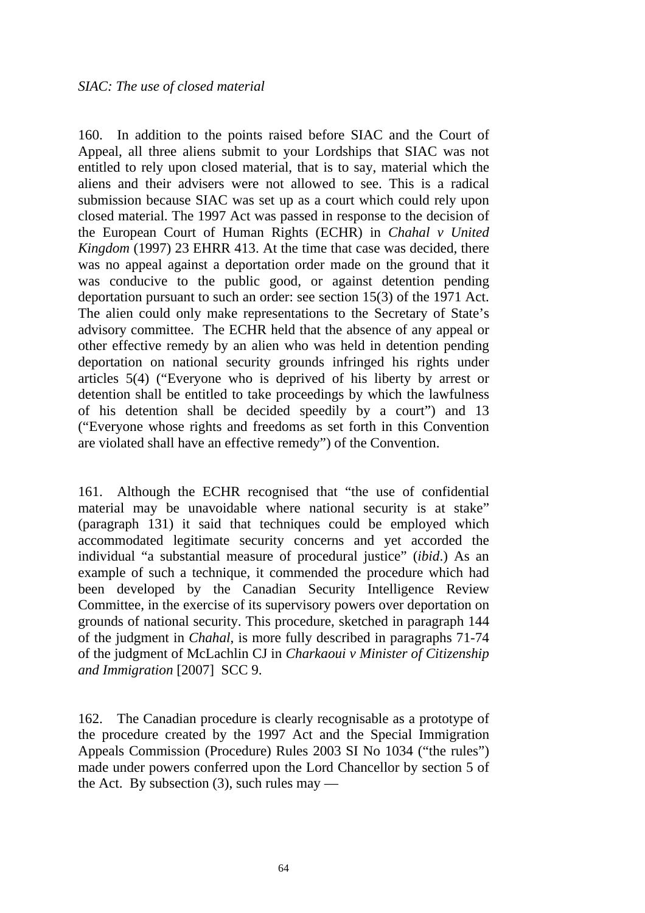160. In addition to the points raised before SIAC and the Court of Appeal, all three aliens submit to your Lordships that SIAC was not entitled to rely upon closed material, that is to say, material which the aliens and their advisers were not allowed to see. This is a radical submission because SIAC was set up as a court which could rely upon closed material. The 1997 Act was passed in response to the decision of the European Court of Human Rights (ECHR) in *Chahal v United Kingdom* (1997) 23 EHRR 413. At the time that case was decided, there was no appeal against a deportation order made on the ground that it was conducive to the public good, or against detention pending deportation pursuant to such an order: see section 15(3) of the 1971 Act. The alien could only make representations to the Secretary of State's advisory committee. The ECHR held that the absence of any appeal or other effective remedy by an alien who was held in detention pending deportation on national security grounds infringed his rights under articles 5(4) ("Everyone who is deprived of his liberty by arrest or detention shall be entitled to take proceedings by which the lawfulness of his detention shall be decided speedily by a court") and 13 ("Everyone whose rights and freedoms as set forth in this Convention are violated shall have an effective remedy") of the Convention.

161. Although the ECHR recognised that "the use of confidential material may be unavoidable where national security is at stake" (paragraph 131) it said that techniques could be employed which accommodated legitimate security concerns and yet accorded the individual "a substantial measure of procedural justice" (*ibid*.) As an example of such a technique, it commended the procedure which had been developed by the Canadian Security Intelligence Review Committee, in the exercise of its supervisory powers over deportation on grounds of national security. This procedure, sketched in paragraph 144 of the judgment in *Chahal*, is more fully described in paragraphs 71-74 of the judgment of McLachlin CJ in *Charkaoui v Minister of Citizenship and Immigration* [2007] SCC 9.

162. The Canadian procedure is clearly recognisable as a prototype of the procedure created by the 1997 Act and the Special Immigration Appeals Commission (Procedure) Rules 2003 SI No 1034 ("the rules") made under powers conferred upon the Lord Chancellor by section 5 of the Act. By subsection  $(3)$ , such rules may —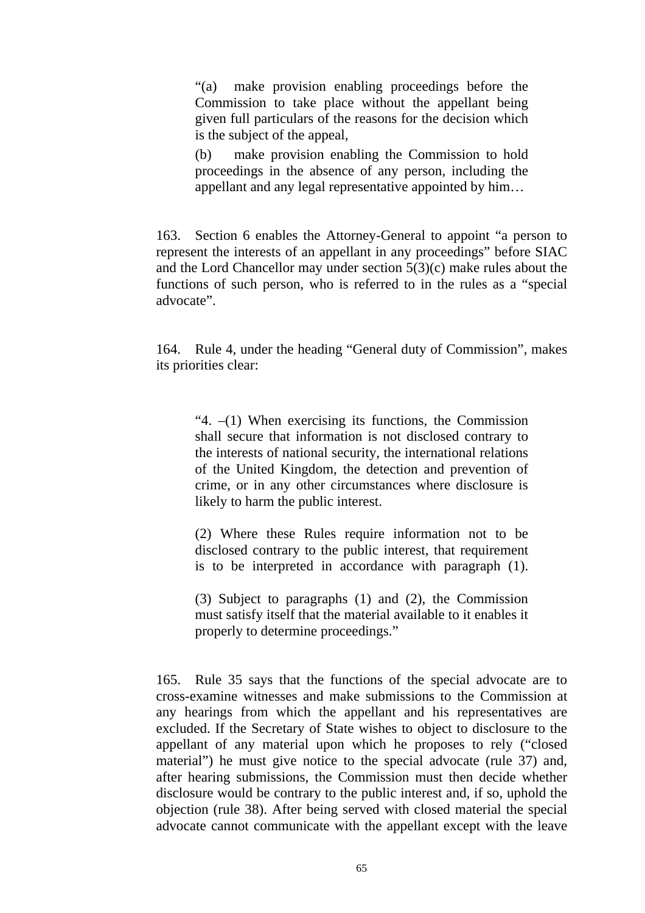"(a) make provision enabling proceedings before the Commission to take place without the appellant being given full particulars of the reasons for the decision which is the subject of the appeal,

(b) make provision enabling the Commission to hold proceedings in the absence of any person, including the appellant and any legal representative appointed by him…

163. Section 6 enables the Attorney-General to appoint "a person to represent the interests of an appellant in any proceedings" before SIAC and the Lord Chancellor may under section 5(3)(c) make rules about the functions of such person, who is referred to in the rules as a "special advocate".

164. Rule 4, under the heading "General duty of Commission", makes its priorities clear:

"4.  $-(1)$  When exercising its functions, the Commission shall secure that information is not disclosed contrary to the interests of national security, the international relations of the United Kingdom, the detection and prevention of crime, or in any other circumstances where disclosure is likely to harm the public interest.

(2) Where these Rules require information not to be disclosed contrary to the public interest, that requirement is to be interpreted in accordance with paragraph (1).

(3) Subject to paragraphs (1) and (2), the Commission must satisfy itself that the material available to it enables it properly to determine proceedings."

165. Rule 35 says that the functions of the special advocate are to cross-examine witnesses and make submissions to the Commission at any hearings from which the appellant and his representatives are excluded. If the Secretary of State wishes to object to disclosure to the appellant of any material upon which he proposes to rely ("closed material") he must give notice to the special advocate (rule 37) and, after hearing submissions, the Commission must then decide whether disclosure would be contrary to the public interest and, if so, uphold the objection (rule 38). After being served with closed material the special advocate cannot communicate with the appellant except with the leave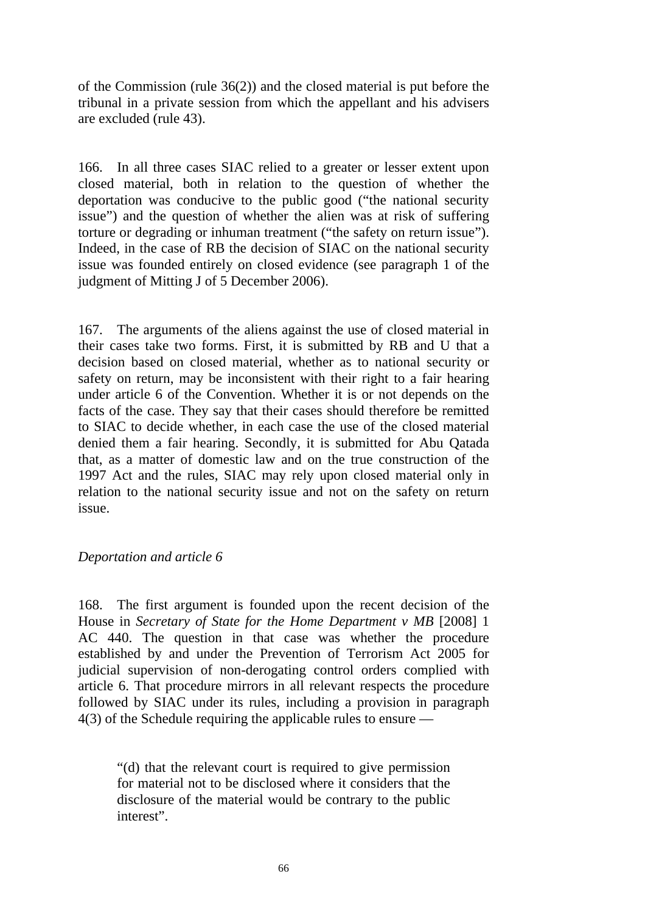of the Commission (rule 36(2)) and the closed material is put before the tribunal in a private session from which the appellant and his advisers are excluded (rule 43).

166. In all three cases SIAC relied to a greater or lesser extent upon closed material, both in relation to the question of whether the deportation was conducive to the public good ("the national security issue") and the question of whether the alien was at risk of suffering torture or degrading or inhuman treatment ("the safety on return issue"). Indeed, in the case of RB the decision of SIAC on the national security issue was founded entirely on closed evidence (see paragraph 1 of the judgment of Mitting J of 5 December 2006).

167. The arguments of the aliens against the use of closed material in their cases take two forms. First, it is submitted by RB and U that a decision based on closed material, whether as to national security or safety on return, may be inconsistent with their right to a fair hearing under article 6 of the Convention. Whether it is or not depends on the facts of the case. They say that their cases should therefore be remitted to SIAC to decide whether, in each case the use of the closed material denied them a fair hearing. Secondly, it is submitted for Abu Qatada that, as a matter of domestic law and on the true construction of the 1997 Act and the rules, SIAC may rely upon closed material only in relation to the national security issue and not on the safety on return issue.

# *Deportation and article 6*

168. The first argument is founded upon the recent decision of the House in *Secretary of State for the Home Department v MB* [2008] 1 AC 440. The question in that case was whether the procedure established by and under the Prevention of Terrorism Act 2005 for judicial supervision of non-derogating control orders complied with article 6. That procedure mirrors in all relevant respects the procedure followed by SIAC under its rules, including a provision in paragraph 4(3) of the Schedule requiring the applicable rules to ensure —

"(d) that the relevant court is required to give permission for material not to be disclosed where it considers that the disclosure of the material would be contrary to the public interest".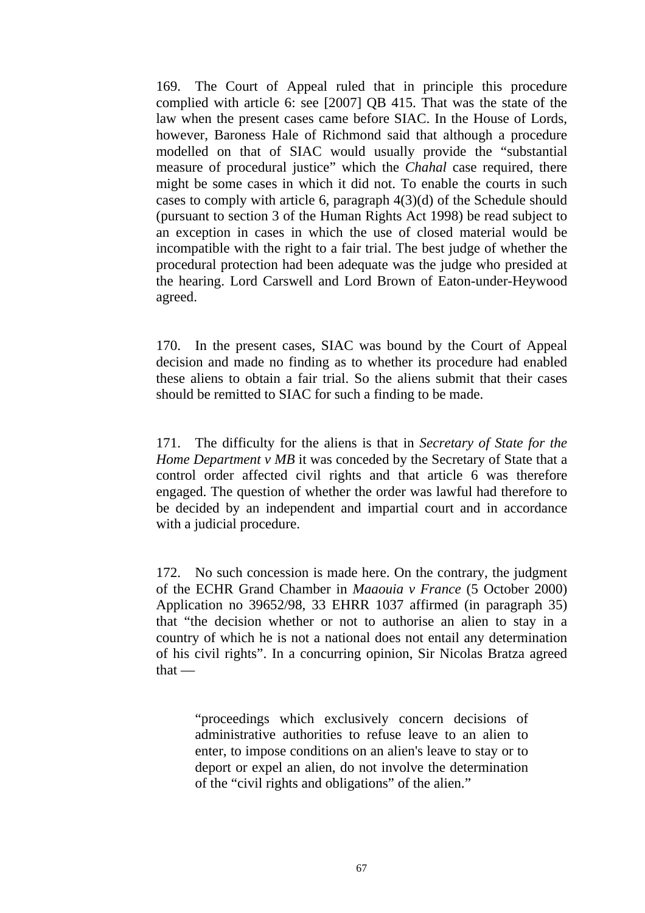169. The Court of Appeal ruled that in principle this procedure complied with article 6: see [2007] QB 415. That was the state of the law when the present cases came before SIAC. In the House of Lords, however, Baroness Hale of Richmond said that although a procedure modelled on that of SIAC would usually provide the "substantial measure of procedural justice" which the *Chahal* case required, there might be some cases in which it did not. To enable the courts in such cases to comply with article 6, paragraph 4(3)(d) of the Schedule should (pursuant to section 3 of the Human Rights Act 1998) be read subject to an exception in cases in which the use of closed material would be incompatible with the right to a fair trial. The best judge of whether the procedural protection had been adequate was the judge who presided at the hearing. Lord Carswell and Lord Brown of Eaton-under-Heywood agreed.

170. In the present cases, SIAC was bound by the Court of Appeal decision and made no finding as to whether its procedure had enabled these aliens to obtain a fair trial. So the aliens submit that their cases should be remitted to SIAC for such a finding to be made.

171. The difficulty for the aliens is that in *Secretary of State for the Home Department v MB* it was conceded by the Secretary of State that a control order affected civil rights and that article 6 was therefore engaged. The question of whether the order was lawful had therefore to be decided by an independent and impartial court and in accordance with a judicial procedure.

172. No such concession is made here. On the contrary, the judgment of the ECHR Grand Chamber in *Maaouia v France* (5 October 2000) Application no 39652/98, 33 EHRR 1037 affirmed (in paragraph 35) that "the decision whether or not to authorise an alien to stay in a country of which he is not a national does not entail any determination of his civil rights". In a concurring opinion, Sir Nicolas Bratza agreed that —

"proceedings which exclusively concern decisions of administrative authorities to refuse leave to an alien to enter, to impose conditions on an alien's leave to stay or to deport or expel an alien, do not involve the determination of the "civil rights and obligations" of the alien."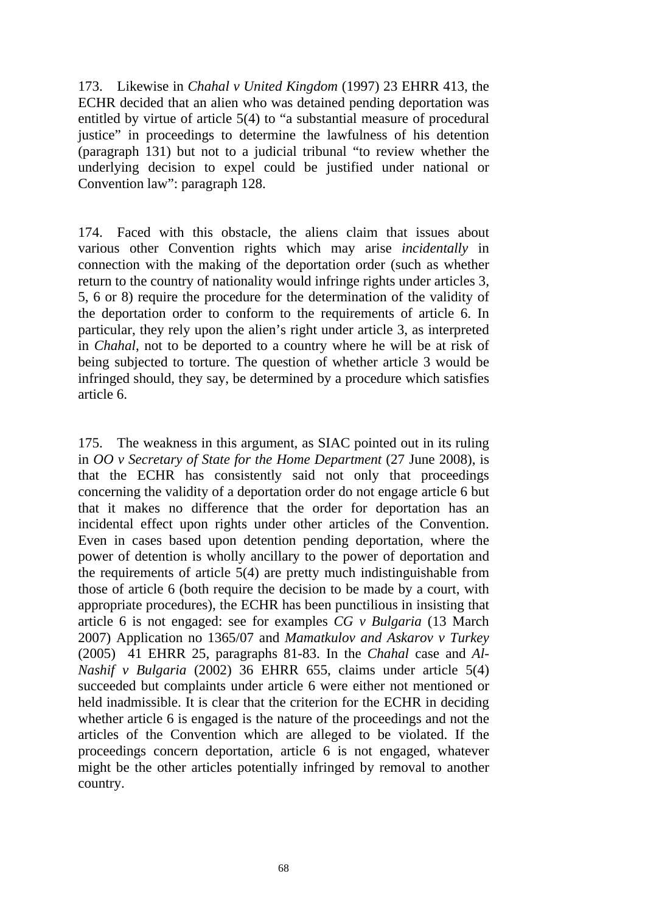173. Likewise in *Chahal v United Kingdom* (1997) 23 EHRR 413, the ECHR decided that an alien who was detained pending deportation was entitled by virtue of article 5(4) to "a substantial measure of procedural justice" in proceedings to determine the lawfulness of his detention (paragraph 131) but not to a judicial tribunal "to review whether the underlying decision to expel could be justified under national or Convention law": paragraph 128.

174. Faced with this obstacle, the aliens claim that issues about various other Convention rights which may arise *incidentally* in connection with the making of the deportation order (such as whether return to the country of nationality would infringe rights under articles 3, 5, 6 or 8) require the procedure for the determination of the validity of the deportation order to conform to the requirements of article 6. In particular, they rely upon the alien's right under article 3, as interpreted in *Chahal*, not to be deported to a country where he will be at risk of being subjected to torture. The question of whether article 3 would be infringed should, they say, be determined by a procedure which satisfies article 6.

175. The weakness in this argument, as SIAC pointed out in its ruling in *OO v Secretary of State for the Home Department* (27 June 2008), is that the ECHR has consistently said not only that proceedings concerning the validity of a deportation order do not engage article 6 but that it makes no difference that the order for deportation has an incidental effect upon rights under other articles of the Convention. Even in cases based upon detention pending deportation, where the power of detention is wholly ancillary to the power of deportation and the requirements of article 5(4) are pretty much indistinguishable from those of article 6 (both require the decision to be made by a court, with appropriate procedures), the ECHR has been punctilious in insisting that article 6 is not engaged: see for examples *CG v Bulgaria* (13 March 2007) Application no 1365/07 and *Mamatkulov and Askarov v Turkey* (2005) 41 EHRR 25, paragraphs 81-83. In the *Chahal* case and *Al-Nashif v Bulgaria* (2002) 36 EHRR 655, claims under article 5(4) succeeded but complaints under article 6 were either not mentioned or held inadmissible. It is clear that the criterion for the ECHR in deciding whether article 6 is engaged is the nature of the proceedings and not the articles of the Convention which are alleged to be violated. If the proceedings concern deportation, article 6 is not engaged, whatever might be the other articles potentially infringed by removal to another country.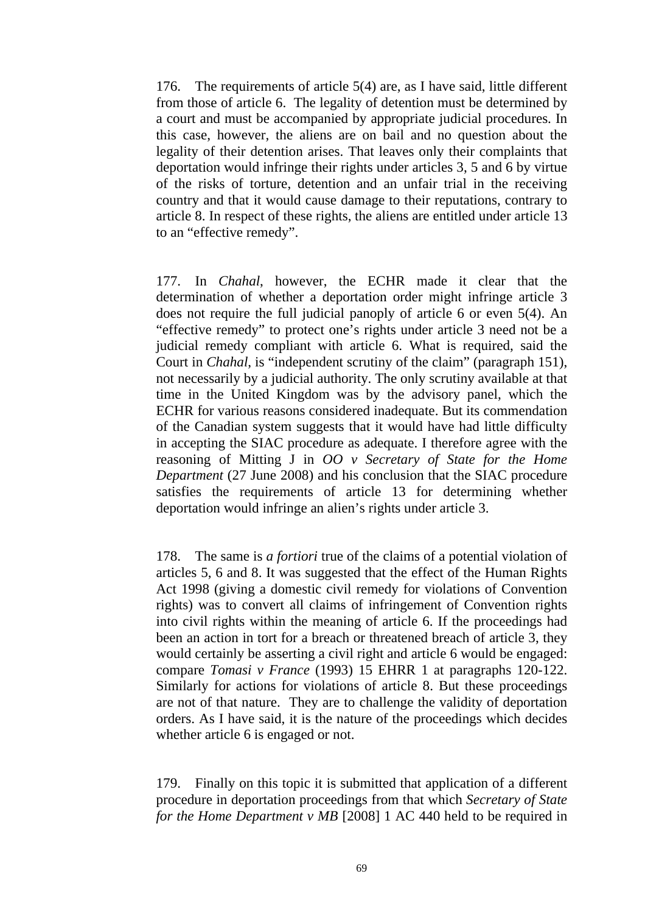176. The requirements of article 5(4) are, as I have said, little different from those of article 6. The legality of detention must be determined by a court and must be accompanied by appropriate judicial procedures. In this case, however, the aliens are on bail and no question about the legality of their detention arises. That leaves only their complaints that deportation would infringe their rights under articles 3, 5 and 6 by virtue of the risks of torture, detention and an unfair trial in the receiving country and that it would cause damage to their reputations, contrary to article 8. In respect of these rights, the aliens are entitled under article 13 to an "effective remedy".

177. In *Chahal*, however, the ECHR made it clear that the determination of whether a deportation order might infringe article 3 does not require the full judicial panoply of article 6 or even 5(4). An "effective remedy" to protect one's rights under article 3 need not be a judicial remedy compliant with article 6. What is required, said the Court in *Chahal*, is "independent scrutiny of the claim" (paragraph 151), not necessarily by a judicial authority. The only scrutiny available at that time in the United Kingdom was by the advisory panel, which the ECHR for various reasons considered inadequate. But its commendation of the Canadian system suggests that it would have had little difficulty in accepting the SIAC procedure as adequate. I therefore agree with the reasoning of Mitting J in *OO v Secretary of State for the Home Department* (27 June 2008) and his conclusion that the SIAC procedure satisfies the requirements of article 13 for determining whether deportation would infringe an alien's rights under article 3.

178. The same is *a fortiori* true of the claims of a potential violation of articles 5, 6 and 8. It was suggested that the effect of the Human Rights Act 1998 (giving a domestic civil remedy for violations of Convention rights) was to convert all claims of infringement of Convention rights into civil rights within the meaning of article 6. If the proceedings had been an action in tort for a breach or threatened breach of article 3, they would certainly be asserting a civil right and article 6 would be engaged: compare *Tomasi v France* (1993) 15 EHRR 1 at paragraphs 120-122. Similarly for actions for violations of article 8. But these proceedings are not of that nature. They are to challenge the validity of deportation orders. As I have said, it is the nature of the proceedings which decides whether article 6 is engaged or not.

179. Finally on this topic it is submitted that application of a different procedure in deportation proceedings from that which *Secretary of State for the Home Department v MB* [2008] 1 AC 440 held to be required in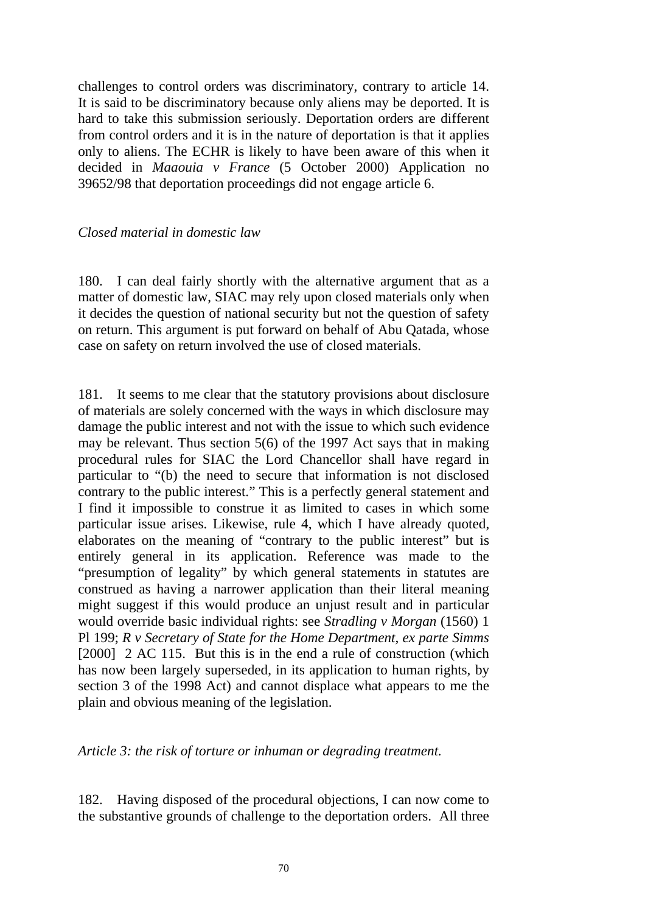challenges to control orders was discriminatory, contrary to article 14. It is said to be discriminatory because only aliens may be deported. It is hard to take this submission seriously. Deportation orders are different from control orders and it is in the nature of deportation is that it applies only to aliens. The ECHR is likely to have been aware of this when it decided in *Maaouia v France* (5 October 2000) Application no 39652/98 that deportation proceedings did not engage article 6.

# *Closed material in domestic law*

180. I can deal fairly shortly with the alternative argument that as a matter of domestic law, SIAC may rely upon closed materials only when it decides the question of national security but not the question of safety on return. This argument is put forward on behalf of Abu Qatada, whose case on safety on return involved the use of closed materials.

181. It seems to me clear that the statutory provisions about disclosure of materials are solely concerned with the ways in which disclosure may damage the public interest and not with the issue to which such evidence may be relevant. Thus section 5(6) of the 1997 Act says that in making procedural rules for SIAC the Lord Chancellor shall have regard in particular to "(b) the need to secure that information is not disclosed contrary to the public interest." This is a perfectly general statement and I find it impossible to construe it as limited to cases in which some particular issue arises. Likewise, rule 4, which I have already quoted, elaborates on the meaning of "contrary to the public interest" but is entirely general in its application. Reference was made to the "presumption of legality" by which general statements in statutes are construed as having a narrower application than their literal meaning might suggest if this would produce an unjust result and in particular would override basic individual rights: see *Stradling v Morgan* (1560) 1 Pl 199; *R v Secretary of State for the Home Department, ex parte Simms* [2000] 2 AC 115. But this is in the end a rule of construction (which has now been largely superseded, in its application to human rights, by section 3 of the 1998 Act) and cannot displace what appears to me the plain and obvious meaning of the legislation.

*Article 3: the risk of torture or inhuman or degrading treatment.* 

182. Having disposed of the procedural objections, I can now come to the substantive grounds of challenge to the deportation orders. All three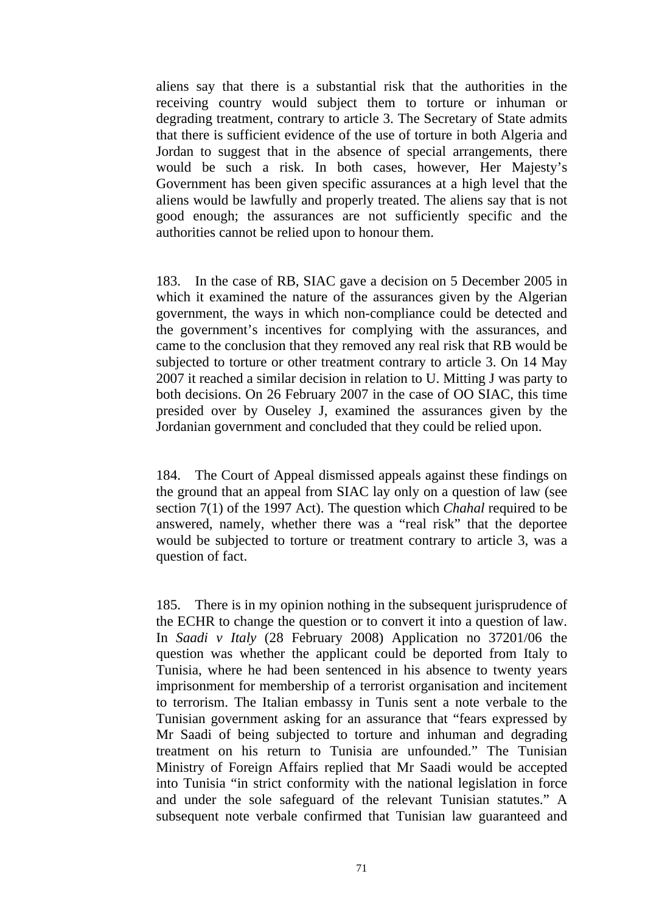aliens say that there is a substantial risk that the authorities in the receiving country would subject them to torture or inhuman or degrading treatment, contrary to article 3. The Secretary of State admits that there is sufficient evidence of the use of torture in both Algeria and Jordan to suggest that in the absence of special arrangements, there would be such a risk. In both cases, however, Her Majesty's Government has been given specific assurances at a high level that the aliens would be lawfully and properly treated. The aliens say that is not good enough; the assurances are not sufficiently specific and the authorities cannot be relied upon to honour them.

183. In the case of RB, SIAC gave a decision on 5 December 2005 in which it examined the nature of the assurances given by the Algerian government, the ways in which non-compliance could be detected and the government's incentives for complying with the assurances, and came to the conclusion that they removed any real risk that RB would be subjected to torture or other treatment contrary to article 3. On 14 May 2007 it reached a similar decision in relation to U. Mitting J was party to both decisions. On 26 February 2007 in the case of OO SIAC, this time presided over by Ouseley J, examined the assurances given by the Jordanian government and concluded that they could be relied upon.

184. The Court of Appeal dismissed appeals against these findings on the ground that an appeal from SIAC lay only on a question of law (see section 7(1) of the 1997 Act). The question which *Chahal* required to be answered, namely, whether there was a "real risk" that the deportee would be subjected to torture or treatment contrary to article 3, was a question of fact.

185. There is in my opinion nothing in the subsequent jurisprudence of the ECHR to change the question or to convert it into a question of law. In *Saadi v Italy* (28 February 2008) Application no 37201/06 the question was whether the applicant could be deported from Italy to Tunisia, where he had been sentenced in his absence to twenty years imprisonment for membership of a terrorist organisation and incitement to terrorism. The Italian embassy in Tunis sent a note verbale to the Tunisian government asking for an assurance that "fears expressed by Mr Saadi of being subjected to torture and inhuman and degrading treatment on his return to Tunisia are unfounded." The Tunisian Ministry of Foreign Affairs replied that Mr Saadi would be accepted into Tunisia "in strict conformity with the national legislation in force and under the sole safeguard of the relevant Tunisian statutes." A subsequent note verbale confirmed that Tunisian law guaranteed and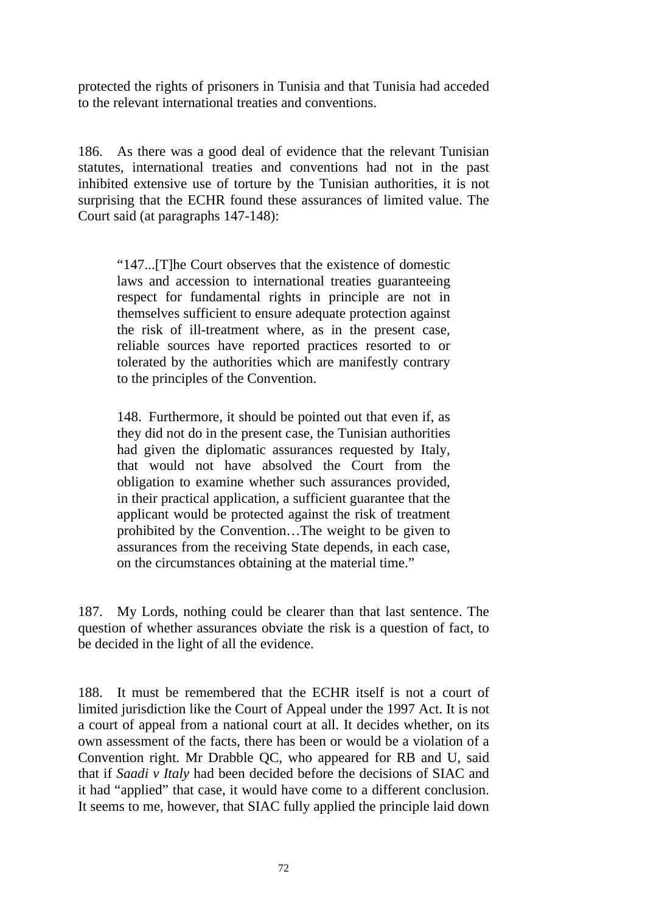protected the rights of prisoners in Tunisia and that Tunisia had acceded to the relevant international treaties and conventions.

186. As there was a good deal of evidence that the relevant Tunisian statutes, international treaties and conventions had not in the past inhibited extensive use of torture by the Tunisian authorities, it is not surprising that the ECHR found these assurances of limited value. The Court said (at paragraphs 147-148):

"147...[T]he Court observes that the existence of domestic laws and accession to international treaties guaranteeing respect for fundamental rights in principle are not in themselves sufficient to ensure adequate protection against the risk of ill-treatment where, as in the present case, reliable sources have reported practices resorted to or tolerated by the authorities which are manifestly contrary to the principles of the Convention.

148. Furthermore, it should be pointed out that even if, as they did not do in the present case, the Tunisian authorities had given the diplomatic assurances requested by Italy, that would not have absolved the Court from the obligation to examine whether such assurances provided, in their practical application, a sufficient guarantee that the applicant would be protected against the risk of treatment prohibited by the Convention…The weight to be given to assurances from the receiving State depends, in each case, on the circumstances obtaining at the material time."

187. My Lords, nothing could be clearer than that last sentence. The question of whether assurances obviate the risk is a question of fact, to be decided in the light of all the evidence.

188. It must be remembered that the ECHR itself is not a court of limited jurisdiction like the Court of Appeal under the 1997 Act. It is not a court of appeal from a national court at all. It decides whether, on its own assessment of the facts, there has been or would be a violation of a Convention right. Mr Drabble QC, who appeared for RB and U, said that if *Saadi v Italy* had been decided before the decisions of SIAC and it had "applied" that case, it would have come to a different conclusion. It seems to me, however, that SIAC fully applied the principle laid down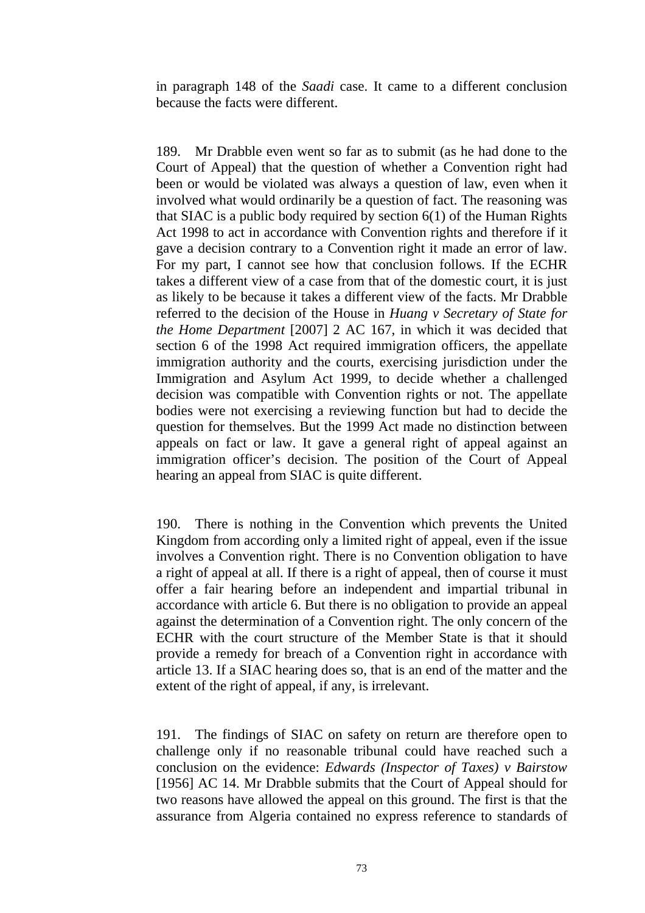in paragraph 148 of the *Saadi* case. It came to a different conclusion because the facts were different.

189. Mr Drabble even went so far as to submit (as he had done to the Court of Appeal) that the question of whether a Convention right had been or would be violated was always a question of law, even when it involved what would ordinarily be a question of fact. The reasoning was that SIAC is a public body required by section 6(1) of the Human Rights Act 1998 to act in accordance with Convention rights and therefore if it gave a decision contrary to a Convention right it made an error of law. For my part, I cannot see how that conclusion follows. If the ECHR takes a different view of a case from that of the domestic court, it is just as likely to be because it takes a different view of the facts. Mr Drabble referred to the decision of the House in *Huang v Secretary of State for the Home Department* [2007] 2 AC 167, in which it was decided that section 6 of the 1998 Act required immigration officers, the appellate immigration authority and the courts, exercising jurisdiction under the Immigration and Asylum Act 1999, to decide whether a challenged decision was compatible with Convention rights or not. The appellate bodies were not exercising a reviewing function but had to decide the question for themselves. But the 1999 Act made no distinction between appeals on fact or law. It gave a general right of appeal against an immigration officer's decision. The position of the Court of Appeal hearing an appeal from SIAC is quite different.

190. There is nothing in the Convention which prevents the United Kingdom from according only a limited right of appeal, even if the issue involves a Convention right. There is no Convention obligation to have a right of appeal at all. If there is a right of appeal, then of course it must offer a fair hearing before an independent and impartial tribunal in accordance with article 6. But there is no obligation to provide an appeal against the determination of a Convention right. The only concern of the ECHR with the court structure of the Member State is that it should provide a remedy for breach of a Convention right in accordance with article 13. If a SIAC hearing does so, that is an end of the matter and the extent of the right of appeal, if any, is irrelevant.

191. The findings of SIAC on safety on return are therefore open to challenge only if no reasonable tribunal could have reached such a conclusion on the evidence: *Edwards (Inspector of Taxes) v Bairstow* [1956] AC 14. Mr Drabble submits that the Court of Appeal should for two reasons have allowed the appeal on this ground. The first is that the assurance from Algeria contained no express reference to standards of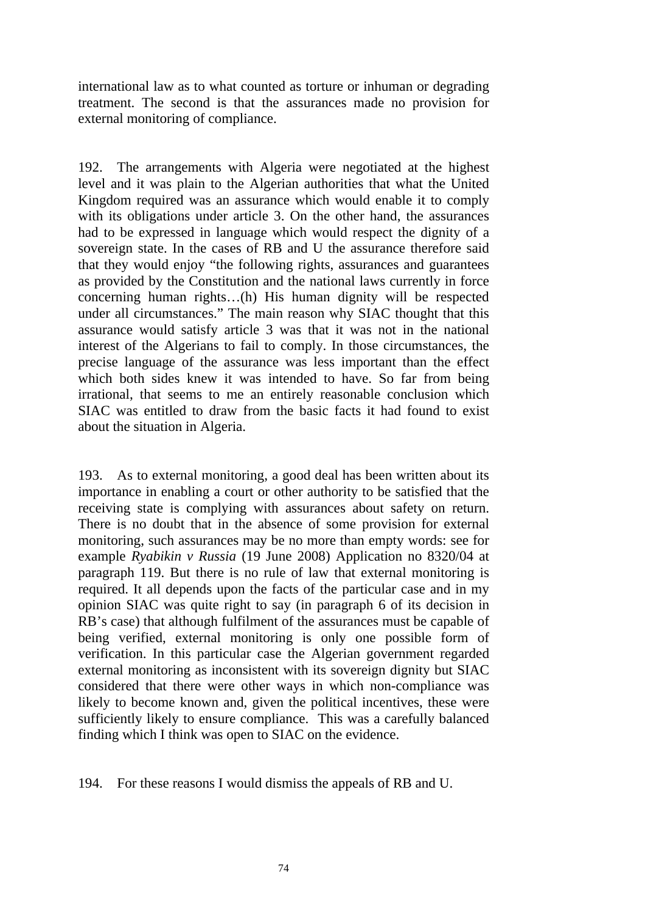international law as to what counted as torture or inhuman or degrading treatment. The second is that the assurances made no provision for external monitoring of compliance.

192. The arrangements with Algeria were negotiated at the highest level and it was plain to the Algerian authorities that what the United Kingdom required was an assurance which would enable it to comply with its obligations under article 3. On the other hand, the assurances had to be expressed in language which would respect the dignity of a sovereign state. In the cases of RB and U the assurance therefore said that they would enjoy "the following rights, assurances and guarantees as provided by the Constitution and the national laws currently in force concerning human rights…(h) His human dignity will be respected under all circumstances." The main reason why SIAC thought that this assurance would satisfy article 3 was that it was not in the national interest of the Algerians to fail to comply. In those circumstances, the precise language of the assurance was less important than the effect which both sides knew it was intended to have. So far from being irrational, that seems to me an entirely reasonable conclusion which SIAC was entitled to draw from the basic facts it had found to exist about the situation in Algeria.

193. As to external monitoring, a good deal has been written about its importance in enabling a court or other authority to be satisfied that the receiving state is complying with assurances about safety on return. There is no doubt that in the absence of some provision for external monitoring, such assurances may be no more than empty words: see for example *Ryabikin v Russia* (19 June 2008) Application no 8320/04 at paragraph 119. But there is no rule of law that external monitoring is required. It all depends upon the facts of the particular case and in my opinion SIAC was quite right to say (in paragraph 6 of its decision in RB's case) that although fulfilment of the assurances must be capable of being verified, external monitoring is only one possible form of verification. In this particular case the Algerian government regarded external monitoring as inconsistent with its sovereign dignity but SIAC considered that there were other ways in which non-compliance was likely to become known and, given the political incentives, these were sufficiently likely to ensure compliance. This was a carefully balanced finding which I think was open to SIAC on the evidence.

194. For these reasons I would dismiss the appeals of RB and U.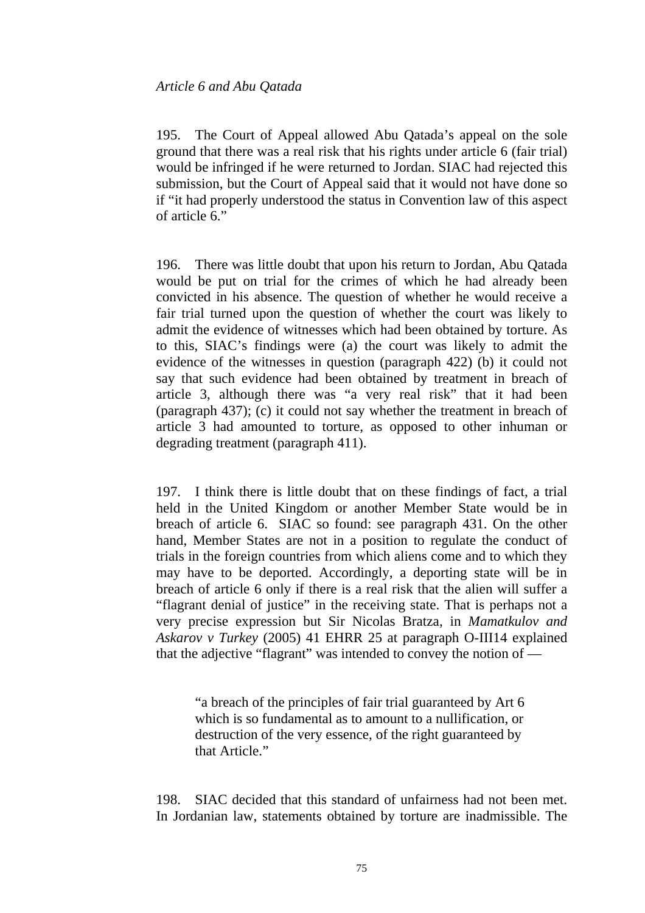195. The Court of Appeal allowed Abu Qatada's appeal on the sole ground that there was a real risk that his rights under article 6 (fair trial) would be infringed if he were returned to Jordan. SIAC had rejected this submission, but the Court of Appeal said that it would not have done so if "it had properly understood the status in Convention law of this aspect of article 6."

196. There was little doubt that upon his return to Jordan, Abu Qatada would be put on trial for the crimes of which he had already been convicted in his absence. The question of whether he would receive a fair trial turned upon the question of whether the court was likely to admit the evidence of witnesses which had been obtained by torture. As to this, SIAC's findings were (a) the court was likely to admit the evidence of the witnesses in question (paragraph 422) (b) it could not say that such evidence had been obtained by treatment in breach of article 3, although there was "a very real risk" that it had been (paragraph 437); (c) it could not say whether the treatment in breach of article 3 had amounted to torture, as opposed to other inhuman or degrading treatment (paragraph 411).

197. I think there is little doubt that on these findings of fact, a trial held in the United Kingdom or another Member State would be in breach of article 6. SIAC so found: see paragraph 431. On the other hand, Member States are not in a position to regulate the conduct of trials in the foreign countries from which aliens come and to which they may have to be deported. Accordingly, a deporting state will be in breach of article 6 only if there is a real risk that the alien will suffer a "flagrant denial of justice" in the receiving state. That is perhaps not a very precise expression but Sir Nicolas Bratza, in *Mamatkulov and Askarov v Turkey* (2005) 41 EHRR 25 at paragraph O-III14 explained that the adjective "flagrant" was intended to convey the notion of —

"a breach of the principles of fair trial guaranteed by Art 6 which is so fundamental as to amount to a nullification, or destruction of the very essence, of the right guaranteed by that Article."

198. SIAC decided that this standard of unfairness had not been met. In Jordanian law, statements obtained by torture are inadmissible. The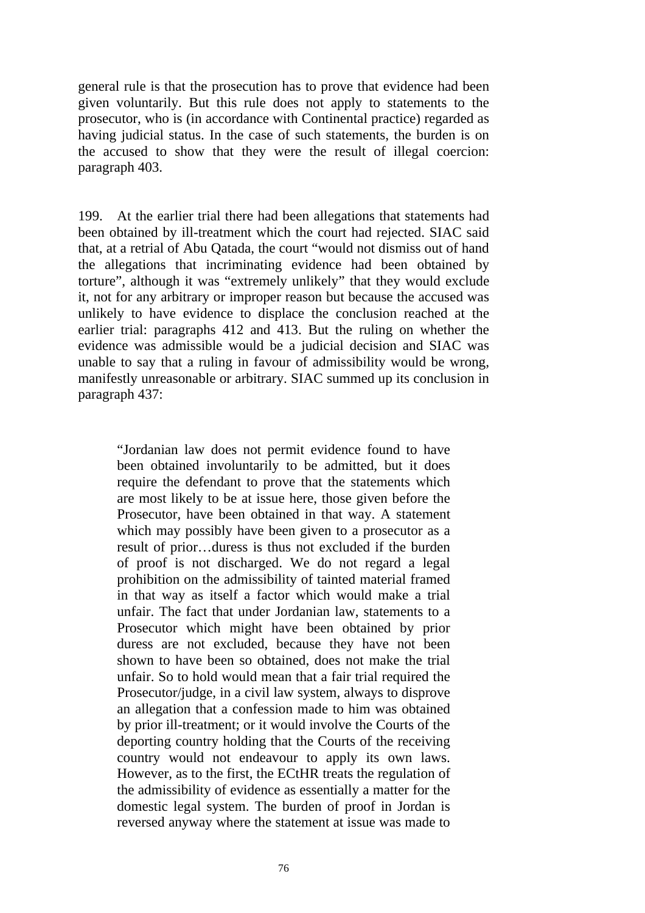general rule is that the prosecution has to prove that evidence had been given voluntarily. But this rule does not apply to statements to the prosecutor, who is (in accordance with Continental practice) regarded as having judicial status. In the case of such statements, the burden is on the accused to show that they were the result of illegal coercion: paragraph 403.

199. At the earlier trial there had been allegations that statements had been obtained by ill-treatment which the court had rejected. SIAC said that, at a retrial of Abu Qatada, the court "would not dismiss out of hand the allegations that incriminating evidence had been obtained by torture", although it was "extremely unlikely" that they would exclude it, not for any arbitrary or improper reason but because the accused was unlikely to have evidence to displace the conclusion reached at the earlier trial: paragraphs 412 and 413. But the ruling on whether the evidence was admissible would be a judicial decision and SIAC was unable to say that a ruling in favour of admissibility would be wrong, manifestly unreasonable or arbitrary. SIAC summed up its conclusion in paragraph 437:

"Jordanian law does not permit evidence found to have been obtained involuntarily to be admitted, but it does require the defendant to prove that the statements which are most likely to be at issue here, those given before the Prosecutor, have been obtained in that way. A statement which may possibly have been given to a prosecutor as a result of prior…duress is thus not excluded if the burden of proof is not discharged. We do not regard a legal prohibition on the admissibility of tainted material framed in that way as itself a factor which would make a trial unfair. The fact that under Jordanian law, statements to a Prosecutor which might have been obtained by prior duress are not excluded, because they have not been shown to have been so obtained, does not make the trial unfair. So to hold would mean that a fair trial required the Prosecutor/judge, in a civil law system, always to disprove an allegation that a confession made to him was obtained by prior ill-treatment; or it would involve the Courts of the deporting country holding that the Courts of the receiving country would not endeavour to apply its own laws. However, as to the first, the ECtHR treats the regulation of the admissibility of evidence as essentially a matter for the domestic legal system. The burden of proof in Jordan is reversed anyway where the statement at issue was made to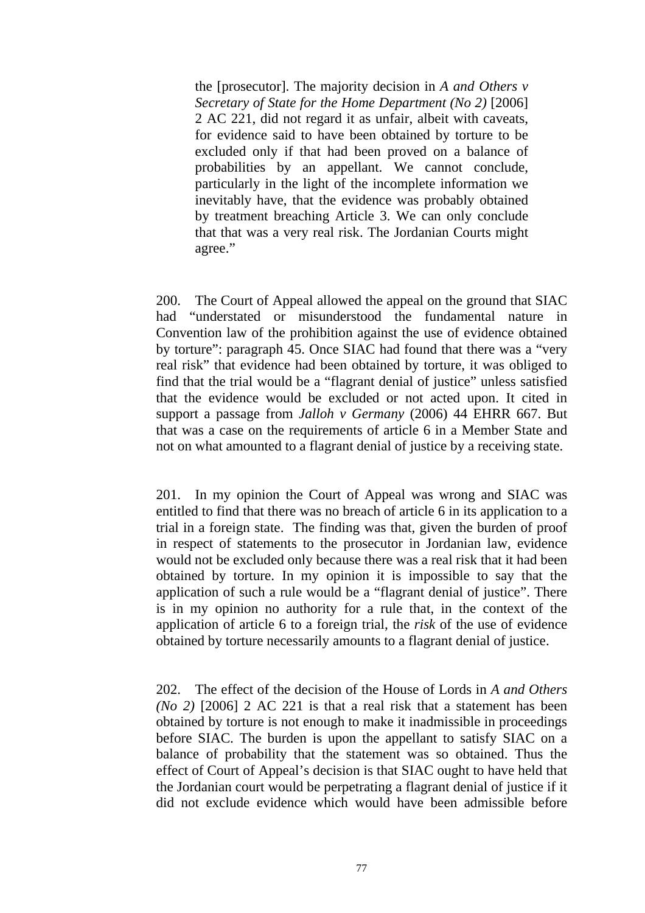the [prosecutor]. The majority decision in *A and Others v Secretary of State for the Home Department (No 2)* [2006] 2 AC 221, did not regard it as unfair, albeit with caveats, for evidence said to have been obtained by torture to be excluded only if that had been proved on a balance of probabilities by an appellant. We cannot conclude, particularly in the light of the incomplete information we inevitably have, that the evidence was probably obtained by treatment breaching Article 3. We can only conclude that that was a very real risk. The Jordanian Courts might agree."

200. The Court of Appeal allowed the appeal on the ground that SIAC had "understated or misunderstood the fundamental nature in Convention law of the prohibition against the use of evidence obtained by torture": paragraph 45. Once SIAC had found that there was a "very real risk" that evidence had been obtained by torture, it was obliged to find that the trial would be a "flagrant denial of justice" unless satisfied that the evidence would be excluded or not acted upon. It cited in support a passage from *Jalloh v Germany* (2006) 44 EHRR 667. But that was a case on the requirements of article 6 in a Member State and not on what amounted to a flagrant denial of justice by a receiving state.

201. In my opinion the Court of Appeal was wrong and SIAC was entitled to find that there was no breach of article 6 in its application to a trial in a foreign state. The finding was that, given the burden of proof in respect of statements to the prosecutor in Jordanian law, evidence would not be excluded only because there was a real risk that it had been obtained by torture. In my opinion it is impossible to say that the application of such a rule would be a "flagrant denial of justice". There is in my opinion no authority for a rule that, in the context of the application of article 6 to a foreign trial, the *risk* of the use of evidence obtained by torture necessarily amounts to a flagrant denial of justice.

202. The effect of the decision of the House of Lords in *A and Others (No 2)* [2006] 2 AC 221 is that a real risk that a statement has been obtained by torture is not enough to make it inadmissible in proceedings before SIAC. The burden is upon the appellant to satisfy SIAC on a balance of probability that the statement was so obtained. Thus the effect of Court of Appeal's decision is that SIAC ought to have held that the Jordanian court would be perpetrating a flagrant denial of justice if it did not exclude evidence which would have been admissible before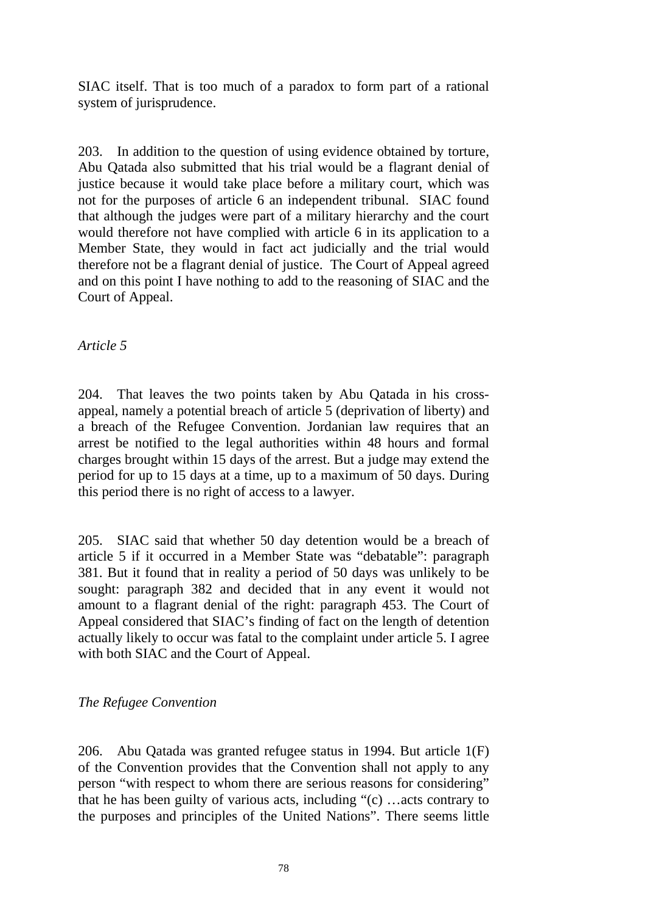SIAC itself. That is too much of a paradox to form part of a rational system of jurisprudence.

203. In addition to the question of using evidence obtained by torture, Abu Qatada also submitted that his trial would be a flagrant denial of justice because it would take place before a military court, which was not for the purposes of article 6 an independent tribunal. SIAC found that although the judges were part of a military hierarchy and the court would therefore not have complied with article 6 in its application to a Member State, they would in fact act judicially and the trial would therefore not be a flagrant denial of justice. The Court of Appeal agreed and on this point I have nothing to add to the reasoning of SIAC and the Court of Appeal.

# *Article 5*

204. That leaves the two points taken by Abu Qatada in his crossappeal, namely a potential breach of article 5 (deprivation of liberty) and a breach of the Refugee Convention. Jordanian law requires that an arrest be notified to the legal authorities within 48 hours and formal charges brought within 15 days of the arrest. But a judge may extend the period for up to 15 days at a time, up to a maximum of 50 days. During this period there is no right of access to a lawyer.

205. SIAC said that whether 50 day detention would be a breach of article 5 if it occurred in a Member State was "debatable": paragraph 381. But it found that in reality a period of 50 days was unlikely to be sought: paragraph 382 and decided that in any event it would not amount to a flagrant denial of the right: paragraph 453. The Court of Appeal considered that SIAC's finding of fact on the length of detention actually likely to occur was fatal to the complaint under article 5. I agree with both SIAC and the Court of Appeal.

# *The Refugee Convention*

206. Abu Qatada was granted refugee status in 1994. But article 1(F) of the Convention provides that the Convention shall not apply to any person "with respect to whom there are serious reasons for considering" that he has been guilty of various acts, including "(c) …acts contrary to the purposes and principles of the United Nations". There seems little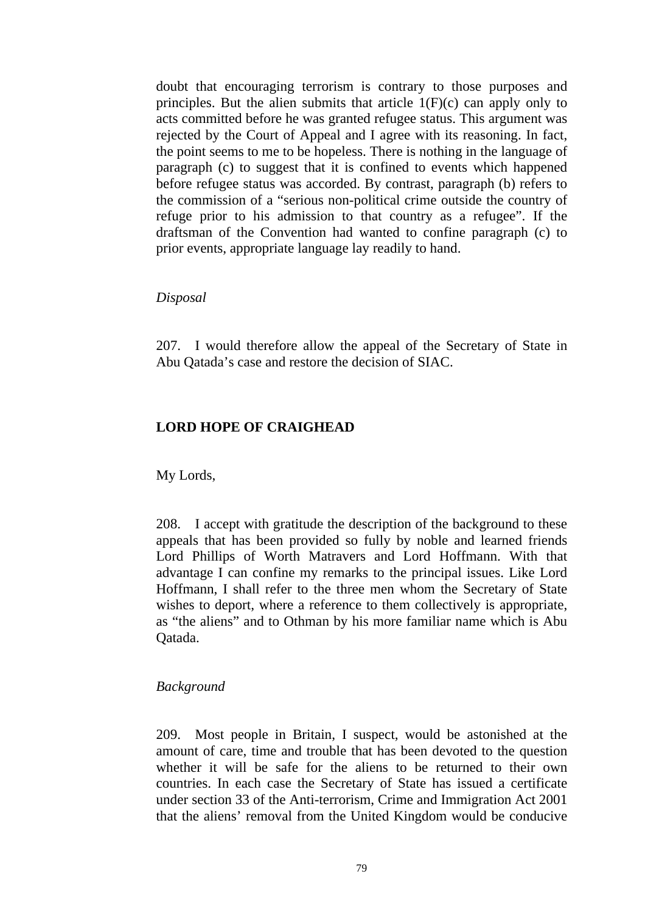doubt that encouraging terrorism is contrary to those purposes and principles. But the alien submits that article  $1(F)(c)$  can apply only to acts committed before he was granted refugee status. This argument was rejected by the Court of Appeal and I agree with its reasoning. In fact, the point seems to me to be hopeless. There is nothing in the language of paragraph (c) to suggest that it is confined to events which happened before refugee status was accorded. By contrast, paragraph (b) refers to the commission of a "serious non-political crime outside the country of refuge prior to his admission to that country as a refugee". If the draftsman of the Convention had wanted to confine paragraph (c) to prior events, appropriate language lay readily to hand.

#### *Disposal*

207. I would therefore allow the appeal of the Secretary of State in Abu Qatada's case and restore the decision of SIAC.

### **LORD HOPE OF CRAIGHEAD**

My Lords,

208. I accept with gratitude the description of the background to these appeals that has been provided so fully by noble and learned friends Lord Phillips of Worth Matravers and Lord Hoffmann. With that advantage I can confine my remarks to the principal issues. Like Lord Hoffmann, I shall refer to the three men whom the Secretary of State wishes to deport, where a reference to them collectively is appropriate, as "the aliens" and to Othman by his more familiar name which is Abu Qatada.

#### *Background*

209. Most people in Britain, I suspect, would be astonished at the amount of care, time and trouble that has been devoted to the question whether it will be safe for the aliens to be returned to their own countries. In each case the Secretary of State has issued a certificate under section 33 of the Anti-terrorism, Crime and Immigration Act 2001 that the aliens' removal from the United Kingdom would be conducive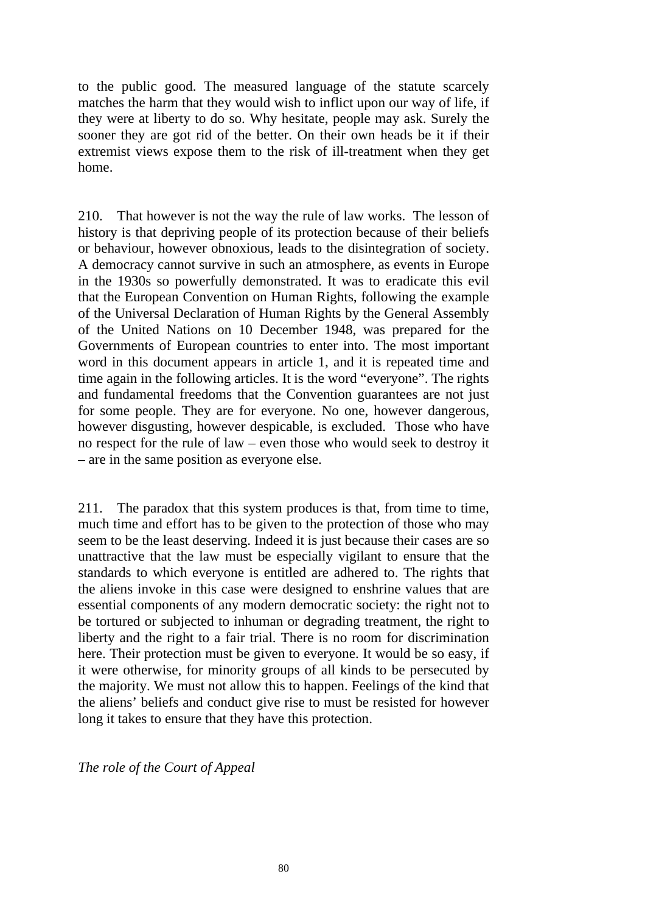to the public good. The measured language of the statute scarcely matches the harm that they would wish to inflict upon our way of life, if they were at liberty to do so. Why hesitate, people may ask. Surely the sooner they are got rid of the better. On their own heads be it if their extremist views expose them to the risk of ill-treatment when they get home.

210. That however is not the way the rule of law works. The lesson of history is that depriving people of its protection because of their beliefs or behaviour, however obnoxious, leads to the disintegration of society. A democracy cannot survive in such an atmosphere, as events in Europe in the 1930s so powerfully demonstrated. It was to eradicate this evil that the European Convention on Human Rights, following the example of the Universal Declaration of Human Rights by the General Assembly of the United Nations on 10 December 1948, was prepared for the Governments of European countries to enter into. The most important word in this document appears in article 1, and it is repeated time and time again in the following articles. It is the word "everyone". The rights and fundamental freedoms that the Convention guarantees are not just for some people. They are for everyone. No one, however dangerous, however disgusting, however despicable, is excluded. Those who have no respect for the rule of law – even those who would seek to destroy it – are in the same position as everyone else.

211. The paradox that this system produces is that, from time to time, much time and effort has to be given to the protection of those who may seem to be the least deserving. Indeed it is just because their cases are so unattractive that the law must be especially vigilant to ensure that the standards to which everyone is entitled are adhered to. The rights that the aliens invoke in this case were designed to enshrine values that are essential components of any modern democratic society: the right not to be tortured or subjected to inhuman or degrading treatment, the right to liberty and the right to a fair trial. There is no room for discrimination here. Their protection must be given to everyone. It would be so easy, if it were otherwise, for minority groups of all kinds to be persecuted by the majority. We must not allow this to happen. Feelings of the kind that the aliens' beliefs and conduct give rise to must be resisted for however long it takes to ensure that they have this protection.

*The role of the Court of Appeal*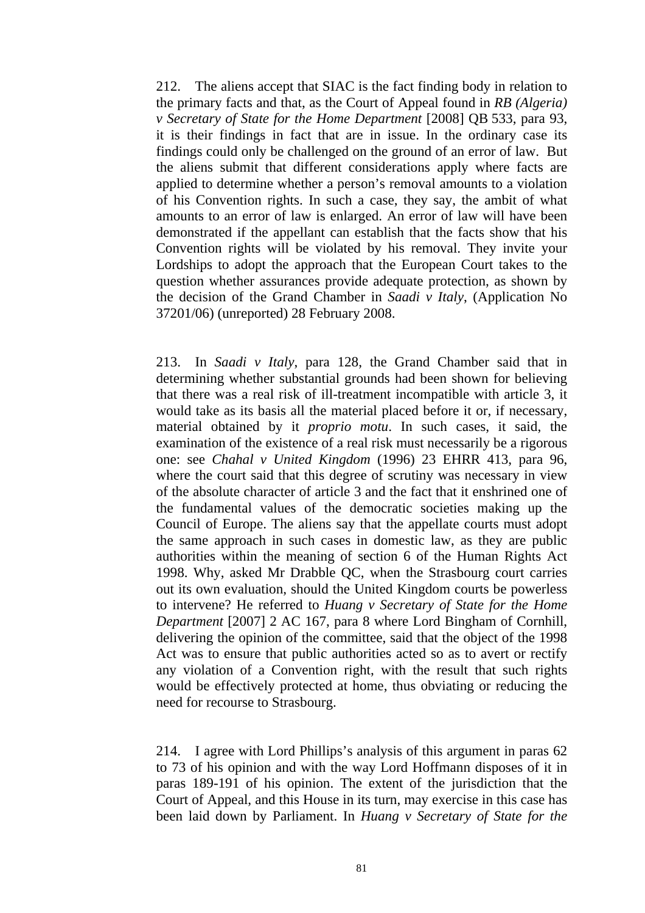212. The aliens accept that SIAC is the fact finding body in relation to the primary facts and that, as the Court of Appeal found in *RB (Algeria) v Secretary of State for the Home Department* [2008] QB 533, para 93, it is their findings in fact that are in issue. In the ordinary case its findings could only be challenged on the ground of an error of law. But the aliens submit that different considerations apply where facts are applied to determine whether a person's removal amounts to a violation of his Convention rights. In such a case, they say, the ambit of what amounts to an error of law is enlarged. An error of law will have been demonstrated if the appellant can establish that the facts show that his Convention rights will be violated by his removal. They invite your Lordships to adopt the approach that the European Court takes to the question whether assurances provide adequate protection, as shown by the decision of the Grand Chamber in *Saadi v Italy*, (Application No 37201/06) (unreported) 28 February 2008.

213. In *Saadi v Italy*, para 128, the Grand Chamber said that in determining whether substantial grounds had been shown for believing that there was a real risk of ill-treatment incompatible with article 3, it would take as its basis all the material placed before it or, if necessary, material obtained by it *proprio motu*. In such cases, it said, the examination of the existence of a real risk must necessarily be a rigorous one: see *Chahal v United Kingdom* (1996) 23 EHRR 413, para 96, where the court said that this degree of scrutiny was necessary in view of the absolute character of article 3 and the fact that it enshrined one of the fundamental values of the democratic societies making up the Council of Europe. The aliens say that the appellate courts must adopt the same approach in such cases in domestic law, as they are public authorities within the meaning of section 6 of the Human Rights Act 1998. Why, asked Mr Drabble QC, when the Strasbourg court carries out its own evaluation, should the United Kingdom courts be powerless to intervene? He referred to *Huang v Secretary of State for the Home Department* [2007] 2 AC 167, para 8 where Lord Bingham of Cornhill, delivering the opinion of the committee, said that the object of the 1998 Act was to ensure that public authorities acted so as to avert or rectify any violation of a Convention right, with the result that such rights would be effectively protected at home, thus obviating or reducing the need for recourse to Strasbourg.

214. I agree with Lord Phillips's analysis of this argument in paras 62 to 73 of his opinion and with the way Lord Hoffmann disposes of it in paras 189-191 of his opinion. The extent of the jurisdiction that the Court of Appeal, and this House in its turn, may exercise in this case has been laid down by Parliament. In *Huang v Secretary of State for the*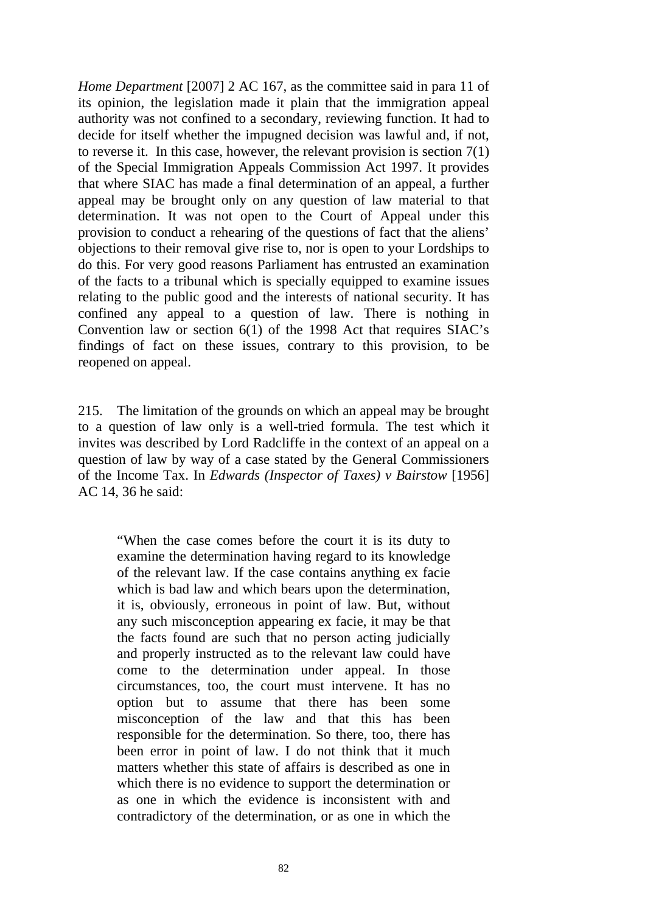*Home Department* [2007] 2 AC 167, as the committee said in para 11 of its opinion, the legislation made it plain that the immigration appeal authority was not confined to a secondary, reviewing function. It had to decide for itself whether the impugned decision was lawful and, if not, to reverse it. In this case, however, the relevant provision is section 7(1) of the Special Immigration Appeals Commission Act 1997. It provides that where SIAC has made a final determination of an appeal, a further appeal may be brought only on any question of law material to that determination. It was not open to the Court of Appeal under this provision to conduct a rehearing of the questions of fact that the aliens' objections to their removal give rise to, nor is open to your Lordships to do this. For very good reasons Parliament has entrusted an examination of the facts to a tribunal which is specially equipped to examine issues relating to the public good and the interests of national security. It has confined any appeal to a question of law. There is nothing in Convention law or section 6(1) of the 1998 Act that requires SIAC's findings of fact on these issues, contrary to this provision, to be reopened on appeal.

215. The limitation of the grounds on which an appeal may be brought to a question of law only is a well-tried formula. The test which it invites was described by Lord Radcliffe in the context of an appeal on a question of law by way of a case stated by the General Commissioners of the Income Tax. In *Edwards (Inspector of Taxes) v Bairstow* [1956] AC 14, 36 he said:

"When the case comes before the court it is its duty to examine the determination having regard to its knowledge of the relevant law. If the case contains anything ex facie which is bad law and which bears upon the determination, it is, obviously, erroneous in point of law. But, without any such misconception appearing ex facie, it may be that the facts found are such that no person acting judicially and properly instructed as to the relevant law could have come to the determination under appeal. In those circumstances, too, the court must intervene. It has no option but to assume that there has been some misconception of the law and that this has been responsible for the determination. So there, too, there has been error in point of law. I do not think that it much matters whether this state of affairs is described as one in which there is no evidence to support the determination or as one in which the evidence is inconsistent with and contradictory of the determination, or as one in which the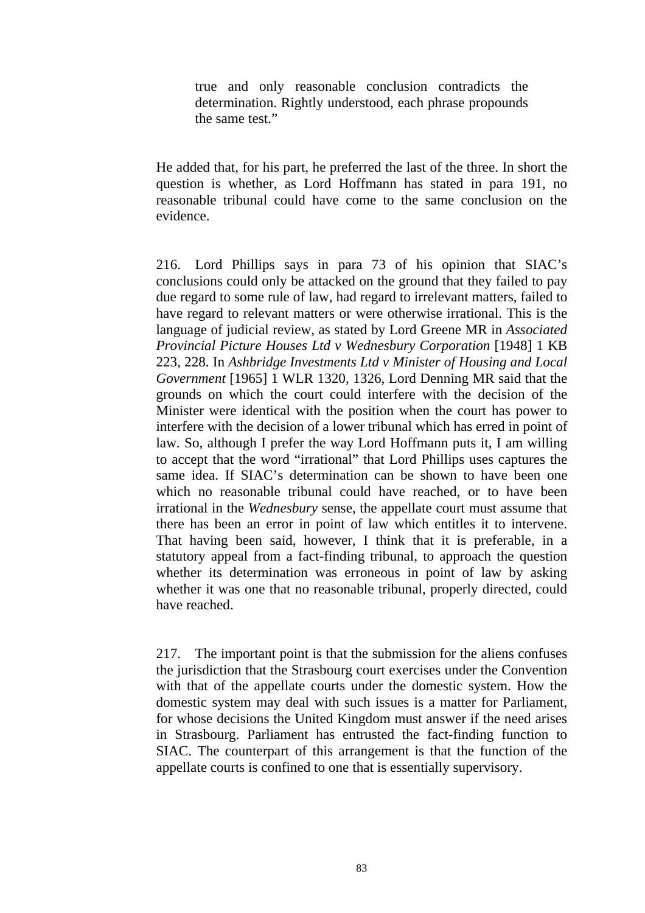true and only reasonable conclusion contradicts the determination. Rightly understood, each phrase propounds the same test."

He added that, for his part, he preferred the last of the three. In short the question is whether, as Lord Hoffmann has stated in para 191, no reasonable tribunal could have come to the same conclusion on the evidence.

216. Lord Phillips says in para 73 of his opinion that SIAC's conclusions could only be attacked on the ground that they failed to pay due regard to some rule of law, had regard to irrelevant matters, failed to have regard to relevant matters or were otherwise irrational. This is the language of judicial review, as stated by Lord Greene MR in *Associated Provincial Picture Houses Ltd v Wednesbury Corporation* [1948] 1 KB 223, 228. In *Ashbridge Investments Ltd v Minister of Housing and Local Government* [1965] 1 WLR 1320, 1326, Lord Denning MR said that the grounds on which the court could interfere with the decision of the Minister were identical with the position when the court has power to interfere with the decision of a lower tribunal which has erred in point of law. So, although I prefer the way Lord Hoffmann puts it, I am willing to accept that the word "irrational" that Lord Phillips uses captures the same idea. If SIAC's determination can be shown to have been one which no reasonable tribunal could have reached, or to have been irrational in the *Wednesbury* sense, the appellate court must assume that there has been an error in point of law which entitles it to intervene. That having been said, however, I think that it is preferable, in a statutory appeal from a fact-finding tribunal, to approach the question whether its determination was erroneous in point of law by asking whether it was one that no reasonable tribunal, properly directed, could have reached.

217. The important point is that the submission for the aliens confuses the jurisdiction that the Strasbourg court exercises under the Convention with that of the appellate courts under the domestic system. How the domestic system may deal with such issues is a matter for Parliament, for whose decisions the United Kingdom must answer if the need arises in Strasbourg. Parliament has entrusted the fact-finding function to SIAC. The counterpart of this arrangement is that the function of the appellate courts is confined to one that is essentially supervisory.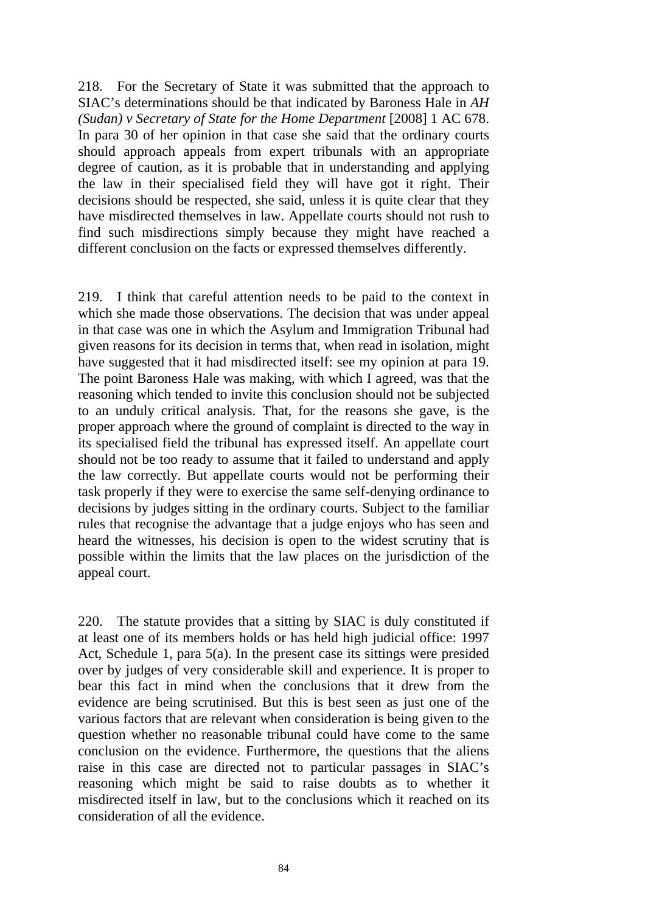218. For the Secretary of State it was submitted that the approach to SIAC's determinations should be that indicated by Baroness Hale in *AH (Sudan) v Secretary of State for the Home Department* [2008] 1 AC 678. In para 30 of her opinion in that case she said that the ordinary courts should approach appeals from expert tribunals with an appropriate degree of caution, as it is probable that in understanding and applying the law in their specialised field they will have got it right. Their decisions should be respected, she said, unless it is quite clear that they have misdirected themselves in law. Appellate courts should not rush to find such misdirections simply because they might have reached a different conclusion on the facts or expressed themselves differently.

219. I think that careful attention needs to be paid to the context in which she made those observations. The decision that was under appeal in that case was one in which the Asylum and Immigration Tribunal had given reasons for its decision in terms that, when read in isolation, might have suggested that it had misdirected itself: see my opinion at para 19. The point Baroness Hale was making, with which I agreed, was that the reasoning which tended to invite this conclusion should not be subjected to an unduly critical analysis. That, for the reasons she gave, is the proper approach where the ground of complaint is directed to the way in its specialised field the tribunal has expressed itself. An appellate court should not be too ready to assume that it failed to understand and apply the law correctly. But appellate courts would not be performing their task properly if they were to exercise the same self-denying ordinance to decisions by judges sitting in the ordinary courts. Subject to the familiar rules that recognise the advantage that a judge enjoys who has seen and heard the witnesses, his decision is open to the widest scrutiny that is possible within the limits that the law places on the jurisdiction of the appeal court.

220. The statute provides that a sitting by SIAC is duly constituted if at least one of its members holds or has held high judicial office: 1997 Act, Schedule 1, para 5(a). In the present case its sittings were presided over by judges of very considerable skill and experience. It is proper to bear this fact in mind when the conclusions that it drew from the evidence are being scrutinised. But this is best seen as just one of the various factors that are relevant when consideration is being given to the question whether no reasonable tribunal could have come to the same conclusion on the evidence. Furthermore, the questions that the aliens raise in this case are directed not to particular passages in SIAC's reasoning which might be said to raise doubts as to whether it misdirected itself in law, but to the conclusions which it reached on its consideration of all the evidence.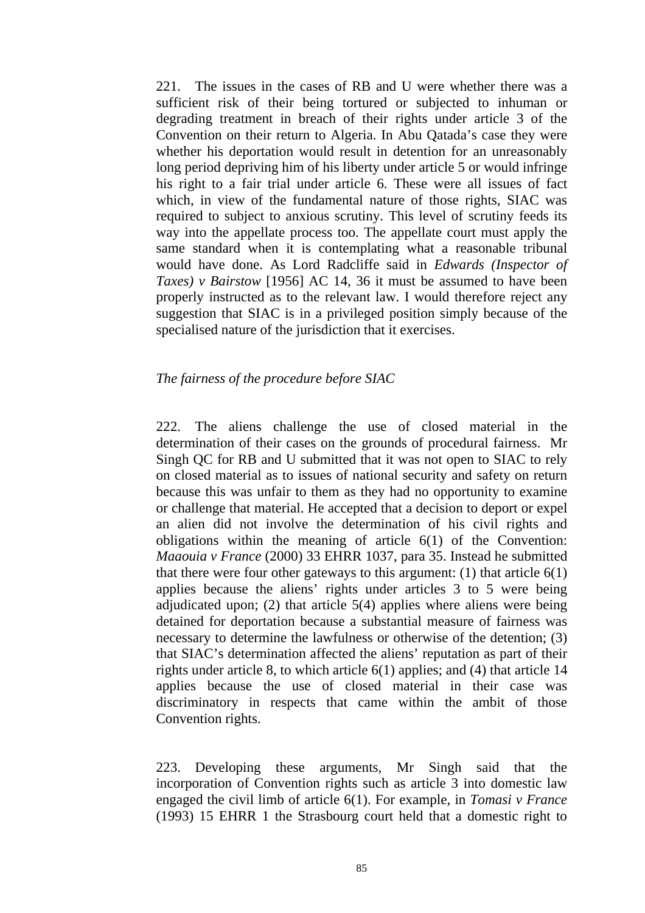221. The issues in the cases of RB and U were whether there was a sufficient risk of their being tortured or subjected to inhuman or degrading treatment in breach of their rights under article 3 of the Convention on their return to Algeria. In Abu Qatada's case they were whether his deportation would result in detention for an unreasonably long period depriving him of his liberty under article 5 or would infringe his right to a fair trial under article 6. These were all issues of fact which, in view of the fundamental nature of those rights, SIAC was required to subject to anxious scrutiny. This level of scrutiny feeds its way into the appellate process too. The appellate court must apply the same standard when it is contemplating what a reasonable tribunal would have done. As Lord Radcliffe said in *Edwards (Inspector of Taxes) v Bairstow* [1956] AC 14, 36 it must be assumed to have been properly instructed as to the relevant law. I would therefore reject any suggestion that SIAC is in a privileged position simply because of the specialised nature of the jurisdiction that it exercises.

#### *The fairness of the procedure before SIAC*

222. The aliens challenge the use of closed material in the determination of their cases on the grounds of procedural fairness. Mr Singh QC for RB and U submitted that it was not open to SIAC to rely on closed material as to issues of national security and safety on return because this was unfair to them as they had no opportunity to examine or challenge that material. He accepted that a decision to deport or expel an alien did not involve the determination of his civil rights and obligations within the meaning of article 6(1) of the Convention: *Maaouia v France* (2000) 33 EHRR 1037, para 35. Instead he submitted that there were four other gateways to this argument: (1) that article  $6(1)$ applies because the aliens' rights under articles 3 to 5 were being adjudicated upon; (2) that article 5(4) applies where aliens were being detained for deportation because a substantial measure of fairness was necessary to determine the lawfulness or otherwise of the detention; (3) that SIAC's determination affected the aliens' reputation as part of their rights under article 8, to which article 6(1) applies; and (4) that article 14 applies because the use of closed material in their case was discriminatory in respects that came within the ambit of those Convention rights.

223. Developing these arguments, Mr Singh said that the incorporation of Convention rights such as article 3 into domestic law engaged the civil limb of article 6(1). For example, in *Tomasi v France*  (1993) 15 EHRR 1 the Strasbourg court held that a domestic right to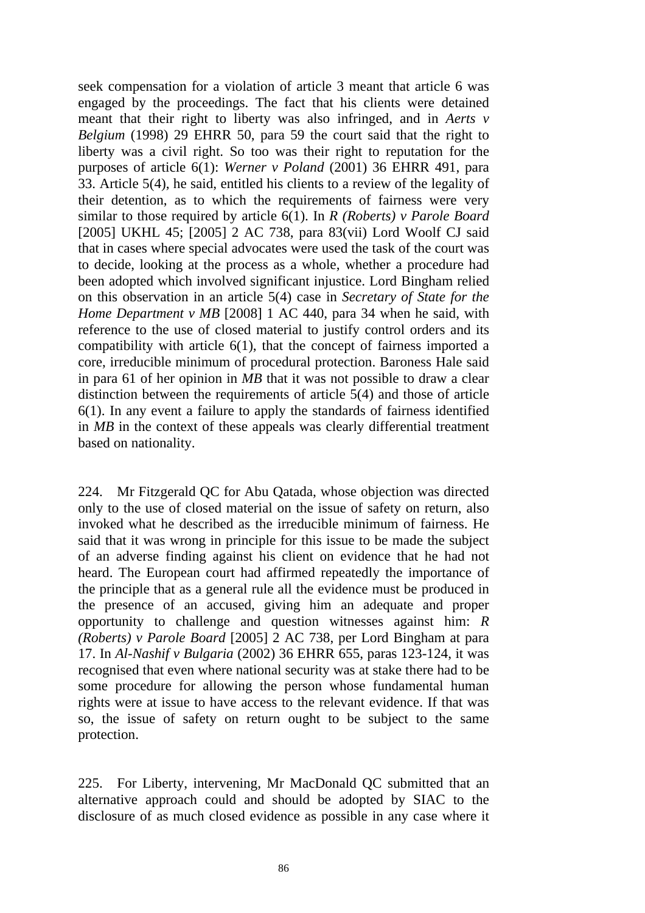seek compensation for a violation of article 3 meant that article 6 was engaged by the proceedings. The fact that his clients were detained meant that their right to liberty was also infringed, and in *Aerts v Belgium* (1998) 29 EHRR 50, para 59 the court said that the right to liberty was a civil right. So too was their right to reputation for the purposes of article 6(1): *Werner v Poland* (2001) 36 EHRR 491, para 33. Article 5(4), he said, entitled his clients to a review of the legality of their detention, as to which the requirements of fairness were very similar to those required by article 6(1). In *R (Roberts) v Parole Board* [2005] UKHL 45; [2005] 2 AC 738, para 83(vii) Lord Woolf CJ said that in cases where special advocates were used the task of the court was to decide, looking at the process as a whole, whether a procedure had been adopted which involved significant injustice. Lord Bingham relied on this observation in an article 5(4) case in *Secretary of State for the Home Department v MB* [2008] 1 AC 440, para 34 when he said, with reference to the use of closed material to justify control orders and its compatibility with article 6(1), that the concept of fairness imported a core, irreducible minimum of procedural protection. Baroness Hale said in para 61 of her opinion in *MB* that it was not possible to draw a clear distinction between the requirements of article 5(4) and those of article 6(1). In any event a failure to apply the standards of fairness identified in *MB* in the context of these appeals was clearly differential treatment based on nationality.

224. Mr Fitzgerald QC for Abu Qatada, whose objection was directed only to the use of closed material on the issue of safety on return, also invoked what he described as the irreducible minimum of fairness. He said that it was wrong in principle for this issue to be made the subject of an adverse finding against his client on evidence that he had not heard. The European court had affirmed repeatedly the importance of the principle that as a general rule all the evidence must be produced in the presence of an accused, giving him an adequate and proper opportunity to challenge and question witnesses against him: *R (Roberts) v Parole Board* [2005] 2 AC 738, per Lord Bingham at para 17. In *Al-Nashif v Bulgaria* (2002) 36 EHRR 655, paras 123-124, it was recognised that even where national security was at stake there had to be some procedure for allowing the person whose fundamental human rights were at issue to have access to the relevant evidence. If that was so, the issue of safety on return ought to be subject to the same protection.

225. For Liberty, intervening, Mr MacDonald QC submitted that an alternative approach could and should be adopted by SIAC to the disclosure of as much closed evidence as possible in any case where it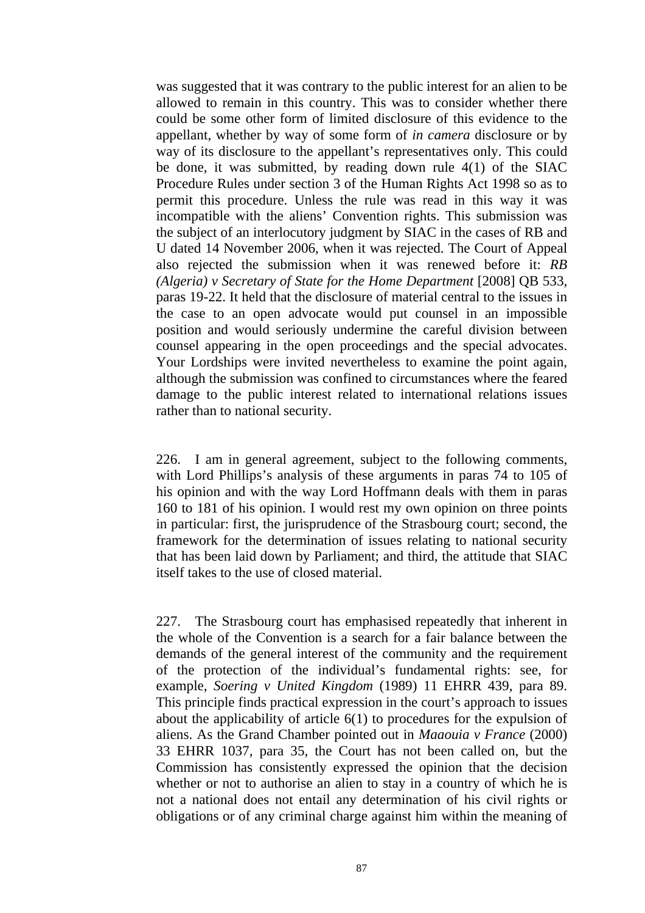was suggested that it was contrary to the public interest for an alien to be allowed to remain in this country. This was to consider whether there could be some other form of limited disclosure of this evidence to the appellant, whether by way of some form of *in camera* disclosure or by way of its disclosure to the appellant's representatives only. This could be done, it was submitted, by reading down rule 4(1) of the SIAC Procedure Rules under section 3 of the Human Rights Act 1998 so as to permit this procedure. Unless the rule was read in this way it was incompatible with the aliens' Convention rights. This submission was the subject of an interlocutory judgment by SIAC in the cases of RB and U dated 14 November 2006, when it was rejected. The Court of Appeal also rejected the submission when it was renewed before it: *RB (Algeria) v Secretary of State for the Home Department* [2008] QB 533, paras 19-22. It held that the disclosure of material central to the issues in the case to an open advocate would put counsel in an impossible position and would seriously undermine the careful division between counsel appearing in the open proceedings and the special advocates. Your Lordships were invited nevertheless to examine the point again, although the submission was confined to circumstances where the feared damage to the public interest related to international relations issues rather than to national security.

226. I am in general agreement, subject to the following comments, with Lord Phillips's analysis of these arguments in paras 74 to 105 of his opinion and with the way Lord Hoffmann deals with them in paras 160 to 181 of his opinion. I would rest my own opinion on three points in particular: first, the jurisprudence of the Strasbourg court; second, the framework for the determination of issues relating to national security that has been laid down by Parliament; and third, the attitude that SIAC itself takes to the use of closed material.

227. The Strasbourg court has emphasised repeatedly that inherent in the whole of the Convention is a search for a fair balance between the demands of the general interest of the community and the requirement of the protection of the individual's fundamental rights: see, for example, *Soering v United Kingdom* (1989) 11 EHRR 439, para 89. This principle finds practical expression in the court's approach to issues about the applicability of article 6(1) to procedures for the expulsion of aliens. As the Grand Chamber pointed out in *Maaouia v France* (2000) 33 EHRR 1037, para 35, the Court has not been called on, but the Commission has consistently expressed the opinion that the decision whether or not to authorise an alien to stay in a country of which he is not a national does not entail any determination of his civil rights or obligations or of any criminal charge against him within the meaning of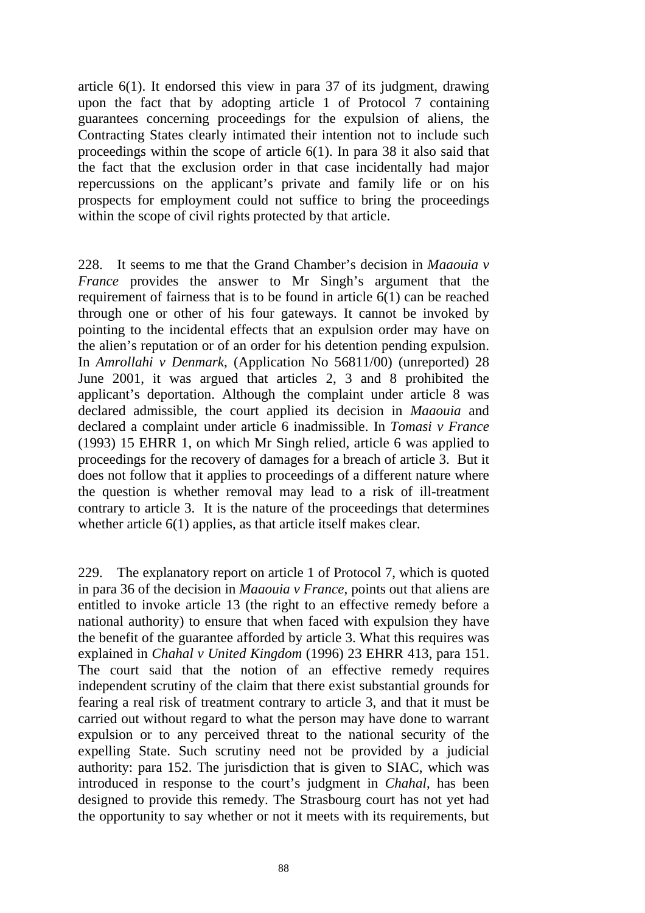article 6(1). It endorsed this view in para 37 of its judgment, drawing upon the fact that by adopting article 1 of Protocol 7 containing guarantees concerning proceedings for the expulsion of aliens, the Contracting States clearly intimated their intention not to include such proceedings within the scope of article 6(1). In para 38 it also said that the fact that the exclusion order in that case incidentally had major repercussions on the applicant's private and family life or on his prospects for employment could not suffice to bring the proceedings within the scope of civil rights protected by that article.

228. It seems to me that the Grand Chamber's decision in *Maaouia v France* provides the answer to Mr Singh's argument that the requirement of fairness that is to be found in article 6(1) can be reached through one or other of his four gateways. It cannot be invoked by pointing to the incidental effects that an expulsion order may have on the alien's reputation or of an order for his detention pending expulsion. In *Amrollahi v Denmark*, (Application No 56811/00) (unreported) 28 June 2001, it was argued that articles 2, 3 and 8 prohibited the applicant's deportation. Although the complaint under article 8 was declared admissible, the court applied its decision in *Maaouia* and declared a complaint under article 6 inadmissible. In *Tomasi v France*  (1993) 15 EHRR 1, on which Mr Singh relied, article 6 was applied to proceedings for the recovery of damages for a breach of article 3. But it does not follow that it applies to proceedings of a different nature where the question is whether removal may lead to a risk of ill-treatment contrary to article 3. It is the nature of the proceedings that determines whether article 6(1) applies, as that article itself makes clear.

229. The explanatory report on article 1 of Protocol 7, which is quoted in para 36 of the decision in *Maaouia v France*, points out that aliens are entitled to invoke article 13 (the right to an effective remedy before a national authority) to ensure that when faced with expulsion they have the benefit of the guarantee afforded by article 3. What this requires was explained in *Chahal v United Kingdom* (1996) 23 EHRR 413, para 151. The court said that the notion of an effective remedy requires independent scrutiny of the claim that there exist substantial grounds for fearing a real risk of treatment contrary to article 3, and that it must be carried out without regard to what the person may have done to warrant expulsion or to any perceived threat to the national security of the expelling State. Such scrutiny need not be provided by a judicial authority: para 152. The jurisdiction that is given to SIAC, which was introduced in response to the court's judgment in *Chahal*, has been designed to provide this remedy. The Strasbourg court has not yet had the opportunity to say whether or not it meets with its requirements, but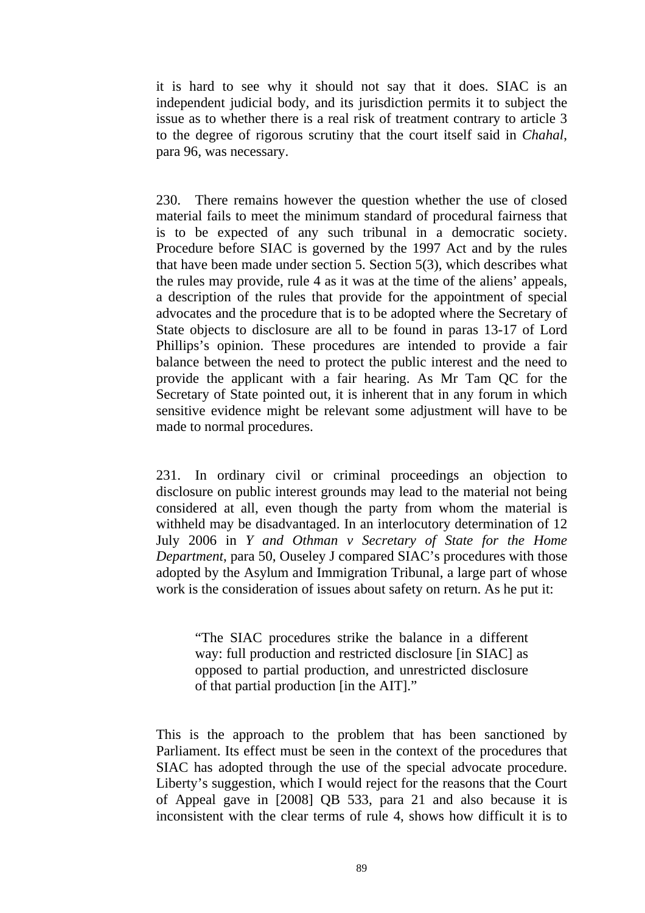it is hard to see why it should not say that it does. SIAC is an independent judicial body, and its jurisdiction permits it to subject the issue as to whether there is a real risk of treatment contrary to article 3 to the degree of rigorous scrutiny that the court itself said in *Chahal*, para 96, was necessary.

230. There remains however the question whether the use of closed material fails to meet the minimum standard of procedural fairness that is to be expected of any such tribunal in a democratic society. Procedure before SIAC is governed by the 1997 Act and by the rules that have been made under section 5. Section 5(3), which describes what the rules may provide, rule 4 as it was at the time of the aliens' appeals, a description of the rules that provide for the appointment of special advocates and the procedure that is to be adopted where the Secretary of State objects to disclosure are all to be found in paras 13-17 of Lord Phillips's opinion. These procedures are intended to provide a fair balance between the need to protect the public interest and the need to provide the applicant with a fair hearing. As Mr Tam QC for the Secretary of State pointed out, it is inherent that in any forum in which sensitive evidence might be relevant some adjustment will have to be made to normal procedures.

231. In ordinary civil or criminal proceedings an objection to disclosure on public interest grounds may lead to the material not being considered at all, even though the party from whom the material is withheld may be disadvantaged. In an interlocutory determination of 12 July 2006 in *Y and Othman v Secretary of State for the Home Department*, para 50, Ouseley J compared SIAC's procedures with those adopted by the Asylum and Immigration Tribunal, a large part of whose work is the consideration of issues about safety on return. As he put it:

"The SIAC procedures strike the balance in a different way: full production and restricted disclosure [in SIAC] as opposed to partial production, and unrestricted disclosure of that partial production [in the AIT]."

This is the approach to the problem that has been sanctioned by Parliament. Its effect must be seen in the context of the procedures that SIAC has adopted through the use of the special advocate procedure. Liberty's suggestion, which I would reject for the reasons that the Court of Appeal gave in [2008] QB 533, para 21 and also because it is inconsistent with the clear terms of rule 4, shows how difficult it is to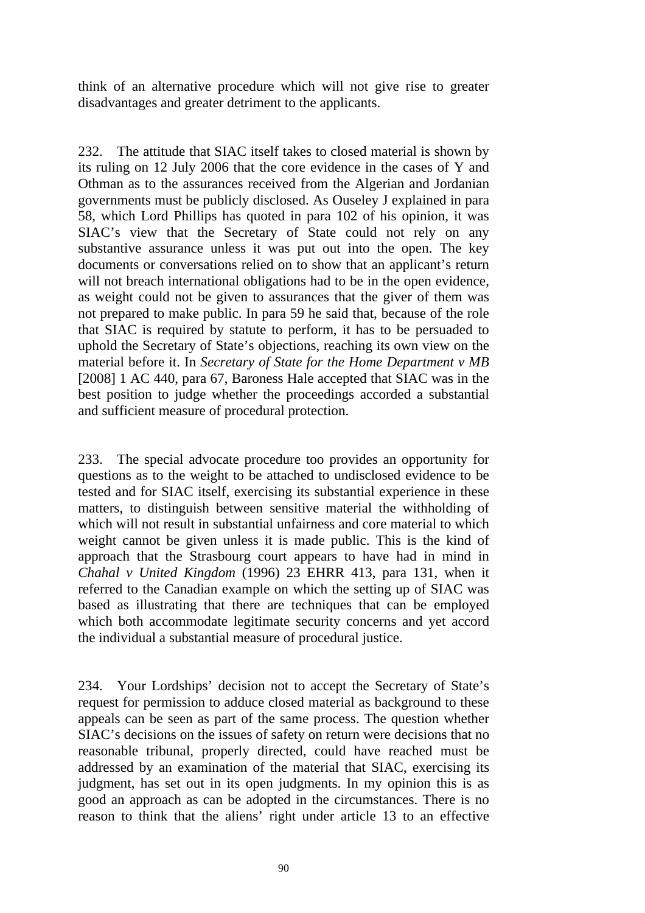think of an alternative procedure which will not give rise to greater disadvantages and greater detriment to the applicants.

232. The attitude that SIAC itself takes to closed material is shown by its ruling on 12 July 2006 that the core evidence in the cases of Y and Othman as to the assurances received from the Algerian and Jordanian governments must be publicly disclosed. As Ouseley J explained in para 58, which Lord Phillips has quoted in para 102 of his opinion, it was SIAC's view that the Secretary of State could not rely on any substantive assurance unless it was put out into the open. The key documents or conversations relied on to show that an applicant's return will not breach international obligations had to be in the open evidence. as weight could not be given to assurances that the giver of them was not prepared to make public. In para 59 he said that, because of the role that SIAC is required by statute to perform, it has to be persuaded to uphold the Secretary of State's objections, reaching its own view on the material before it. In *Secretary of State for the Home Department v MB* [2008] 1 AC 440, para 67, Baroness Hale accepted that SIAC was in the best position to judge whether the proceedings accorded a substantial and sufficient measure of procedural protection.

233. The special advocate procedure too provides an opportunity for questions as to the weight to be attached to undisclosed evidence to be tested and for SIAC itself, exercising its substantial experience in these matters, to distinguish between sensitive material the withholding of which will not result in substantial unfairness and core material to which weight cannot be given unless it is made public. This is the kind of approach that the Strasbourg court appears to have had in mind in *Chahal v United Kingdom* (1996) 23 EHRR 413, para 131, when it referred to the Canadian example on which the setting up of SIAC was based as illustrating that there are techniques that can be employed which both accommodate legitimate security concerns and yet accord the individual a substantial measure of procedural justice.

234. Your Lordships' decision not to accept the Secretary of State's request for permission to adduce closed material as background to these appeals can be seen as part of the same process. The question whether SIAC's decisions on the issues of safety on return were decisions that no reasonable tribunal, properly directed, could have reached must be addressed by an examination of the material that SIAC, exercising its judgment, has set out in its open judgments. In my opinion this is as good an approach as can be adopted in the circumstances. There is no reason to think that the aliens' right under article 13 to an effective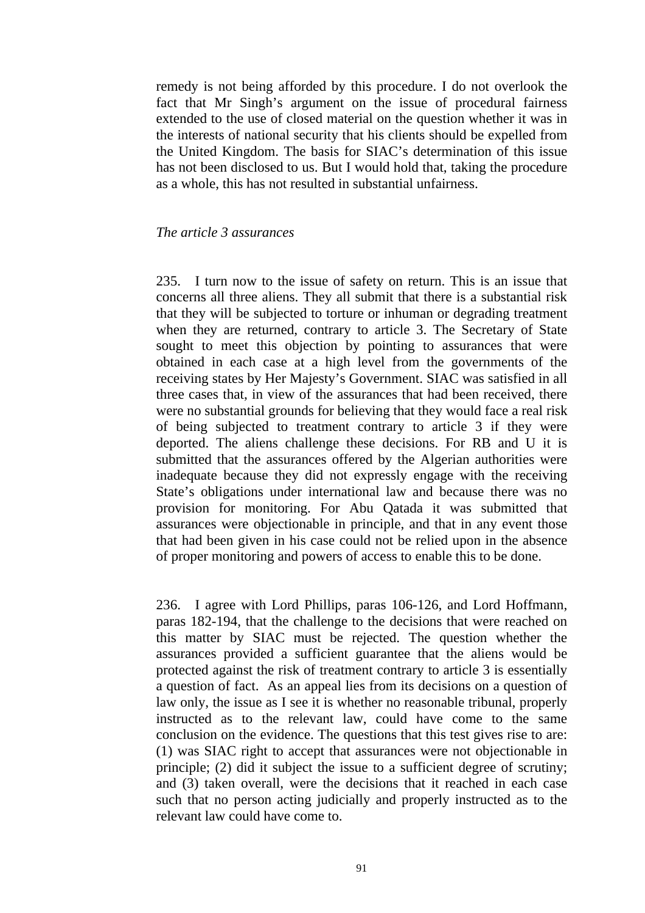remedy is not being afforded by this procedure. I do not overlook the fact that Mr Singh's argument on the issue of procedural fairness extended to the use of closed material on the question whether it was in the interests of national security that his clients should be expelled from the United Kingdom. The basis for SIAC's determination of this issue has not been disclosed to us. But I would hold that, taking the procedure as a whole, this has not resulted in substantial unfairness.

## *The article 3 assurances*

235. I turn now to the issue of safety on return. This is an issue that concerns all three aliens. They all submit that there is a substantial risk that they will be subjected to torture or inhuman or degrading treatment when they are returned, contrary to article 3. The Secretary of State sought to meet this objection by pointing to assurances that were obtained in each case at a high level from the governments of the receiving states by Her Majesty's Government. SIAC was satisfied in all three cases that, in view of the assurances that had been received, there were no substantial grounds for believing that they would face a real risk of being subjected to treatment contrary to article 3 if they were deported. The aliens challenge these decisions. For RB and U it is submitted that the assurances offered by the Algerian authorities were inadequate because they did not expressly engage with the receiving State's obligations under international law and because there was no provision for monitoring. For Abu Qatada it was submitted that assurances were objectionable in principle, and that in any event those that had been given in his case could not be relied upon in the absence of proper monitoring and powers of access to enable this to be done.

236. I agree with Lord Phillips, paras 106-126, and Lord Hoffmann, paras 182-194, that the challenge to the decisions that were reached on this matter by SIAC must be rejected. The question whether the assurances provided a sufficient guarantee that the aliens would be protected against the risk of treatment contrary to article 3 is essentially a question of fact. As an appeal lies from its decisions on a question of law only, the issue as I see it is whether no reasonable tribunal, properly instructed as to the relevant law, could have come to the same conclusion on the evidence. The questions that this test gives rise to are: (1) was SIAC right to accept that assurances were not objectionable in principle; (2) did it subject the issue to a sufficient degree of scrutiny; and (3) taken overall, were the decisions that it reached in each case such that no person acting judicially and properly instructed as to the relevant law could have come to.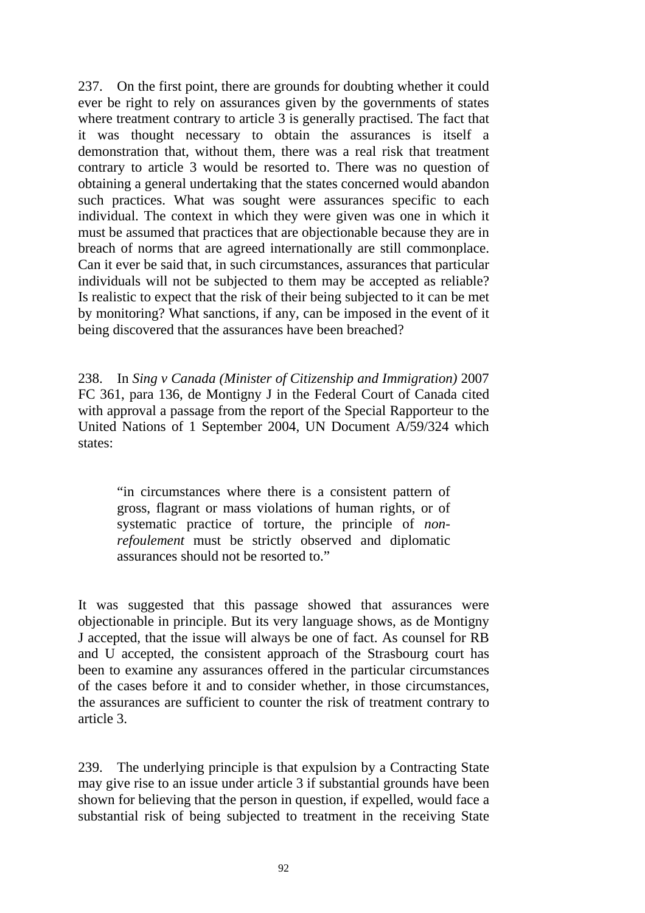237. On the first point, there are grounds for doubting whether it could ever be right to rely on assurances given by the governments of states where treatment contrary to article 3 is generally practised. The fact that it was thought necessary to obtain the assurances is itself a demonstration that, without them, there was a real risk that treatment contrary to article 3 would be resorted to. There was no question of obtaining a general undertaking that the states concerned would abandon such practices. What was sought were assurances specific to each individual. The context in which they were given was one in which it must be assumed that practices that are objectionable because they are in breach of norms that are agreed internationally are still commonplace. Can it ever be said that, in such circumstances, assurances that particular individuals will not be subjected to them may be accepted as reliable? Is realistic to expect that the risk of their being subjected to it can be met by monitoring? What sanctions, if any, can be imposed in the event of it being discovered that the assurances have been breached?

238. In *Sing v Canada (Minister of Citizenship and Immigration)* 2007 FC 361, para 136, de Montigny J in the Federal Court of Canada cited with approval a passage from the report of the Special Rapporteur to the United Nations of 1 September 2004, UN Document A/59/324 which states:

"in circumstances where there is a consistent pattern of gross, flagrant or mass violations of human rights, or of systematic practice of torture, the principle of *nonrefoulement* must be strictly observed and diplomatic assurances should not be resorted to."

It was suggested that this passage showed that assurances were objectionable in principle. But its very language shows, as de Montigny J accepted, that the issue will always be one of fact. As counsel for RB and U accepted, the consistent approach of the Strasbourg court has been to examine any assurances offered in the particular circumstances of the cases before it and to consider whether, in those circumstances, the assurances are sufficient to counter the risk of treatment contrary to article 3.

239. The underlying principle is that expulsion by a Contracting State may give rise to an issue under article 3 if substantial grounds have been shown for believing that the person in question, if expelled, would face a substantial risk of being subjected to treatment in the receiving State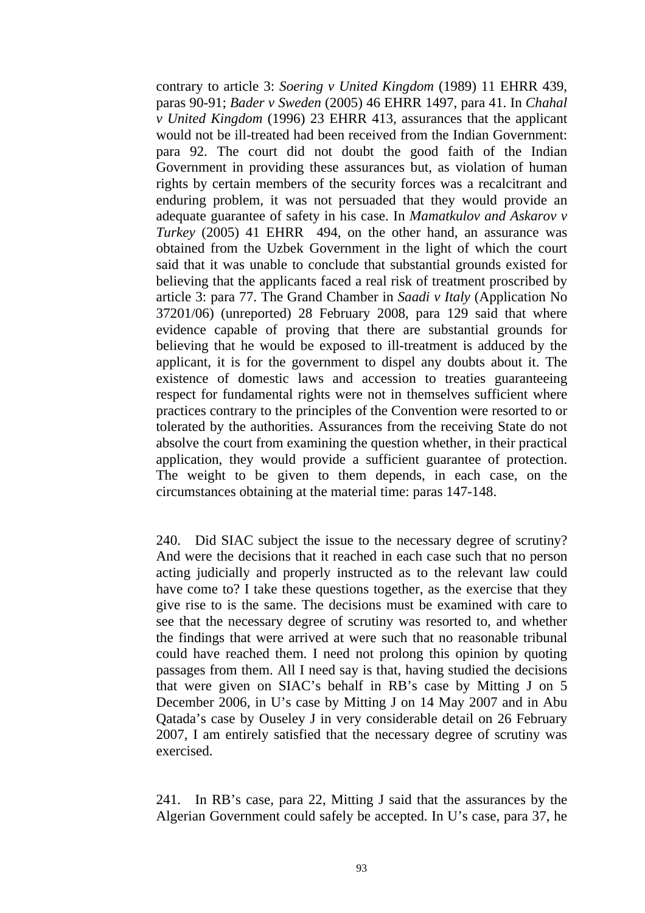contrary to article 3: *Soering v United Kingdom* (1989) 11 EHRR 439, paras 90-91; *Bader v Sweden* (2005) 46 EHRR 1497, para 41. In *Chahal v United Kingdom* (1996) 23 EHRR 413, assurances that the applicant would not be ill-treated had been received from the Indian Government: para 92. The court did not doubt the good faith of the Indian Government in providing these assurances but, as violation of human rights by certain members of the security forces was a recalcitrant and enduring problem, it was not persuaded that they would provide an adequate guarantee of safety in his case. In *Mamatkulov and Askarov v Turkey* (2005) 41 EHRR 494, on the other hand, an assurance was obtained from the Uzbek Government in the light of which the court said that it was unable to conclude that substantial grounds existed for believing that the applicants faced a real risk of treatment proscribed by article 3: para 77. The Grand Chamber in *Saadi v Italy* (Application No 37201/06) (unreported) 28 February 2008, para 129 said that where evidence capable of proving that there are substantial grounds for believing that he would be exposed to ill-treatment is adduced by the applicant, it is for the government to dispel any doubts about it. The existence of domestic laws and accession to treaties guaranteeing respect for fundamental rights were not in themselves sufficient where practices contrary to the principles of the Convention were resorted to or tolerated by the authorities. Assurances from the receiving State do not absolve the court from examining the question whether, in their practical application, they would provide a sufficient guarantee of protection. The weight to be given to them depends, in each case, on the circumstances obtaining at the material time: paras 147-148.

240. Did SIAC subject the issue to the necessary degree of scrutiny? And were the decisions that it reached in each case such that no person acting judicially and properly instructed as to the relevant law could have come to? I take these questions together, as the exercise that they give rise to is the same. The decisions must be examined with care to see that the necessary degree of scrutiny was resorted to, and whether the findings that were arrived at were such that no reasonable tribunal could have reached them. I need not prolong this opinion by quoting passages from them. All I need say is that, having studied the decisions that were given on SIAC's behalf in RB's case by Mitting J on 5 December 2006, in U's case by Mitting J on 14 May 2007 and in Abu Qatada's case by Ouseley J in very considerable detail on 26 February 2007, I am entirely satisfied that the necessary degree of scrutiny was exercised.

241. In RB's case, para 22, Mitting J said that the assurances by the Algerian Government could safely be accepted. In U's case, para 37, he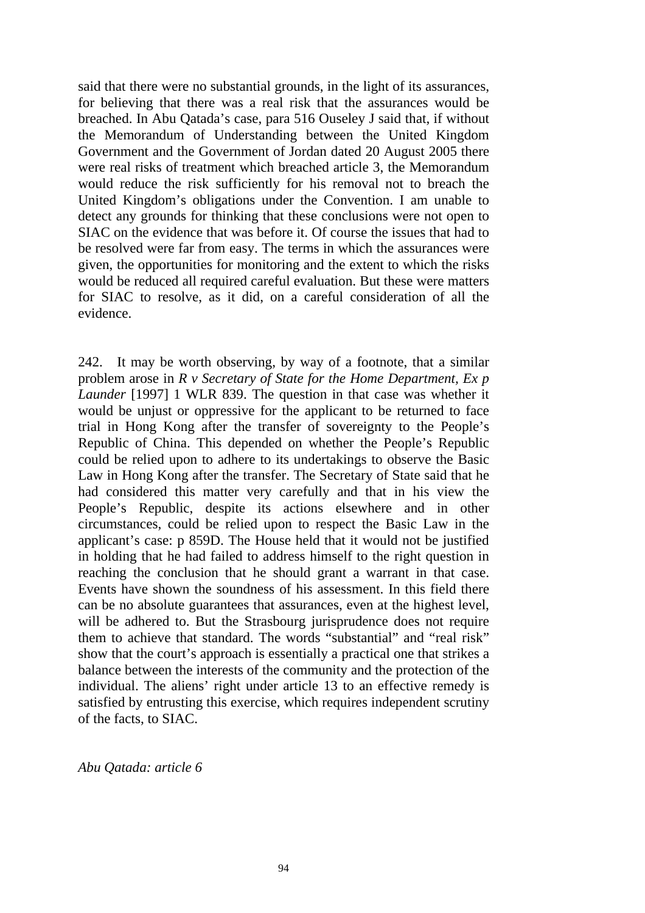said that there were no substantial grounds, in the light of its assurances, for believing that there was a real risk that the assurances would be breached. In Abu Qatada's case, para 516 Ouseley J said that, if without the Memorandum of Understanding between the United Kingdom Government and the Government of Jordan dated 20 August 2005 there were real risks of treatment which breached article 3, the Memorandum would reduce the risk sufficiently for his removal not to breach the United Kingdom's obligations under the Convention. I am unable to detect any grounds for thinking that these conclusions were not open to SIAC on the evidence that was before it. Of course the issues that had to be resolved were far from easy. The terms in which the assurances were given, the opportunities for monitoring and the extent to which the risks would be reduced all required careful evaluation. But these were matters for SIAC to resolve, as it did, on a careful consideration of all the evidence.

242. It may be worth observing, by way of a footnote, that a similar problem arose in *R v Secretary of State for the Home Department, Ex p Launder* [1997] 1 WLR 839. The question in that case was whether it would be unjust or oppressive for the applicant to be returned to face trial in Hong Kong after the transfer of sovereignty to the People's Republic of China. This depended on whether the People's Republic could be relied upon to adhere to its undertakings to observe the Basic Law in Hong Kong after the transfer. The Secretary of State said that he had considered this matter very carefully and that in his view the People's Republic, despite its actions elsewhere and in other circumstances, could be relied upon to respect the Basic Law in the applicant's case: p 859D. The House held that it would not be justified in holding that he had failed to address himself to the right question in reaching the conclusion that he should grant a warrant in that case. Events have shown the soundness of his assessment. In this field there can be no absolute guarantees that assurances, even at the highest level, will be adhered to. But the Strasbourg jurisprudence does not require them to achieve that standard. The words "substantial" and "real risk" show that the court's approach is essentially a practical one that strikes a balance between the interests of the community and the protection of the individual. The aliens' right under article 13 to an effective remedy is satisfied by entrusting this exercise, which requires independent scrutiny of the facts, to SIAC.

*Abu Qatada: article 6*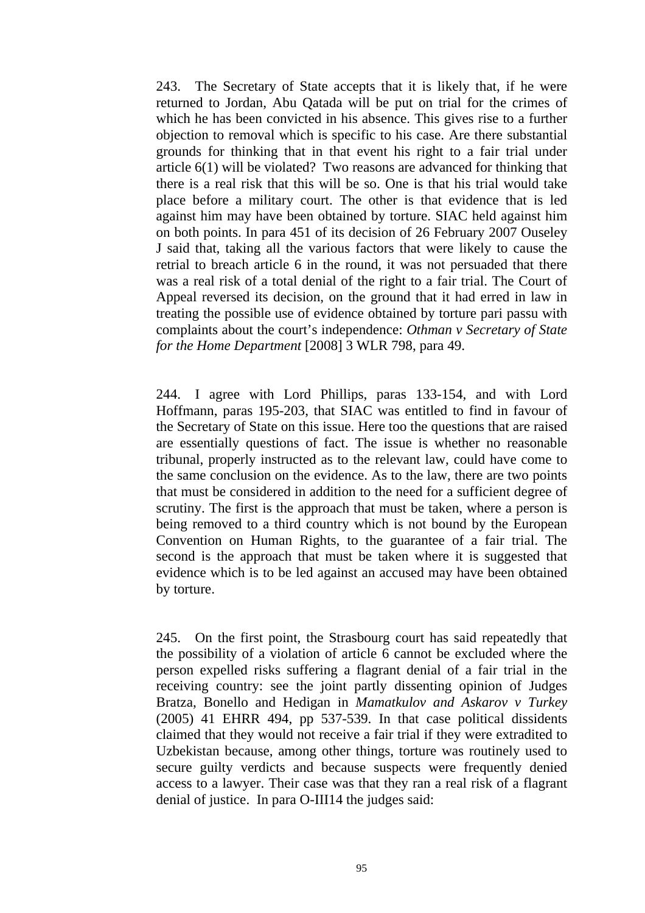243. The Secretary of State accepts that it is likely that, if he were returned to Jordan, Abu Qatada will be put on trial for the crimes of which he has been convicted in his absence. This gives rise to a further objection to removal which is specific to his case. Are there substantial grounds for thinking that in that event his right to a fair trial under article 6(1) will be violated? Two reasons are advanced for thinking that there is a real risk that this will be so. One is that his trial would take place before a military court. The other is that evidence that is led against him may have been obtained by torture. SIAC held against him on both points. In para 451 of its decision of 26 February 2007 Ouseley J said that, taking all the various factors that were likely to cause the retrial to breach article 6 in the round, it was not persuaded that there was a real risk of a total denial of the right to a fair trial. The Court of Appeal reversed its decision, on the ground that it had erred in law in treating the possible use of evidence obtained by torture pari passu with complaints about the court's independence: *Othman v Secretary of State for the Home Department* [2008] 3 WLR 798, para 49.

244. I agree with Lord Phillips, paras 133-154, and with Lord Hoffmann, paras 195-203, that SIAC was entitled to find in favour of the Secretary of State on this issue. Here too the questions that are raised are essentially questions of fact. The issue is whether no reasonable tribunal, properly instructed as to the relevant law, could have come to the same conclusion on the evidence. As to the law, there are two points that must be considered in addition to the need for a sufficient degree of scrutiny. The first is the approach that must be taken, where a person is being removed to a third country which is not bound by the European Convention on Human Rights, to the guarantee of a fair trial. The second is the approach that must be taken where it is suggested that evidence which is to be led against an accused may have been obtained by torture.

245. On the first point, the Strasbourg court has said repeatedly that the possibility of a violation of article 6 cannot be excluded where the person expelled risks suffering a flagrant denial of a fair trial in the receiving country: see the joint partly dissenting opinion of Judges Bratza, Bonello and Hedigan in *Mamatkulov and Askarov v Turkey* (2005) 41 EHRR 494, pp 537-539. In that case political dissidents claimed that they would not receive a fair trial if they were extradited to Uzbekistan because, among other things, torture was routinely used to secure guilty verdicts and because suspects were frequently denied access to a lawyer. Their case was that they ran a real risk of a flagrant denial of justice. In para O-III14 the judges said: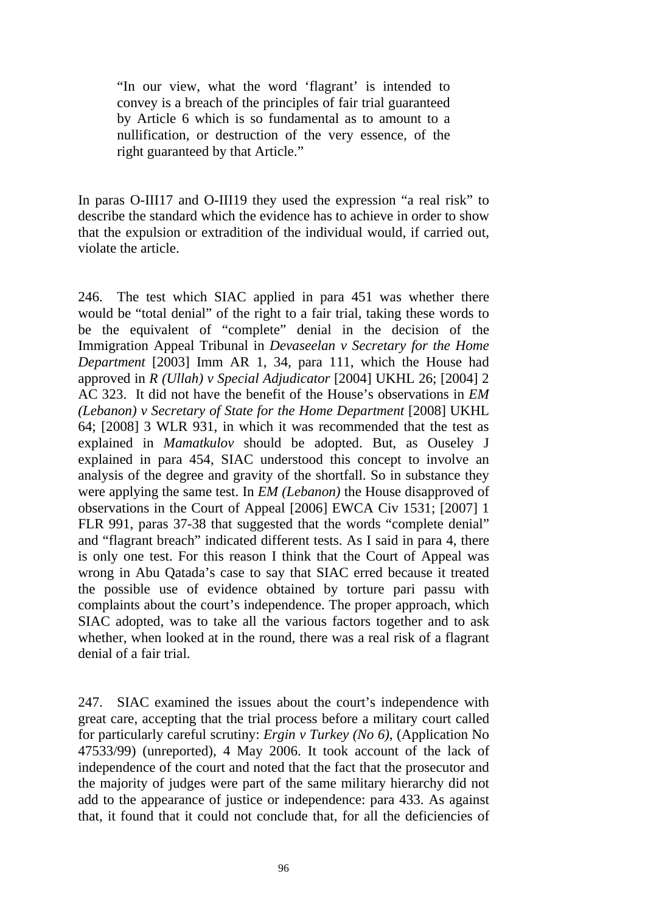"In our view, what the word 'flagrant' is intended to convey is a breach of the principles of fair trial guaranteed by Article 6 which is so fundamental as to amount to a nullification, or destruction of the very essence, of the right guaranteed by that Article."

In paras O-III17 and O-III19 they used the expression "a real risk" to describe the standard which the evidence has to achieve in order to show that the expulsion or extradition of the individual would, if carried out, violate the article.

246. The test which SIAC applied in para 451 was whether there would be "total denial" of the right to a fair trial, taking these words to be the equivalent of "complete" denial in the decision of the Immigration Appeal Tribunal in *Devaseelan v Secretary for the Home Department* [2003] Imm AR 1, 34, para 111, which the House had approved in *R (Ullah) v Special Adjudicator* [2004] UKHL 26; [2004] 2 AC 323. It did not have the benefit of the House's observations in *EM (Lebanon) v Secretary of State for the Home Department* [2008] UKHL 64; [2008] 3 WLR 931, in which it was recommended that the test as explained in *Mamatkulov* should be adopted. But, as Ouseley J explained in para 454, SIAC understood this concept to involve an analysis of the degree and gravity of the shortfall. So in substance they were applying the same test. In *EM (Lebanon)* the House disapproved of observations in the Court of Appeal [2006] EWCA Civ 1531; [2007] 1 FLR 991, paras 37-38 that suggested that the words "complete denial" and "flagrant breach" indicated different tests. As I said in para 4, there is only one test. For this reason I think that the Court of Appeal was wrong in Abu Qatada's case to say that SIAC erred because it treated the possible use of evidence obtained by torture pari passu with complaints about the court's independence. The proper approach, which SIAC adopted, was to take all the various factors together and to ask whether, when looked at in the round, there was a real risk of a flagrant denial of a fair trial.

247. SIAC examined the issues about the court's independence with great care, accepting that the trial process before a military court called for particularly careful scrutiny: *Ergin v Turkey (No 6)*, (Application No 47533/99) (unreported), 4 May 2006. It took account of the lack of independence of the court and noted that the fact that the prosecutor and the majority of judges were part of the same military hierarchy did not add to the appearance of justice or independence: para 433. As against that, it found that it could not conclude that, for all the deficiencies of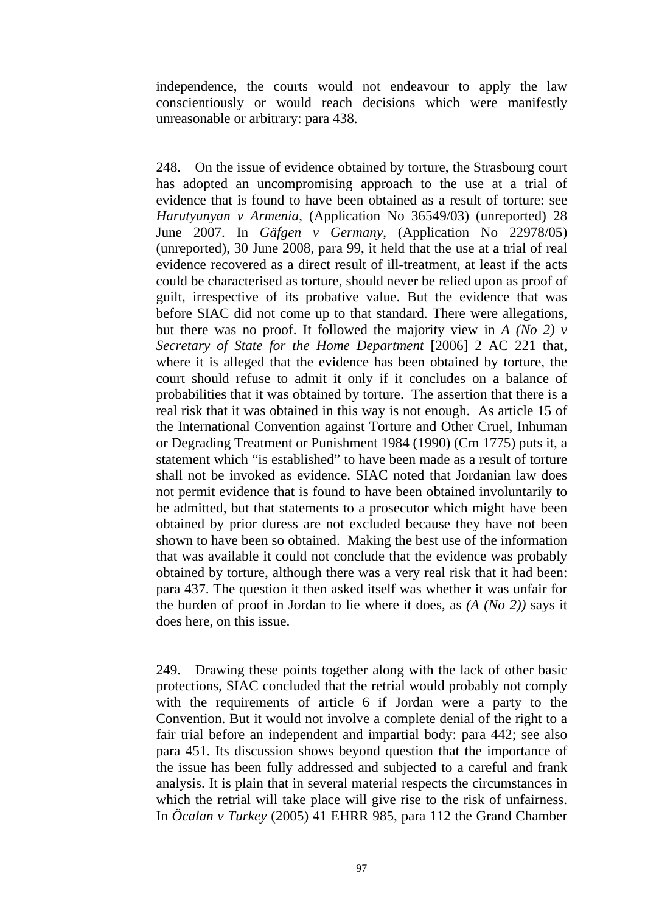independence, the courts would not endeavour to apply the law conscientiously or would reach decisions which were manifestly unreasonable or arbitrary: para 438.

248. On the issue of evidence obtained by torture, the Strasbourg court has adopted an uncompromising approach to the use at a trial of evidence that is found to have been obtained as a result of torture: see *Harutyunyan v Armenia*, (Application No 36549/03) (unreported) 28 June 2007. In *Gäfgen v Germany*, (Application No 22978/05) (unreported), 30 June 2008, para 99, it held that the use at a trial of real evidence recovered as a direct result of ill-treatment, at least if the acts could be characterised as torture, should never be relied upon as proof of guilt, irrespective of its probative value. But the evidence that was before SIAC did not come up to that standard. There were allegations, but there was no proof. It followed the majority view in *A (No 2) v Secretary of State for the Home Department* [2006] 2 AC 221 that, where it is alleged that the evidence has been obtained by torture, the court should refuse to admit it only if it concludes on a balance of probabilities that it was obtained by torture. The assertion that there is a real risk that it was obtained in this way is not enough. As article 15 of the International Convention against Torture and Other Cruel, Inhuman or Degrading Treatment or Punishment 1984 (1990) (Cm 1775) puts it, a statement which "is established" to have been made as a result of torture shall not be invoked as evidence. SIAC noted that Jordanian law does not permit evidence that is found to have been obtained involuntarily to be admitted, but that statements to a prosecutor which might have been obtained by prior duress are not excluded because they have not been shown to have been so obtained. Making the best use of the information that was available it could not conclude that the evidence was probably obtained by torture, although there was a very real risk that it had been: para 437. The question it then asked itself was whether it was unfair for the burden of proof in Jordan to lie where it does, as *(A (No 2))* says it does here, on this issue.

249. Drawing these points together along with the lack of other basic protections, SIAC concluded that the retrial would probably not comply with the requirements of article 6 if Jordan were a party to the Convention. But it would not involve a complete denial of the right to a fair trial before an independent and impartial body: para 442; see also para 451. Its discussion shows beyond question that the importance of the issue has been fully addressed and subjected to a careful and frank analysis. It is plain that in several material respects the circumstances in which the retrial will take place will give rise to the risk of unfairness. In *Öcalan v Turkey* (2005) 41 EHRR 985, para 112 the Grand Chamber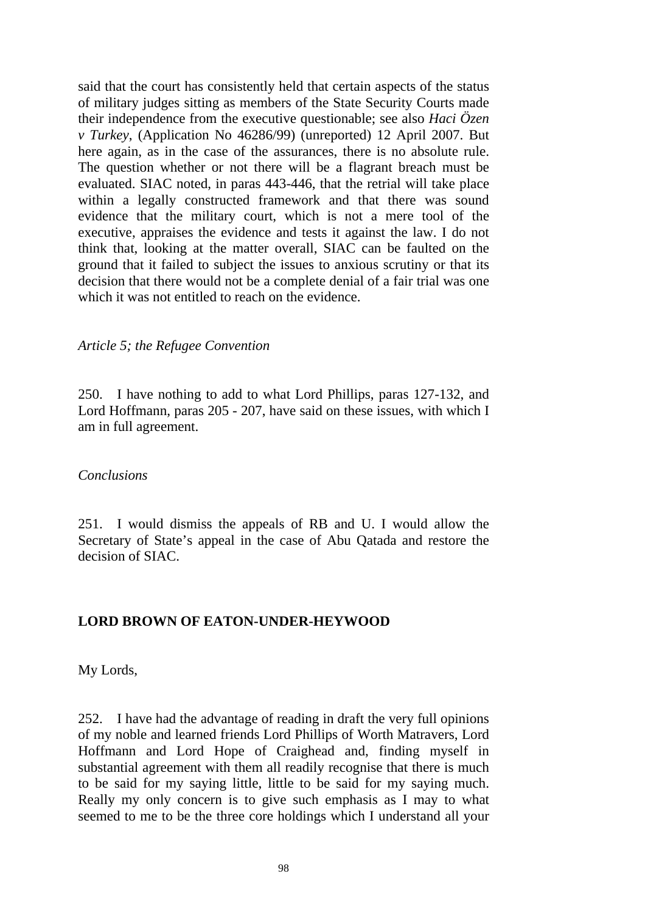said that the court has consistently held that certain aspects of the status of military judges sitting as members of the State Security Courts made their independence from the executive questionable; see also *Haci Özen v Turkey*, (Application No 46286/99) (unreported) 12 April 2007. But here again, as in the case of the assurances, there is no absolute rule. The question whether or not there will be a flagrant breach must be evaluated. SIAC noted, in paras 443-446, that the retrial will take place within a legally constructed framework and that there was sound evidence that the military court, which is not a mere tool of the executive, appraises the evidence and tests it against the law. I do not think that, looking at the matter overall, SIAC can be faulted on the ground that it failed to subject the issues to anxious scrutiny or that its decision that there would not be a complete denial of a fair trial was one which it was not entitled to reach on the evidence.

#### *Article 5; the Refugee Convention*

250. I have nothing to add to what Lord Phillips, paras 127-132, and Lord Hoffmann, paras 205 - 207, have said on these issues, with which I am in full agreement.

#### *Conclusions*

251. I would dismiss the appeals of RB and U. I would allow the Secretary of State's appeal in the case of Abu Qatada and restore the decision of SIAC.

### **LORD BROWN OF EATON-UNDER-HEYWOOD**

My Lords,

252. I have had the advantage of reading in draft the very full opinions of my noble and learned friends Lord Phillips of Worth Matravers, Lord Hoffmann and Lord Hope of Craighead and, finding myself in substantial agreement with them all readily recognise that there is much to be said for my saying little, little to be said for my saying much. Really my only concern is to give such emphasis as I may to what seemed to me to be the three core holdings which I understand all your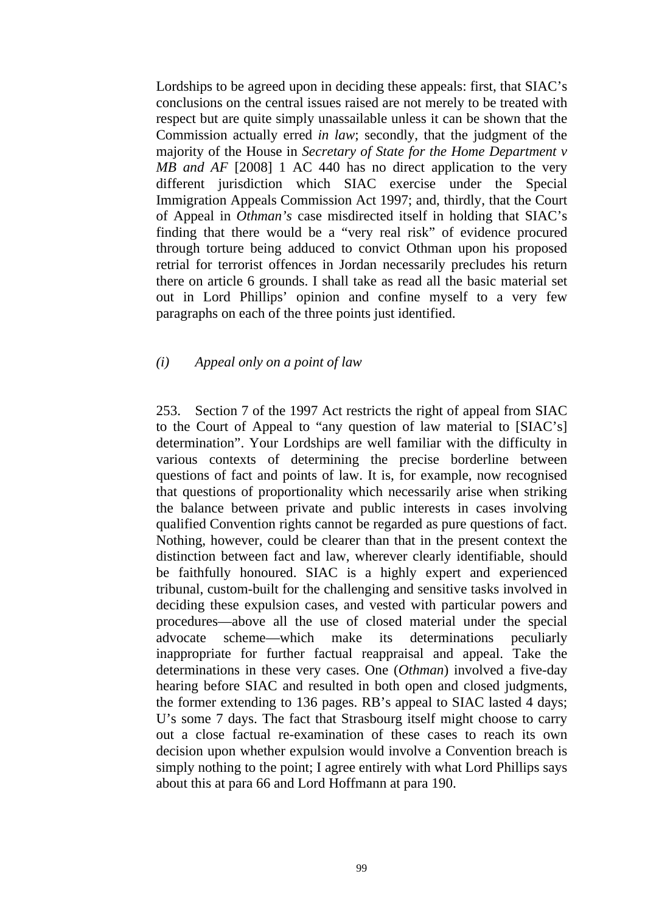Lordships to be agreed upon in deciding these appeals: first, that SIAC's conclusions on the central issues raised are not merely to be treated with respect but are quite simply unassailable unless it can be shown that the Commission actually erred *in law*; secondly, that the judgment of the majority of the House in *Secretary of State for the Home Department v MB and AF* [2008] 1 AC 440 has no direct application to the very different jurisdiction which SIAC exercise under the Special Immigration Appeals Commission Act 1997; and, thirdly, that the Court of Appeal in *Othman's* case misdirected itself in holding that SIAC's finding that there would be a "very real risk" of evidence procured through torture being adduced to convict Othman upon his proposed retrial for terrorist offences in Jordan necessarily precludes his return there on article 6 grounds. I shall take as read all the basic material set out in Lord Phillips' opinion and confine myself to a very few paragraphs on each of the three points just identified.

### *(i) Appeal only on a point of law*

253. Section 7 of the 1997 Act restricts the right of appeal from SIAC to the Court of Appeal to "any question of law material to [SIAC's] determination". Your Lordships are well familiar with the difficulty in various contexts of determining the precise borderline between questions of fact and points of law. It is, for example, now recognised that questions of proportionality which necessarily arise when striking the balance between private and public interests in cases involving qualified Convention rights cannot be regarded as pure questions of fact. Nothing, however, could be clearer than that in the present context the distinction between fact and law, wherever clearly identifiable, should be faithfully honoured. SIAC is a highly expert and experienced tribunal, custom-built for the challenging and sensitive tasks involved in deciding these expulsion cases, and vested with particular powers and procedures—above all the use of closed material under the special advocate scheme—which make its determinations peculiarly inappropriate for further factual reappraisal and appeal. Take the determinations in these very cases. One (*Othman*) involved a five-day hearing before SIAC and resulted in both open and closed judgments, the former extending to 136 pages. RB's appeal to SIAC lasted 4 days; U's some 7 days. The fact that Strasbourg itself might choose to carry out a close factual re-examination of these cases to reach its own decision upon whether expulsion would involve a Convention breach is simply nothing to the point; I agree entirely with what Lord Phillips says about this at para 66 and Lord Hoffmann at para 190.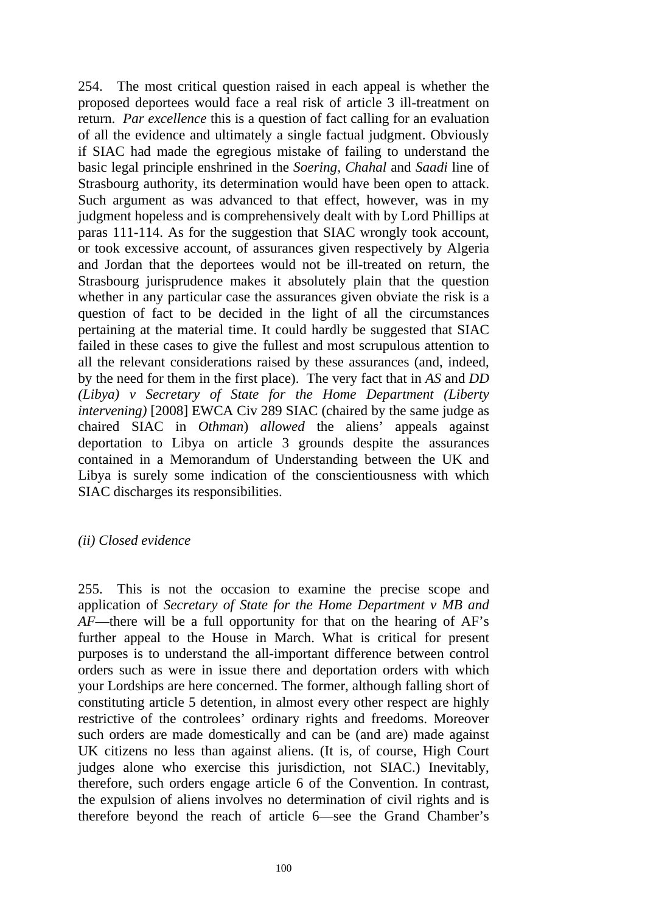254. The most critical question raised in each appeal is whether the proposed deportees would face a real risk of article 3 ill-treatment on return. *Par excellence* this is a question of fact calling for an evaluation of all the evidence and ultimately a single factual judgment. Obviously if SIAC had made the egregious mistake of failing to understand the basic legal principle enshrined in the *Soering, Chahal* and *Saadi* line of Strasbourg authority, its determination would have been open to attack. Such argument as was advanced to that effect, however, was in my judgment hopeless and is comprehensively dealt with by Lord Phillips at paras 111-114. As for the suggestion that SIAC wrongly took account, or took excessive account, of assurances given respectively by Algeria and Jordan that the deportees would not be ill-treated on return, the Strasbourg jurisprudence makes it absolutely plain that the question whether in any particular case the assurances given obviate the risk is a question of fact to be decided in the light of all the circumstances pertaining at the material time. It could hardly be suggested that SIAC failed in these cases to give the fullest and most scrupulous attention to all the relevant considerations raised by these assurances (and, indeed, by the need for them in the first place). The very fact that in *AS* and *DD (Libya) v Secretary of State for the Home Department (Liberty intervening)* [2008] EWCA Civ 289 SIAC (chaired by the same judge as chaired SIAC in *Othman*) *allowed* the aliens' appeals against deportation to Libya on article 3 grounds despite the assurances contained in a Memorandum of Understanding between the UK and Libya is surely some indication of the conscientiousness with which SIAC discharges its responsibilities.

#### *(ii) Closed evidence*

255. This is not the occasion to examine the precise scope and application of *Secretary of State for the Home Department v MB and AF*—there will be a full opportunity for that on the hearing of AF's further appeal to the House in March. What is critical for present purposes is to understand the all-important difference between control orders such as were in issue there and deportation orders with which your Lordships are here concerned. The former, although falling short of constituting article 5 detention, in almost every other respect are highly restrictive of the controlees' ordinary rights and freedoms. Moreover such orders are made domestically and can be (and are) made against UK citizens no less than against aliens. (It is, of course, High Court judges alone who exercise this jurisdiction, not SIAC.) Inevitably, therefore, such orders engage article 6 of the Convention. In contrast, the expulsion of aliens involves no determination of civil rights and is therefore beyond the reach of article 6—see the Grand Chamber's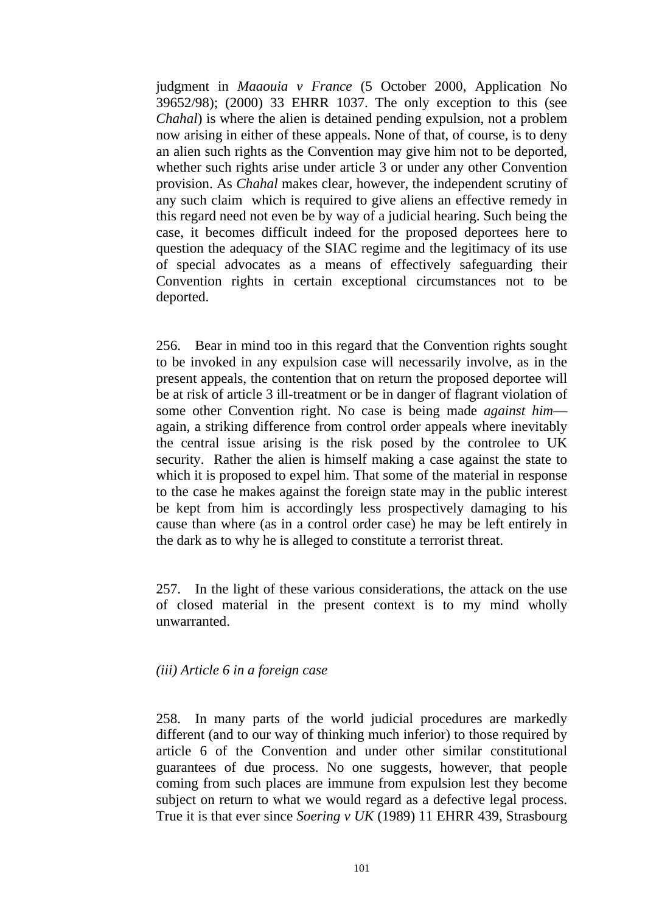judgment in *Maaouia v France* (5 October 2000, Application No 39652/98); (2000) 33 EHRR 1037. The only exception to this (see *Chahal*) is where the alien is detained pending expulsion, not a problem now arising in either of these appeals. None of that, of course, is to deny an alien such rights as the Convention may give him not to be deported, whether such rights arise under article 3 or under any other Convention provision. As *Chahal* makes clear, however, the independent scrutiny of any such claim which is required to give aliens an effective remedy in this regard need not even be by way of a judicial hearing. Such being the case, it becomes difficult indeed for the proposed deportees here to question the adequacy of the SIAC regime and the legitimacy of its use of special advocates as a means of effectively safeguarding their Convention rights in certain exceptional circumstances not to be deported.

256. Bear in mind too in this regard that the Convention rights sought to be invoked in any expulsion case will necessarily involve, as in the present appeals, the contention that on return the proposed deportee will be at risk of article 3 ill-treatment or be in danger of flagrant violation of some other Convention right. No case is being made *against him* again, a striking difference from control order appeals where inevitably the central issue arising is the risk posed by the controlee to UK security. Rather the alien is himself making a case against the state to which it is proposed to expel him. That some of the material in response to the case he makes against the foreign state may in the public interest be kept from him is accordingly less prospectively damaging to his cause than where (as in a control order case) he may be left entirely in the dark as to why he is alleged to constitute a terrorist threat.

257. In the light of these various considerations, the attack on the use of closed material in the present context is to my mind wholly unwarranted.

#### *(iii) Article 6 in a foreign case*

258. In many parts of the world judicial procedures are markedly different (and to our way of thinking much inferior) to those required by article 6 of the Convention and under other similar constitutional guarantees of due process. No one suggests, however, that people coming from such places are immune from expulsion lest they become subject on return to what we would regard as a defective legal process. True it is that ever since *Soering v UK* (1989) 11 EHRR 439, Strasbourg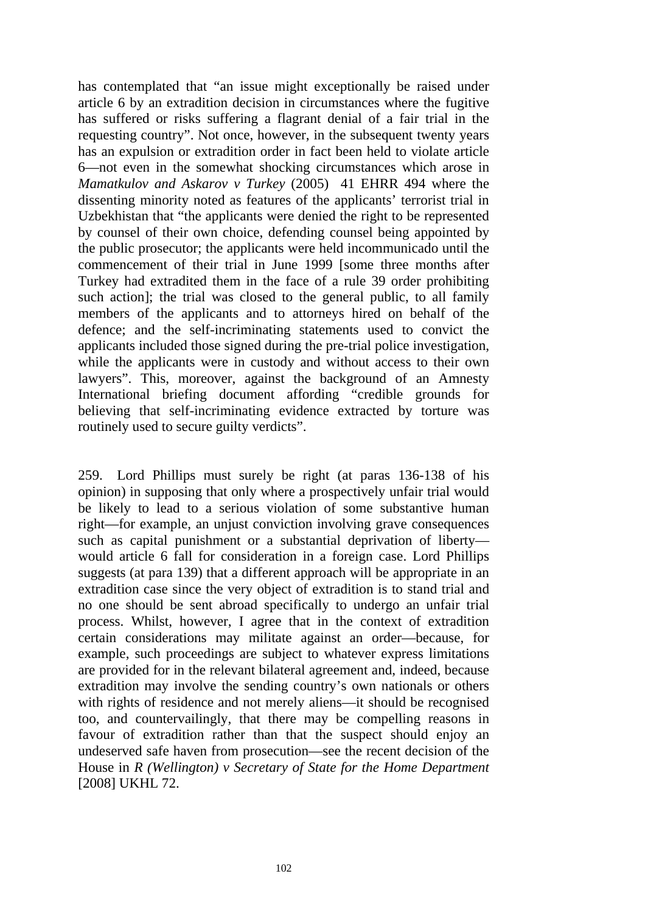has contemplated that "an issue might exceptionally be raised under article 6 by an extradition decision in circumstances where the fugitive has suffered or risks suffering a flagrant denial of a fair trial in the requesting country". Not once, however, in the subsequent twenty years has an expulsion or extradition order in fact been held to violate article 6—not even in the somewhat shocking circumstances which arose in *Mamatkulov and Askarov v Turkey* (2005) 41 EHRR 494 where the dissenting minority noted as features of the applicants' terrorist trial in Uzbekhistan that "the applicants were denied the right to be represented by counsel of their own choice, defending counsel being appointed by the public prosecutor; the applicants were held incommunicado until the commencement of their trial in June 1999 [some three months after Turkey had extradited them in the face of a rule 39 order prohibiting such action]; the trial was closed to the general public, to all family members of the applicants and to attorneys hired on behalf of the defence; and the self-incriminating statements used to convict the applicants included those signed during the pre-trial police investigation, while the applicants were in custody and without access to their own lawyers". This, moreover, against the background of an Amnesty International briefing document affording "credible grounds for believing that self-incriminating evidence extracted by torture was routinely used to secure guilty verdicts".

259. Lord Phillips must surely be right (at paras 136-138 of his opinion) in supposing that only where a prospectively unfair trial would be likely to lead to a serious violation of some substantive human right—for example, an unjust conviction involving grave consequences such as capital punishment or a substantial deprivation of liberty would article 6 fall for consideration in a foreign case. Lord Phillips suggests (at para 139) that a different approach will be appropriate in an extradition case since the very object of extradition is to stand trial and no one should be sent abroad specifically to undergo an unfair trial process. Whilst, however, I agree that in the context of extradition certain considerations may militate against an order—because, for example, such proceedings are subject to whatever express limitations are provided for in the relevant bilateral agreement and, indeed, because extradition may involve the sending country's own nationals or others with rights of residence and not merely aliens—it should be recognised too, and countervailingly, that there may be compelling reasons in favour of extradition rather than that the suspect should enjoy an undeserved safe haven from prosecution—see the recent decision of the House in *R (Wellington) v Secretary of State for the Home Department*  [2008] UKHL 72.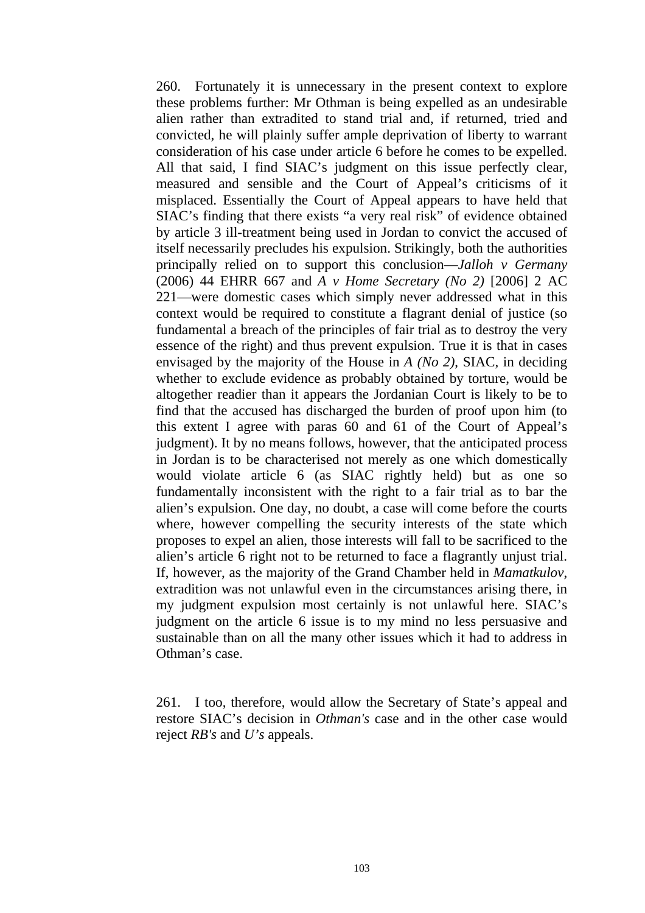260. Fortunately it is unnecessary in the present context to explore these problems further: Mr Othman is being expelled as an undesirable alien rather than extradited to stand trial and, if returned, tried and convicted, he will plainly suffer ample deprivation of liberty to warrant consideration of his case under article 6 before he comes to be expelled. All that said, I find SIAC's judgment on this issue perfectly clear, measured and sensible and the Court of Appeal's criticisms of it misplaced. Essentially the Court of Appeal appears to have held that SIAC's finding that there exists "a very real risk" of evidence obtained by article 3 ill-treatment being used in Jordan to convict the accused of itself necessarily precludes his expulsion. Strikingly, both the authorities principally relied on to support this conclusion—*Jalloh v Germany* (2006) 44 EHRR 667 and *A v Home Secretary (No 2)* [2006] 2 AC 221—were domestic cases which simply never addressed what in this context would be required to constitute a flagrant denial of justice (so fundamental a breach of the principles of fair trial as to destroy the very essence of the right) and thus prevent expulsion. True it is that in cases envisaged by the majority of the House in *A (No 2)*, SIAC, in deciding whether to exclude evidence as probably obtained by torture, would be altogether readier than it appears the Jordanian Court is likely to be to find that the accused has discharged the burden of proof upon him (to this extent I agree with paras 60 and 61 of the Court of Appeal's judgment). It by no means follows, however, that the anticipated process in Jordan is to be characterised not merely as one which domestically would violate article 6 (as SIAC rightly held) but as one so fundamentally inconsistent with the right to a fair trial as to bar the alien's expulsion. One day, no doubt, a case will come before the courts where, however compelling the security interests of the state which proposes to expel an alien, those interests will fall to be sacrificed to the alien's article 6 right not to be returned to face a flagrantly unjust trial. If, however, as the majority of the Grand Chamber held in *Mamatkulov*, extradition was not unlawful even in the circumstances arising there, in my judgment expulsion most certainly is not unlawful here. SIAC's judgment on the article 6 issue is to my mind no less persuasive and sustainable than on all the many other issues which it had to address in Othman's case.

261. I too, therefore, would allow the Secretary of State's appeal and restore SIAC's decision in *Othman's* case and in the other case would reject *RB's* and *U's* appeals.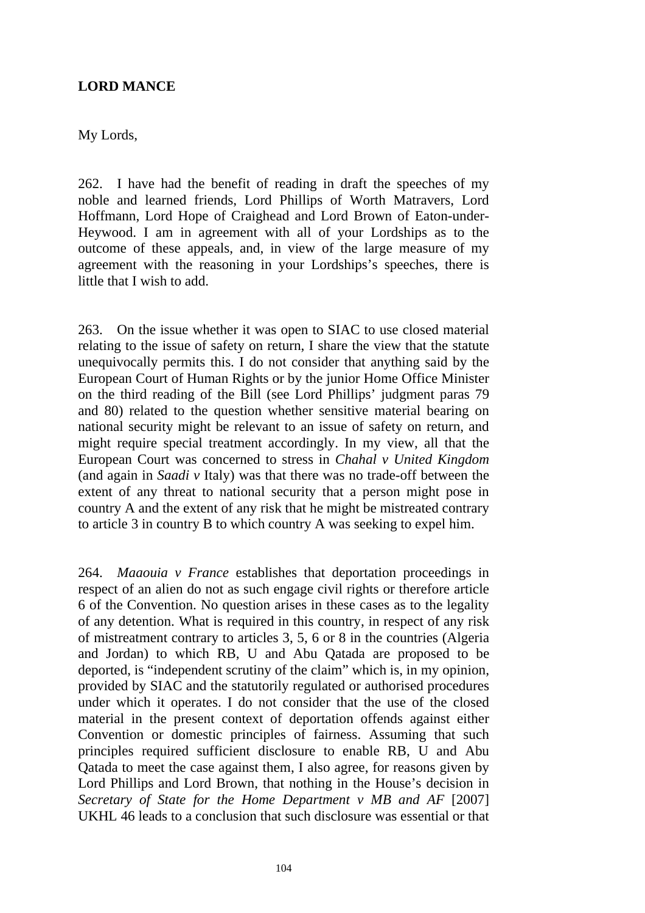# **LORD MANCE**

## My Lords,

262. I have had the benefit of reading in draft the speeches of my noble and learned friends, Lord Phillips of Worth Matravers, Lord Hoffmann, Lord Hope of Craighead and Lord Brown of Eaton-under-Heywood. I am in agreement with all of your Lordships as to the outcome of these appeals, and, in view of the large measure of my agreement with the reasoning in your Lordships's speeches, there is little that I wish to add.

263. On the issue whether it was open to SIAC to use closed material relating to the issue of safety on return, I share the view that the statute unequivocally permits this. I do not consider that anything said by the European Court of Human Rights or by the junior Home Office Minister on the third reading of the Bill (see Lord Phillips' judgment paras 79 and 80) related to the question whether sensitive material bearing on national security might be relevant to an issue of safety on return, and might require special treatment accordingly. In my view, all that the European Court was concerned to stress in *Chahal v United Kingdom*  (and again in *Saadi v* Italy) was that there was no trade-off between the extent of any threat to national security that a person might pose in country A and the extent of any risk that he might be mistreated contrary to article 3 in country B to which country A was seeking to expel him.

264. *Maaouia v France* establishes that deportation proceedings in respect of an alien do not as such engage civil rights or therefore article 6 of the Convention. No question arises in these cases as to the legality of any detention. What is required in this country, in respect of any risk of mistreatment contrary to articles 3, 5, 6 or 8 in the countries (Algeria and Jordan) to which RB, U and Abu Qatada are proposed to be deported, is "independent scrutiny of the claim" which is, in my opinion, provided by SIAC and the statutorily regulated or authorised procedures under which it operates. I do not consider that the use of the closed material in the present context of deportation offends against either Convention or domestic principles of fairness. Assuming that such principles required sufficient disclosure to enable RB, U and Abu Qatada to meet the case against them, I also agree, for reasons given by Lord Phillips and Lord Brown, that nothing in the House's decision in *Secretary of State for the Home Department v MB and AF [2007]* UKHL 46 leads to a conclusion that such disclosure was essential or that